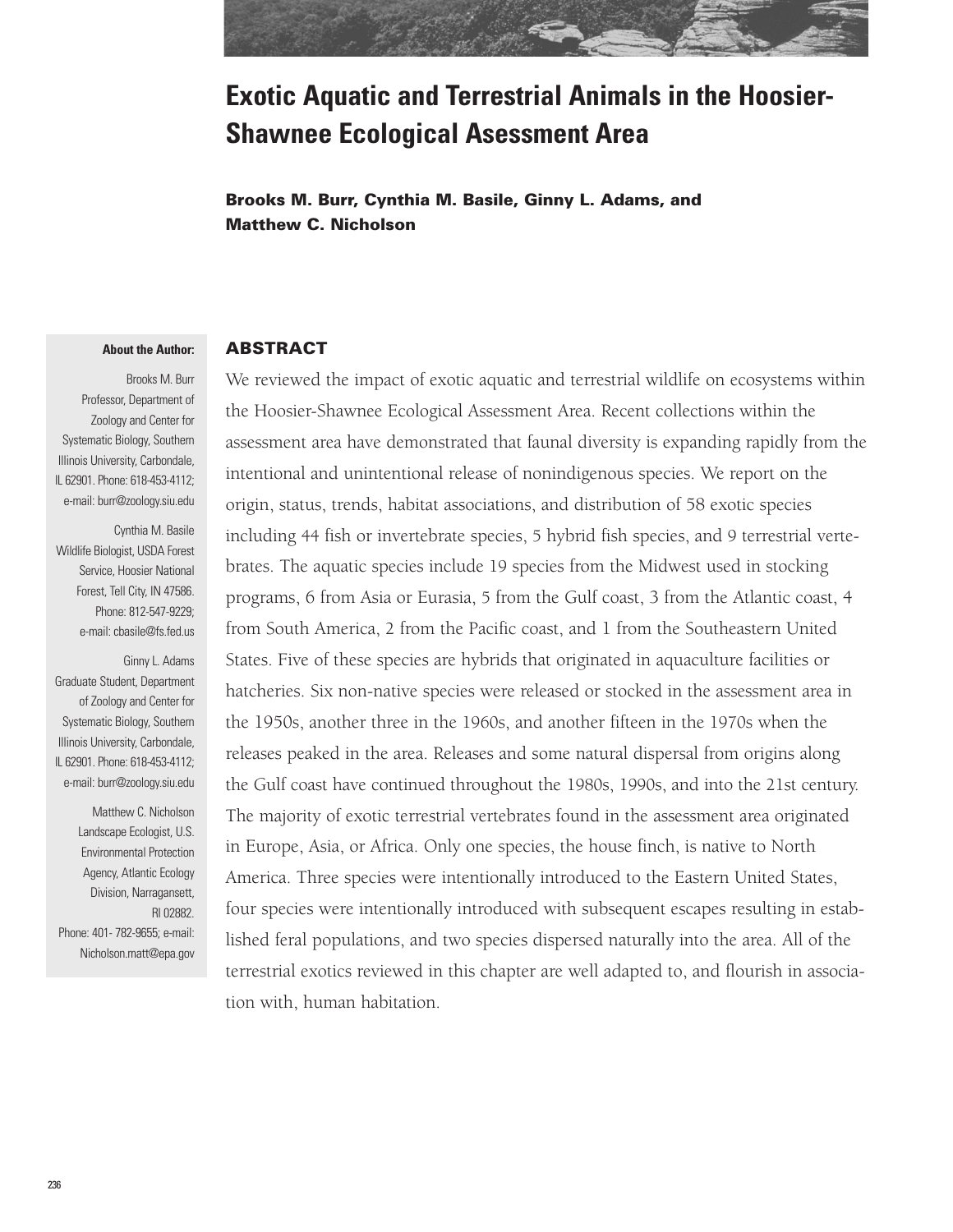![](_page_0_Picture_0.jpeg)

# **Exotic Aquatic and Terrestrial Animals in the Hoosier-Shawnee Ecological Asessment Area**

**Brooks M. Burr, Cynthia M. Basile, Ginny L. Adams, and Matthew C. Nicholson**

#### **About the Author:**

Brooks M. Burr Professor, Department of Zoology and Center for Systematic Biology, Southern Illinois University, Carbondale, IL 62901. Phone: 618-453-4112; e-mail: burr@zoology.siu.edu

Cynthia M. Basile Wildlife Biologist, USDA Forest Service, Hoosier National Forest, Tell City, IN 47586. Phone: 812-547-9229; e-mail: cbasile@fs.fed.us

Ginny L. Adams Graduate Student, Department of Zoology and Center for Systematic Biology, Southern Illinois University, Carbondale, IL 62901. Phone: 618-453-4112; e-mail: burr@zoology.siu.edu

Matthew C. Nicholson Landscape Ecologist, U.S. Environmental Protection Agency, Atlantic Ecology Division, Narragansett, RI 02882. Phone: 401- 782-9655; e-mail: Nicholson.matt@epa.gov

#### **ABSTRACT**

We reviewed the impact of exotic aquatic and terrestrial wildlife on ecosystems within the Hoosier-Shawnee Ecological Assessment Area. Recent collections within the assessment area have demonstrated that faunal diversity is expanding rapidly from the intentional and unintentional release of nonindigenous species. We report on the origin, status, trends, habitat associations, and distribution of 58 exotic species including 44 fish or invertebrate species, 5 hybrid fish species, and 9 terrestrial vertebrates. The aquatic species include 19 species from the Midwest used in stocking programs, 6 from Asia or Eurasia, 5 from the Gulf coast, 3 from the Atlantic coast, 4 from South America, 2 from the Pacific coast, and 1 from the Southeastern United States. Five of these species are hybrids that originated in aquaculture facilities or hatcheries. Six non-native species were released or stocked in the assessment area in the 1950s, another three in the 1960s, and another fifteen in the 1970s when the releases peaked in the area. Releases and some natural dispersal from origins along the Gulf coast have continued throughout the 1980s, 1990s, and into the 21st century. The majority of exotic terrestrial vertebrates found in the assessment area originated in Europe, Asia, or Africa. Only one species, the house finch, is native to North America. Three species were intentionally introduced to the Eastern United States, four species were intentionally introduced with subsequent escapes resulting in established feral populations, and two species dispersed naturally into the area. All of the terrestrial exotics reviewed in this chapter are well adapted to, and flourish in association with, human habitation.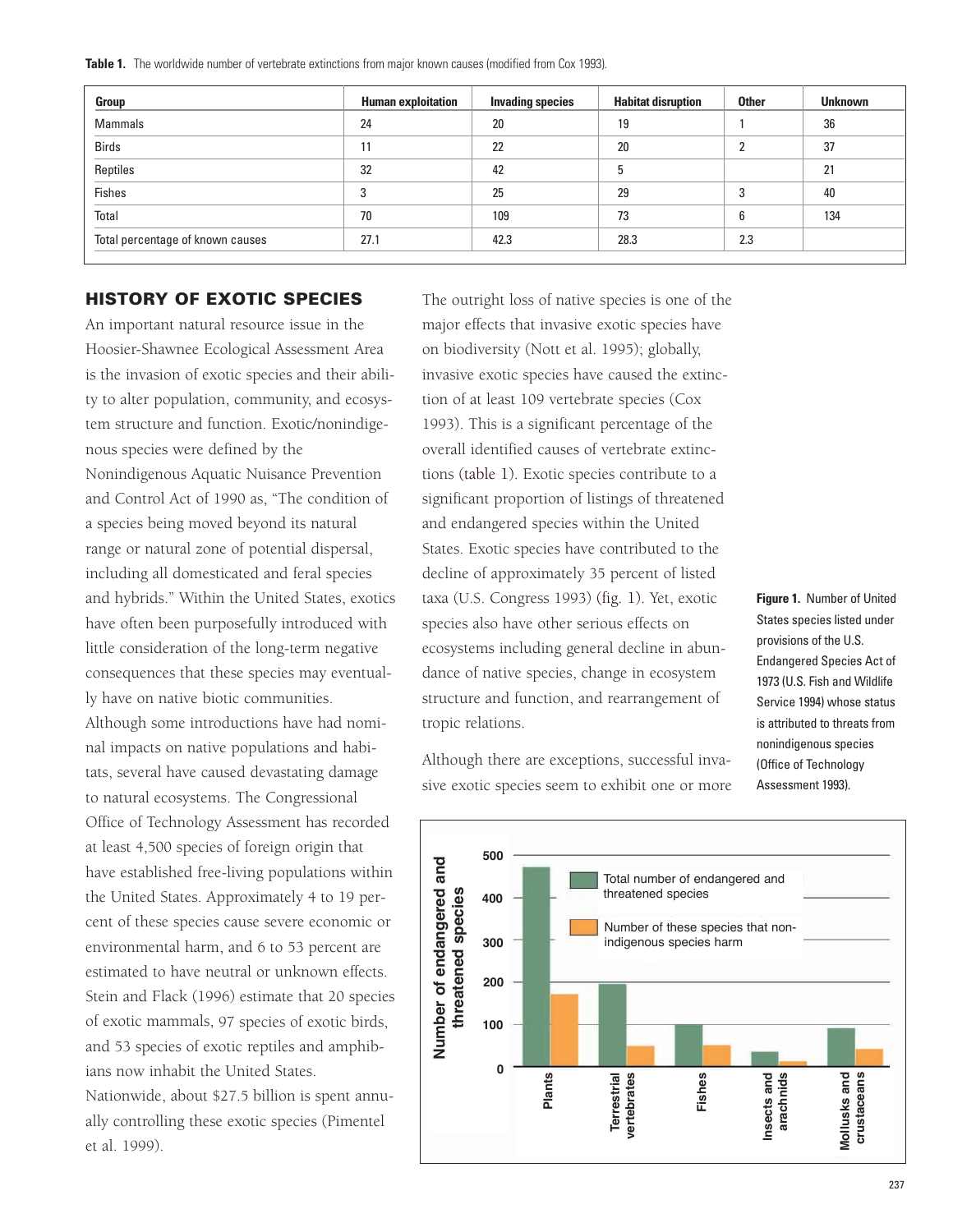**Table 1.** The worldwide number of vertebrate extinctions from major known causes (modified from Cox 1993).

| Group                            | <b>Human exploitation</b> | <b>Invading species</b> | <b>Habitat disruption</b> | <b>Other</b> | <b>Unknown</b> |
|----------------------------------|---------------------------|-------------------------|---------------------------|--------------|----------------|
| <b>Mammals</b>                   | 24                        | 20                      | 19                        |              | 36             |
| <b>Birds</b>                     | 11                        | 22                      | 20                        |              | 37             |
| Reptiles                         | 32                        | 42                      | 5                         |              | 21             |
| <b>Fishes</b>                    | 3                         | 25                      | 29                        |              | 40             |
| Total                            | 70                        | 109                     | 73                        | 6            | 134            |
| Total percentage of known causes | 27.1                      | 42.3                    | 28.3                      | 2.3          |                |

### **HISTORY OF EXOTIC SPECIES**

An important natural resource issue in the Hoosier-Shawnee Ecological Assessment Area is the invasion of exotic species and their ability to alter population, community, and ecosystem structure and function. Exotic/nonindigenous species were defined by the Nonindigenous Aquatic Nuisance Prevention and Control Act of 1990 as, "The condition of a species being moved beyond its natural range or natural zone of potential dispersal, including all domesticated and feral species and hybrids." Within the United States, exotics have often been purposefully introduced with little consideration of the long-term negative consequences that these species may eventually have on native biotic communities. Although some introductions have had nominal impacts on native populations and habitats, several have caused devastating damage to natural ecosystems. The Congressional Office of Technology Assessment has recorded at least 4,500 species of foreign origin that have established free-living populations within the United States. Approximately 4 to 19 percent of these species cause severe economic or environmental harm, and 6 to 53 percent are estimated to have neutral or unknown effects. Stein and Flack (1996) estimate that 20 species of exotic mammals, 97 species of exotic birds, and 53 species of exotic reptiles and amphibians now inhabit the United States.

Nationwide, about \$27.5 billion is spent annually controlling these exotic species (Pimentel et al. 1999).

The outright loss of native species is one of the major effects that invasive exotic species have on biodiversity (Nott et al. 1995); globally, invasive exotic species have caused the extinction of at least 109 vertebrate species (Cox 1993). This is a significant percentage of the overall identified causes of vertebrate extinctions (table 1). Exotic species contribute to a significant proportion of listings of threatened and endangered species within the United States. Exotic species have contributed to the decline of approximately 35 percent of listed taxa (U.S. Congress 1993) (fig. 1). Yet, exotic species also have other serious effects on ecosystems including general decline in abundance of native species, change in ecosystem structure and function, and rearrangement of tropic relations.

**Figure 1.** Number of United States species listed under provisions of the U.S. Endangered Species Act of 1973 (U.S. Fish and Wildlife Service 1994) whose status is attributed to threats from nonindigenous species (Office of Technology Assessment 1993).

Although there are exceptions, successful invasive exotic species seem to exhibit one or more

![](_page_1_Figure_8.jpeg)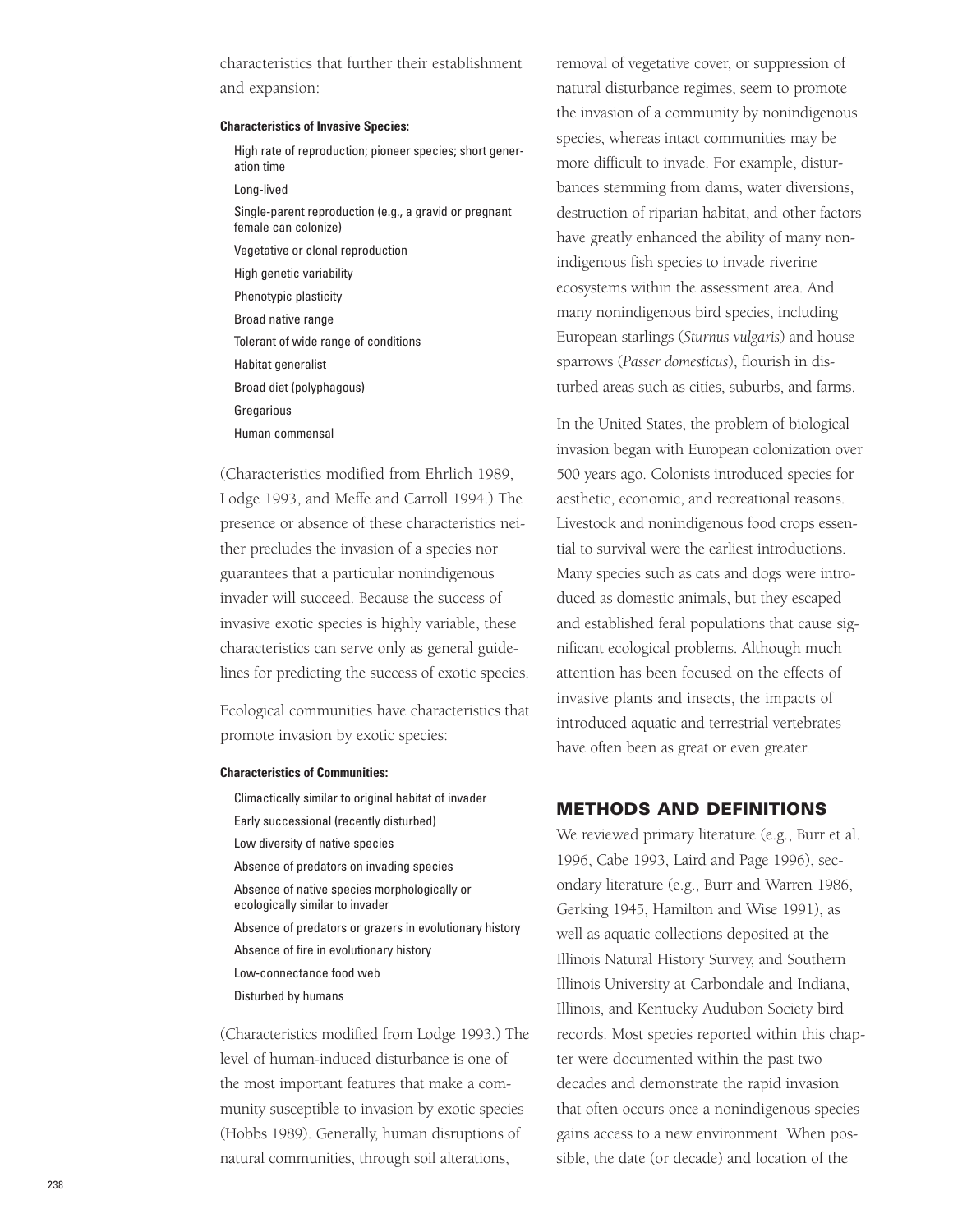characteristics that further their establishment and expansion:

#### **Characteristics of Invasive Species:**

- High rate of reproduction; pioneer species; short generation time
- Long-lived
- Single-parent reproduction (e.g., a gravid or pregnant female can colonize)
- Vegetative or clonal reproduction
- High genetic variability
- Phenotypic plasticity
- Broad native range
- Tolerant of wide range of conditions
- Habitat generalist
- Broad diet (polyphagous)
- **Gregarious**
- Human commensal

(Characteristics modified from Ehrlich 1989, Lodge 1993, and Meffe and Carroll 1994.) The presence or absence of these characteristics neither precludes the invasion of a species nor guarantees that a particular nonindigenous invader will succeed. Because the success of invasive exotic species is highly variable, these characteristics can serve only as general guidelines for predicting the success of exotic species.

Ecological communities have characteristics that promote invasion by exotic species:

#### **Characteristics of Communities:**

Climactically similar to original habitat of invader Early successional (recently disturbed) Low diversity of native species Absence of predators on invading species Absence of native species morphologically or ecologically similar to invader Absence of predators or grazers in evolutionary history Absence of fire in evolutionary history Low-connectance food web Disturbed by humans

(Characteristics modified from Lodge 1993.) The level of human-induced disturbance is one of the most important features that make a community susceptible to invasion by exotic species (Hobbs 1989). Generally, human disruptions of natural communities, through soil alterations,

removal of vegetative cover, or suppression of natural disturbance regimes, seem to promote the invasion of a community by nonindigenous species, whereas intact communities may be more difficult to invade. For example, disturbances stemming from dams, water diversions, destruction of riparian habitat, and other factors have greatly enhanced the ability of many nonindigenous fish species to invade riverine ecosystems within the assessment area. And many nonindigenous bird species, including European starlings (*Sturnus vulgaris*) and house sparrows (*Passer domesticus*), flourish in disturbed areas such as cities, suburbs, and farms.

In the United States, the problem of biological invasion began with European colonization over 500 years ago. Colonists introduced species for aesthetic, economic, and recreational reasons. Livestock and nonindigenous food crops essential to survival were the earliest introductions. Many species such as cats and dogs were introduced as domestic animals, but they escaped and established feral populations that cause significant ecological problems. Although much attention has been focused on the effects of invasive plants and insects, the impacts of introduced aquatic and terrestrial vertebrates have often been as great or even greater.

#### **METHODS AND DEFINITIONS**

We reviewed primary literature (e.g., Burr et al. 1996, Cabe 1993, Laird and Page 1996), secondary literature (e.g., Burr and Warren 1986, Gerking 1945, Hamilton and Wise 1991), as well as aquatic collections deposited at the Illinois Natural History Survey, and Southern Illinois University at Carbondale and Indiana, Illinois, and Kentucky Audubon Society bird records. Most species reported within this chapter were documented within the past two decades and demonstrate the rapid invasion that often occurs once a nonindigenous species gains access to a new environment. When possible, the date (or decade) and location of the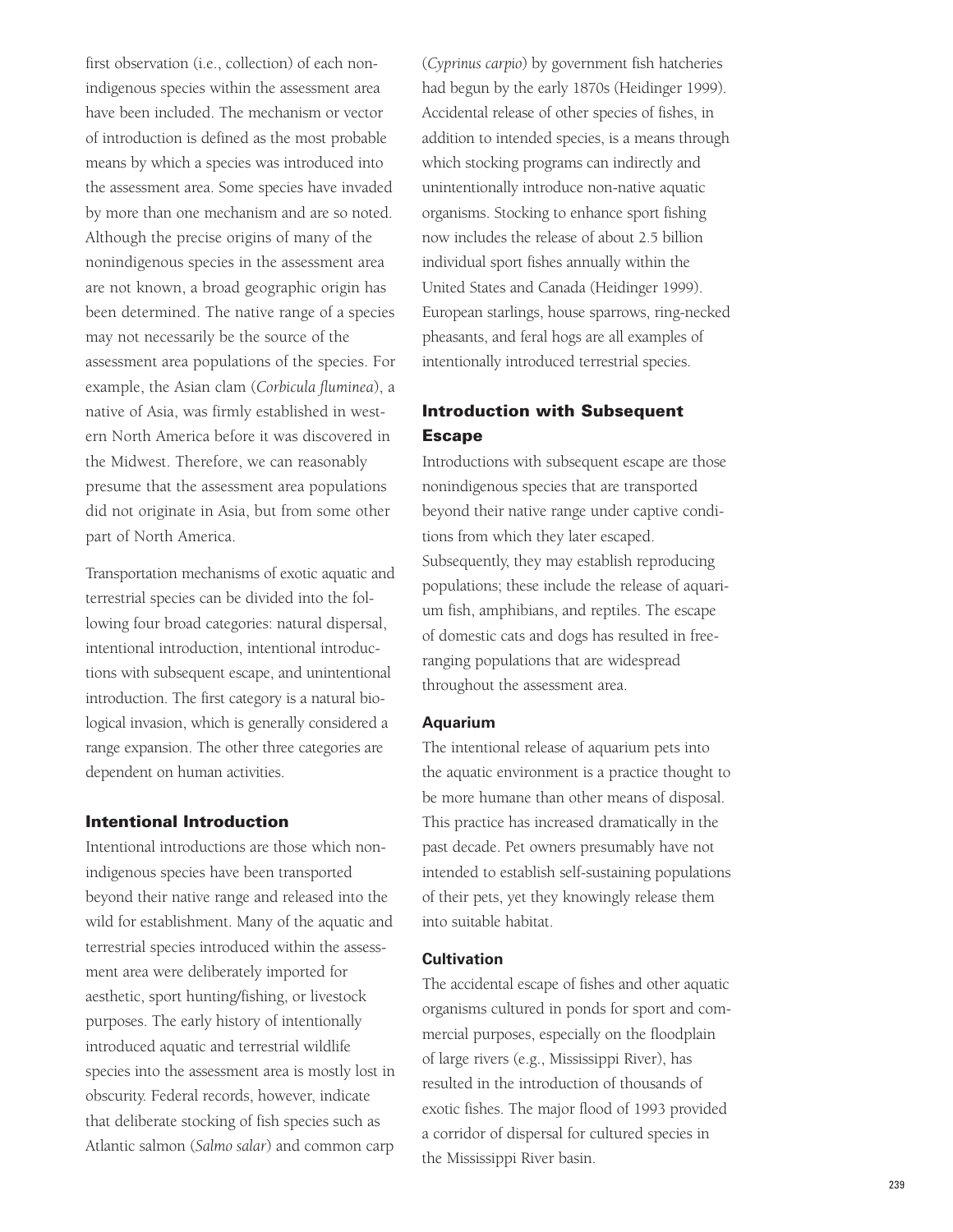first observation (i.e., collection) of each nonindigenous species within the assessment area have been included. The mechanism or vector of introduction is defined as the most probable means by which a species was introduced into the assessment area. Some species have invaded by more than one mechanism and are so noted. Although the precise origins of many of the nonindigenous species in the assessment area are not known, a broad geographic origin has been determined. The native range of a species may not necessarily be the source of the assessment area populations of the species. For example, the Asian clam (*Corbicula fluminea*), a native of Asia, was firmly established in western North America before it was discovered in the Midwest. Therefore, we can reasonably presume that the assessment area populations did not originate in Asia, but from some other part of North America.

Transportation mechanisms of exotic aquatic and terrestrial species can be divided into the following four broad categories: natural dispersal, intentional introduction, intentional introductions with subsequent escape, and unintentional introduction. The first category is a natural biological invasion, which is generally considered a range expansion. The other three categories are dependent on human activities.

#### **Intentional Introduction**

Intentional introductions are those which nonindigenous species have been transported beyond their native range and released into the wild for establishment. Many of the aquatic and terrestrial species introduced within the assessment area were deliberately imported for aesthetic, sport hunting/fishing, or livestock purposes. The early history of intentionally introduced aquatic and terrestrial wildlife species into the assessment area is mostly lost in obscurity. Federal records, however, indicate that deliberate stocking of fish species such as Atlantic salmon (*Salmo salar*) and common carp

(*Cyprinus carpio*) by government fish hatcheries had begun by the early 1870s (Heidinger 1999). Accidental release of other species of fishes, in addition to intended species, is a means through which stocking programs can indirectly and unintentionally introduce non-native aquatic organisms. Stocking to enhance sport fishing now includes the release of about 2.5 billion individual sport fishes annually within the United States and Canada (Heidinger 1999). European starlings, house sparrows, ring-necked pheasants, and feral hogs are all examples of intentionally introduced terrestrial species.

## **Introduction with Subsequent Escape**

Introductions with subsequent escape are those nonindigenous species that are transported beyond their native range under captive conditions from which they later escaped. Subsequently, they may establish reproducing populations; these include the release of aquarium fish, amphibians, and reptiles. The escape of domestic cats and dogs has resulted in freeranging populations that are widespread throughout the assessment area.

#### **Aquarium**

The intentional release of aquarium pets into the aquatic environment is a practice thought to be more humane than other means of disposal. This practice has increased dramatically in the past decade. Pet owners presumably have not intended to establish self-sustaining populations of their pets, yet they knowingly release them into suitable habitat.

#### **Cultivation**

The accidental escape of fishes and other aquatic organisms cultured in ponds for sport and commercial purposes, especially on the floodplain of large rivers (e.g., Mississippi River), has resulted in the introduction of thousands of exotic fishes. The major flood of 1993 provided a corridor of dispersal for cultured species in the Mississippi River basin.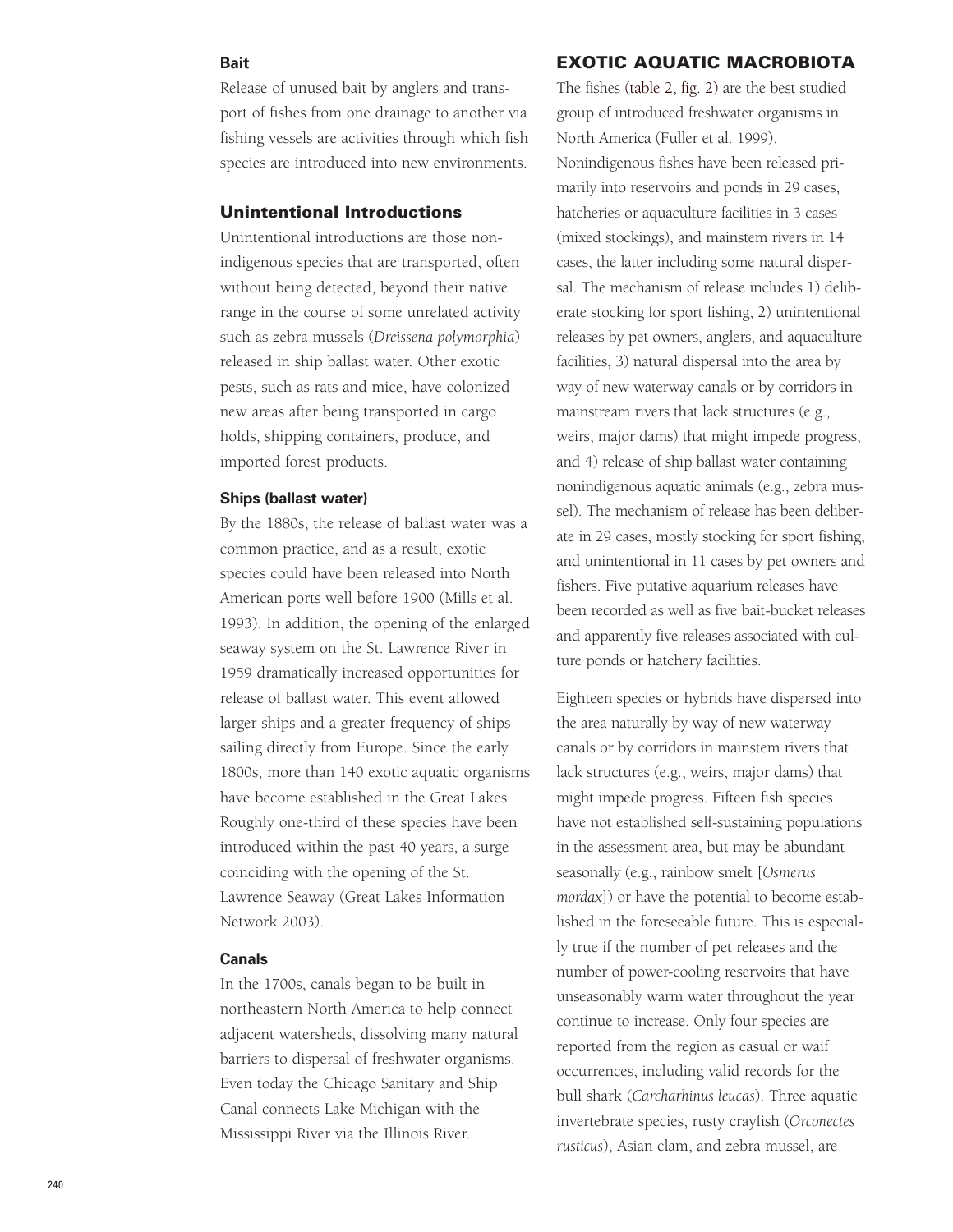#### **Bait**

## Release of unused bait by anglers and transport of fishes from one drainage to another via fishing vessels are activities through which fish species are introduced into new environments.

#### **Unintentional Introductions**

Unintentional introductions are those nonindigenous species that are transported, often without being detected, beyond their native range in the course of some unrelated activity such as zebra mussels (*Dreissena polymorphia*) released in ship ballast water. Other exotic pests, such as rats and mice, have colonized new areas after being transported in cargo holds, shipping containers, produce, and imported forest products.

#### **Ships (ballast water)**

By the 1880s, the release of ballast water was a common practice, and as a result, exotic species could have been released into North American ports well before 1900 (Mills et al. 1993). In addition, the opening of the enlarged seaway system on the St. Lawrence River in 1959 dramatically increased opportunities for release of ballast water. This event allowed larger ships and a greater frequency of ships sailing directly from Europe. Since the early 1800s, more than 140 exotic aquatic organisms have become established in the Great Lakes. Roughly one-third of these species have been introduced within the past 40 years, a surge coinciding with the opening of the St. Lawrence Seaway (Great Lakes Information Network 2003).

#### **Canals**

In the 1700s, canals began to be built in northeastern North America to help connect adjacent watersheds, dissolving many natural barriers to dispersal of freshwater organisms. Even today the Chicago Sanitary and Ship Canal connects Lake Michigan with the Mississippi River via the Illinois River.

### **EXOTIC AQUATIC MACROBIOTA**

The fishes (table 2, fig. 2) are the best studied group of introduced freshwater organisms in North America (Fuller et al. 1999). Nonindigenous fishes have been released primarily into reservoirs and ponds in 29 cases, hatcheries or aquaculture facilities in 3 cases (mixed stockings), and mainstem rivers in 14 cases, the latter including some natural dispersal. The mechanism of release includes 1) deliberate stocking for sport fishing, 2) unintentional releases by pet owners, anglers, and aquaculture facilities, 3) natural dispersal into the area by way of new waterway canals or by corridors in mainstream rivers that lack structures (e.g., weirs, major dams) that might impede progress, and 4) release of ship ballast water containing nonindigenous aquatic animals (e.g., zebra mussel). The mechanism of release has been deliberate in 29 cases, mostly stocking for sport fishing, and unintentional in 11 cases by pet owners and fishers. Five putative aquarium releases have been recorded as well as five bait-bucket releases and apparently five releases associated with culture ponds or hatchery facilities.

Eighteen species or hybrids have dispersed into the area naturally by way of new waterway canals or by corridors in mainstem rivers that lack structures (e.g., weirs, major dams) that might impede progress. Fifteen fish species have not established self-sustaining populations in the assessment area, but may be abundant seasonally (e.g., rainbow smelt [*Osmerus mordax*]) or have the potential to become established in the foreseeable future. This is especially true if the number of pet releases and the number of power-cooling reservoirs that have unseasonably warm water throughout the year continue to increase. Only four species are reported from the region as casual or waif occurrences, including valid records for the bull shark (*Carcharhinus leucas*). Three aquatic invertebrate species, rusty crayfish (*Orconectes rusticus*), Asian clam, and zebra mussel, are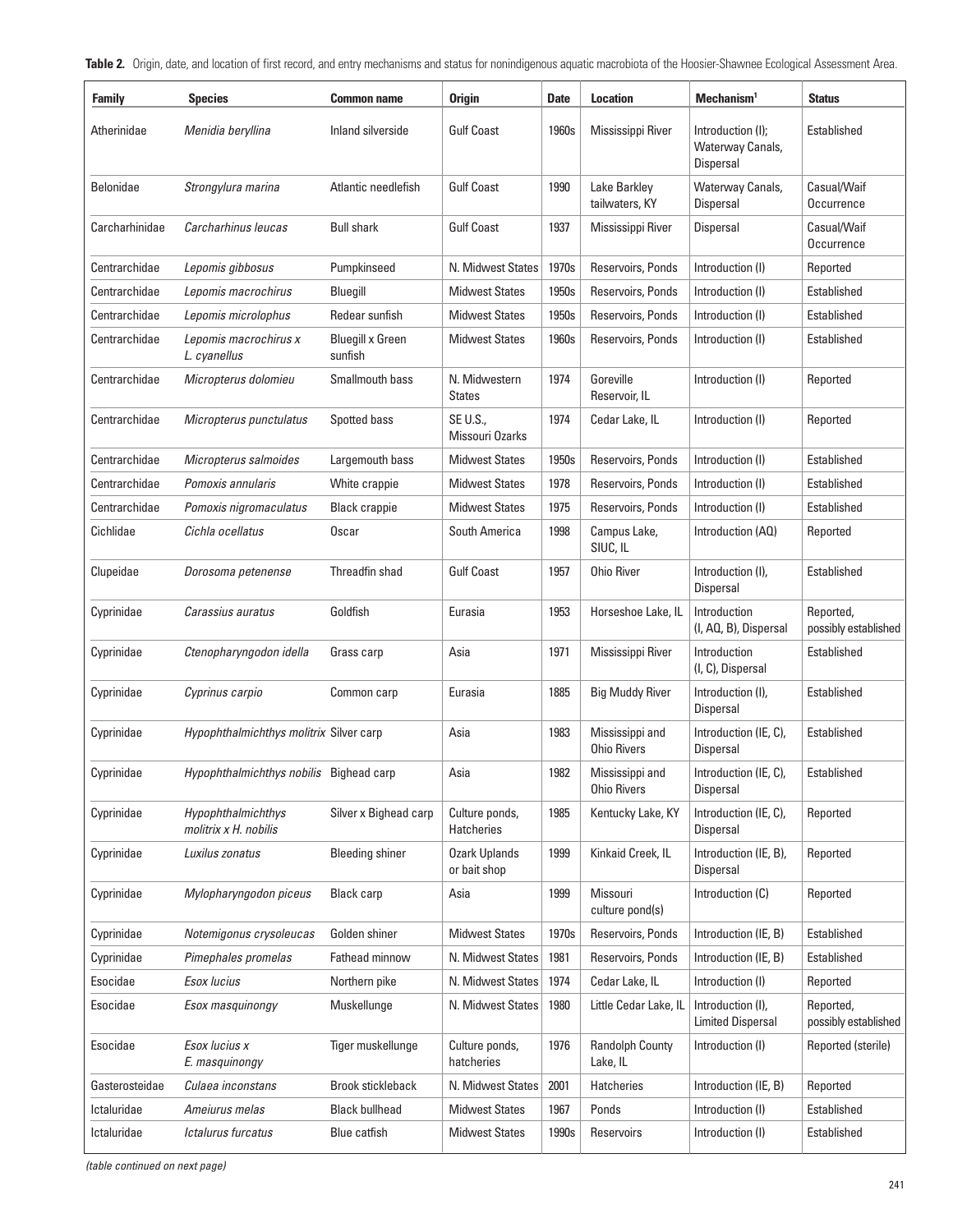Table 2. Origin, date, and location of first record, and entry mechanisms and status for nonindigenous aquatic macrobiota of the Hoosier-Shawnee Ecological Assessment Area.

| <b>Family</b>    | <b>Species</b>                              | <b>Common name</b>                 | <b>Origin</b>                        | <b>Date</b> | <b>Location</b>                       | Mechanism <sup>1</sup>                                    | <b>Status</b>                     |
|------------------|---------------------------------------------|------------------------------------|--------------------------------------|-------------|---------------------------------------|-----------------------------------------------------------|-----------------------------------|
| Atherinidae      | Menidia beryllina                           | Inland silverside                  | <b>Gulf Coast</b>                    | 1960s       | Mississippi River                     | Introduction (I);<br>Waterway Canals,<br><b>Dispersal</b> | Established                       |
| <b>Belonidae</b> | Strongylura marina                          | Atlantic needlefish                | <b>Gulf Coast</b>                    | 1990        | Lake Barkley<br>tailwaters, KY        | Waterway Canals,<br><b>Dispersal</b>                      | Casual/Waif<br>Occurrence         |
| Carcharhinidae   | Carcharhinus leucas                         | <b>Bull shark</b>                  | <b>Gulf Coast</b>                    | 1937        | Mississippi River                     | Dispersal                                                 | Casual/Waif<br>Occurrence         |
| Centrarchidae    | Lepomis gibbosus                            | Pumpkinseed                        | N. Midwest States                    | 1970s       | Reservoirs, Ponds                     | Introduction (I)                                          | Reported                          |
| Centrarchidae    | Lepomis macrochirus                         | Bluegill                           | <b>Midwest States</b>                | 1950s       | Reservoirs, Ponds                     | Introduction (I)                                          | Established                       |
| Centrarchidae    | Lepomis microlophus                         | Redear sunfish                     | <b>Midwest States</b>                | 1950s       | Reservoirs, Ponds                     | Introduction (I)                                          | Established                       |
| Centrarchidae    | Lepomis macrochirus x<br>L. cyanellus       | <b>Bluegill x Green</b><br>sunfish | <b>Midwest States</b>                | 1960s       | Reservoirs, Ponds                     | Introduction (I)                                          | Established                       |
| Centrarchidae    | Micropterus dolomieu                        | Smallmouth bass                    | N. Midwestern<br><b>States</b>       | 1974        | Goreville<br>Reservoir, IL            | Introduction (I)                                          | Reported                          |
| Centrarchidae    | Micropterus punctulatus                     | Spotted bass                       | SE U.S.,<br>Missouri Ozarks          | 1974        | Cedar Lake, IL                        | Introduction (I)                                          | Reported                          |
| Centrarchidae    | Micropterus salmoides                       | Largemouth bass                    | <b>Midwest States</b>                | 1950s       | Reservoirs, Ponds                     | Introduction (I)                                          | Established                       |
| Centrarchidae    | Pomoxis annularis                           | White crappie                      | <b>Midwest States</b>                | 1978        | Reservoirs, Ponds                     | Introduction (I)                                          | Established                       |
| Centrarchidae    | Pomoxis nigromaculatus                      | <b>Black crappie</b>               | <b>Midwest States</b>                | 1975        | Reservoirs, Ponds                     | Introduction (I)                                          | Established                       |
| Cichlidae        | Cichla ocellatus                            | Oscar                              | South America                        | 1998        | Campus Lake,<br>SIUC, IL              | Introduction (AQ)                                         | Reported                          |
| Clupeidae        | Dorosoma petenense                          | Threadfin shad                     | <b>Gulf Coast</b>                    | 1957        | Ohio River                            | Introduction (I),<br><b>Dispersal</b>                     | Established                       |
| Cyprinidae       | Carassius auratus                           | Goldfish                           | Eurasia                              | 1953        | Horseshoe Lake, IL                    | Introduction<br>(I, AQ, B), Dispersal                     | Reported,<br>possibly established |
| Cyprinidae       | Ctenopharyngodon idella                     | Grass carp                         | Asia                                 | 1971        | Mississippi River                     | Introduction<br>(I, C), Dispersal                         | Established                       |
| Cyprinidae       | Cyprinus carpio                             | Common carp                        | Eurasia                              | 1885        | <b>Big Muddy River</b>                | Introduction (I),<br><b>Dispersal</b>                     | Established                       |
| Cyprinidae       | Hypophthalmichthys molitrix Silver carp     |                                    | Asia                                 | 1983        | Mississippi and<br><b>Ohio Rivers</b> | Introduction (IE, C),<br>Dispersal                        | Established                       |
| Cyprinidae       | Hypophthalmichthys nobilis Bighead carp     |                                    | Asia                                 | 1982        | Mississippi and<br><b>Ohio Rivers</b> | Introduction (IE, C),<br>Dispersal                        | Established                       |
| Cyprinidae       | Hypophthalmichthys<br>molitrix x H. nobilis | Silver x Bighead carp              | Culture ponds,<br><b>Hatcheries</b>  | 1985        | Kentucky Lake, KY                     | Introduction (IE, C),<br>Dispersal                        | Reported                          |
| Cyprinidae       | Luxilus zonatus                             | <b>Bleeding shiner</b>             | <b>Ozark Uplands</b><br>or bait shop | 1999        | Kinkaid Creek, IL                     | Introduction (IE, B),<br>Dispersal                        | Reported                          |
| Cyprinidae       | Mylopharyngodon piceus                      | <b>Black carp</b>                  | Asia                                 | 1999        | Missouri<br>culture pond(s)           | Introduction (C)                                          | Reported                          |
| Cyprinidae       | Notemigonus crysoleucas                     | Golden shiner                      | <b>Midwest States</b>                | 1970s       | Reservoirs, Ponds                     | Introduction (IE, B)                                      | Established                       |
| Cyprinidae       | Pimephales promelas                         | Fathead minnow                     | N. Midwest States                    | 1981        | Reservoirs, Ponds                     | Introduction (IE, B)                                      | Established                       |
| Esocidae         | Esox lucius                                 | Northern pike                      | N. Midwest States                    | 1974        | Cedar Lake, IL                        | Introduction (I)                                          | Reported                          |
| Esocidae         | Esox masquinongy                            | Muskellunge                        | N. Midwest States                    | 1980        | Little Cedar Lake, IL                 | Introduction (I),<br><b>Limited Dispersal</b>             | Reported,<br>possibly established |
| Esocidae         | Esox lucius x<br>E. masquinongy             | Tiger muskellunge                  | Culture ponds,<br>hatcheries         | 1976        | <b>Randolph County</b><br>Lake, IL    | Introduction (I)                                          | Reported (sterile)                |
| Gasterosteidae   | Culaea inconstans                           | <b>Brook stickleback</b>           | N. Midwest States                    | 2001        | Hatcheries                            | Introduction (IE, B)                                      | Reported                          |
| Ictaluridae      | Ameiurus melas                              | <b>Black bullhead</b>              | <b>Midwest States</b>                | 1967        | Ponds                                 | Introduction (I)                                          | Established                       |
| Ictaluridae      | Ictalurus furcatus                          | Blue catfish                       | <b>Midwest States</b>                | 1990s       | Reservoirs                            | Introduction (I)                                          | Established                       |

(table continued on next page)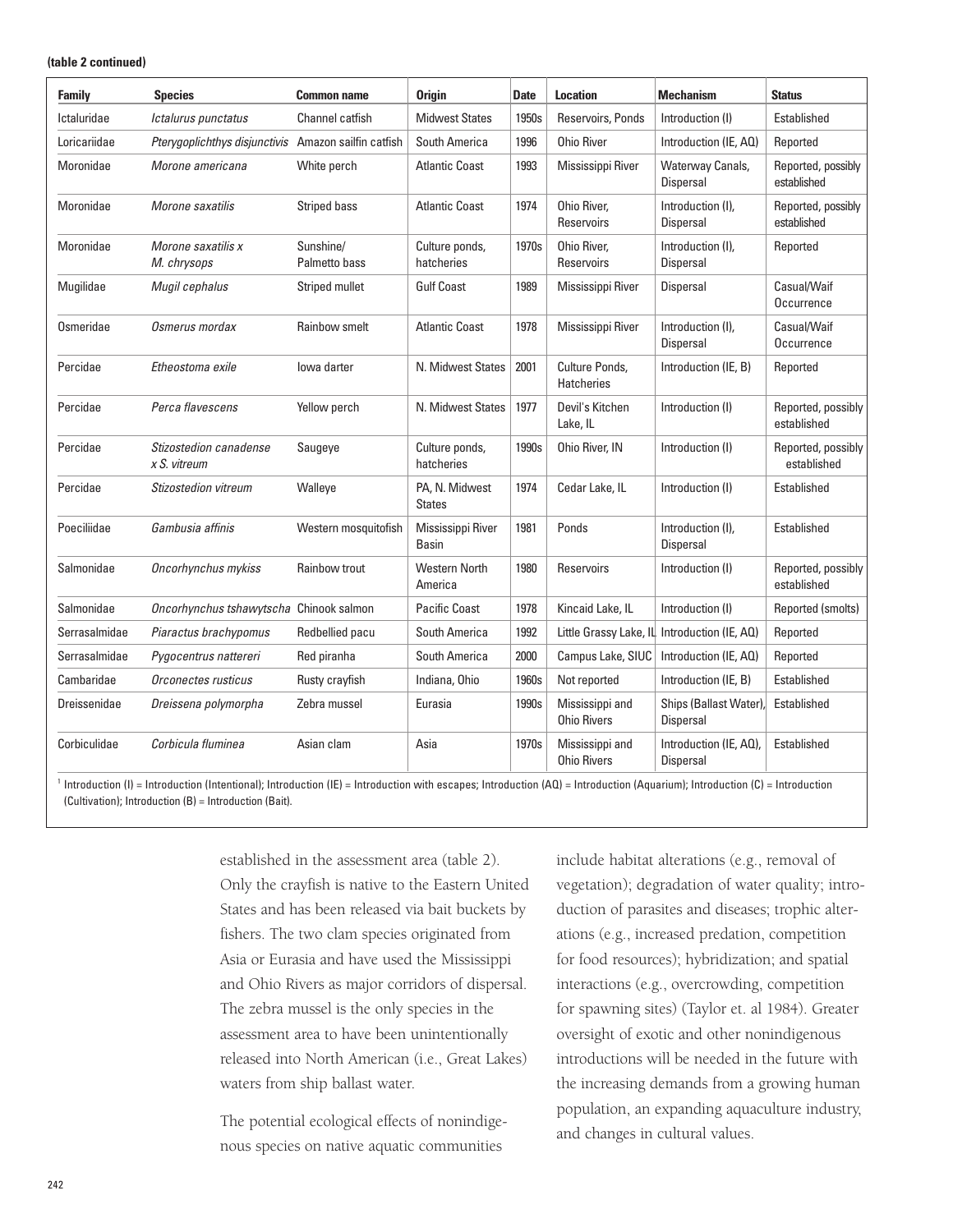#### **(table 2 continued)**

| <b>Family</b> | <b>Species</b>                                       | <b>Common name</b>         | <b>Origin</b>                   | <b>Date</b> | <b>Location</b>                       | <b>Mechanism</b>                             | <b>Status</b>                     |
|---------------|------------------------------------------------------|----------------------------|---------------------------------|-------------|---------------------------------------|----------------------------------------------|-----------------------------------|
| Ictaluridae   | Ictalurus punctatus                                  | Channel catfish            | <b>Midwest States</b>           | 1950s       | Reservoirs, Ponds                     | Introduction (I)                             | Established                       |
| Loricariidae  | Pterygoplichthys disjunctivis Amazon sailfin catfish |                            | South America                   | 1996        | <b>Ohio River</b>                     | Introduction (IE, AQ)                        | Reported                          |
| Moronidae     | Morone americana                                     | White perch                | <b>Atlantic Coast</b>           | 1993        | Mississippi River                     | Waterway Canals,<br>Dispersal                | Reported, possibly<br>established |
| Moronidae     | Morone saxatilis                                     | Striped bass               | <b>Atlantic Coast</b>           | 1974        | Ohio River,<br>Reservoirs             | Introduction (I),<br>Dispersal               | Reported, possibly<br>established |
| Moronidae     | Morone saxatilis x<br>M. chrysops                    | Sunshine/<br>Palmetto bass | Culture ponds,<br>hatcheries    | 1970s       | Ohio River,<br>Reservoirs             | Introduction (I),<br>Dispersal               | Reported                          |
| Mugilidae     | Mugil cephalus                                       | Striped mullet             | <b>Gulf Coast</b>               | 1989        | Mississippi River                     | Dispersal                                    | Casual/Waif<br>Occurrence         |
| Osmeridae     | Osmerus mordax                                       | Rainbow smelt              | <b>Atlantic Coast</b>           | 1978        | Mississippi River                     | Introduction (I),<br><b>Dispersal</b>        | Casual/Waif<br>Occurrence         |
| Percidae      | Etheostoma exile                                     | lowa darter                | N. Midwest States               | 2001        | Culture Ponds,<br><b>Hatcheries</b>   | Introduction (IE, B)                         | Reported                          |
| Percidae      | Perca flavescens                                     | Yellow perch               | N. Midwest States               | 1977        | Devil's Kitchen<br>Lake, IL           | Introduction (I)                             | Reported, possibly<br>established |
| Percidae      | Stizostedion canadense<br>$x S.$ vitreum             | Saugeye                    | Culture ponds,<br>hatcheries    | 1990s       | Ohio River, IN                        | Introduction (I)                             | Reported, possibly<br>established |
| Percidae      | <b>Stizostedion vitreum</b>                          | Walleye                    | PA, N. Midwest<br><b>States</b> | 1974        | Cedar Lake, IL                        | Introduction (I)                             | Established                       |
| Poeciliidae   | Gambusia affinis                                     | Western mosquitofish       | Mississippi River<br>Basin      | 1981        | Ponds                                 | Introduction (I),<br>Dispersal               | Established                       |
| Salmonidae    | Oncorhynchus mykiss                                  | Rainbow trout              | <b>Western North</b><br>America | 1980        | Reservoirs                            | Introduction (I)                             | Reported, possibly<br>established |
| Salmonidae    | Oncorhynchus tshawytscha Chinook salmon              |                            | <b>Pacific Coast</b>            | 1978        | Kincaid Lake, IL                      | Introduction (I)                             | Reported (smolts)                 |
| Serrasalmidae | Piaractus brachypomus                                | Redbellied pacu            | South America                   | 1992        |                                       | Little Grassy Lake, IL Introduction (IE, AQ) | Reported                          |
| Serrasalmidae | Pygocentrus nattereri                                | Red piranha                | South America                   | 2000        | Campus Lake, SIUC                     | Introduction (IE, AQ)                        | Reported                          |
| Cambaridae    | Orconectes rusticus                                  | Rusty crayfish             | Indiana, Ohio                   | 1960s       | Not reported                          | Introduction (IE, B)                         | Established                       |
| Dreissenidae  | Dreissena polymorpha                                 | Zebra mussel               | Eurasia                         | 1990s       | Mississippi and<br><b>Ohio Rivers</b> | Ships (Ballast Water),<br><b>Dispersal</b>   | Established                       |
| Corbiculidae  | Corbicula fluminea                                   | Asian clam                 | Asia                            | 1970s       | Mississippi and<br><b>Ohio Rivers</b> | Introduction (IE, AQ),<br><b>Dispersal</b>   | Established                       |

Introduction (I) = Introduction (Intentional); Introduction (IE) = Introduction with escapes; Introduction (AQ) = Introduction (Aquarium); Introduction (C) = Introduction (Cultivation); Introduction (B) = Introduction (Bait).

> established in the assessment area (table 2). Only the crayfish is native to the Eastern United States and has been released via bait buckets by fishers. The two clam species originated from Asia or Eurasia and have used the Mississippi and Ohio Rivers as major corridors of dispersal. The zebra mussel is the only species in the assessment area to have been unintentionally released into North American (i.e., Great Lakes) waters from ship ballast water.

The potential ecological effects of nonindigenous species on native aquatic communities

include habitat alterations (e.g., removal of vegetation); degradation of water quality; introduction of parasites and diseases; trophic alterations (e.g., increased predation, competition for food resources); hybridization; and spatial interactions (e.g., overcrowding, competition for spawning sites) (Taylor et. al 1984). Greater oversight of exotic and other nonindigenous introductions will be needed in the future with the increasing demands from a growing human population, an expanding aquaculture industry, and changes in cultural values.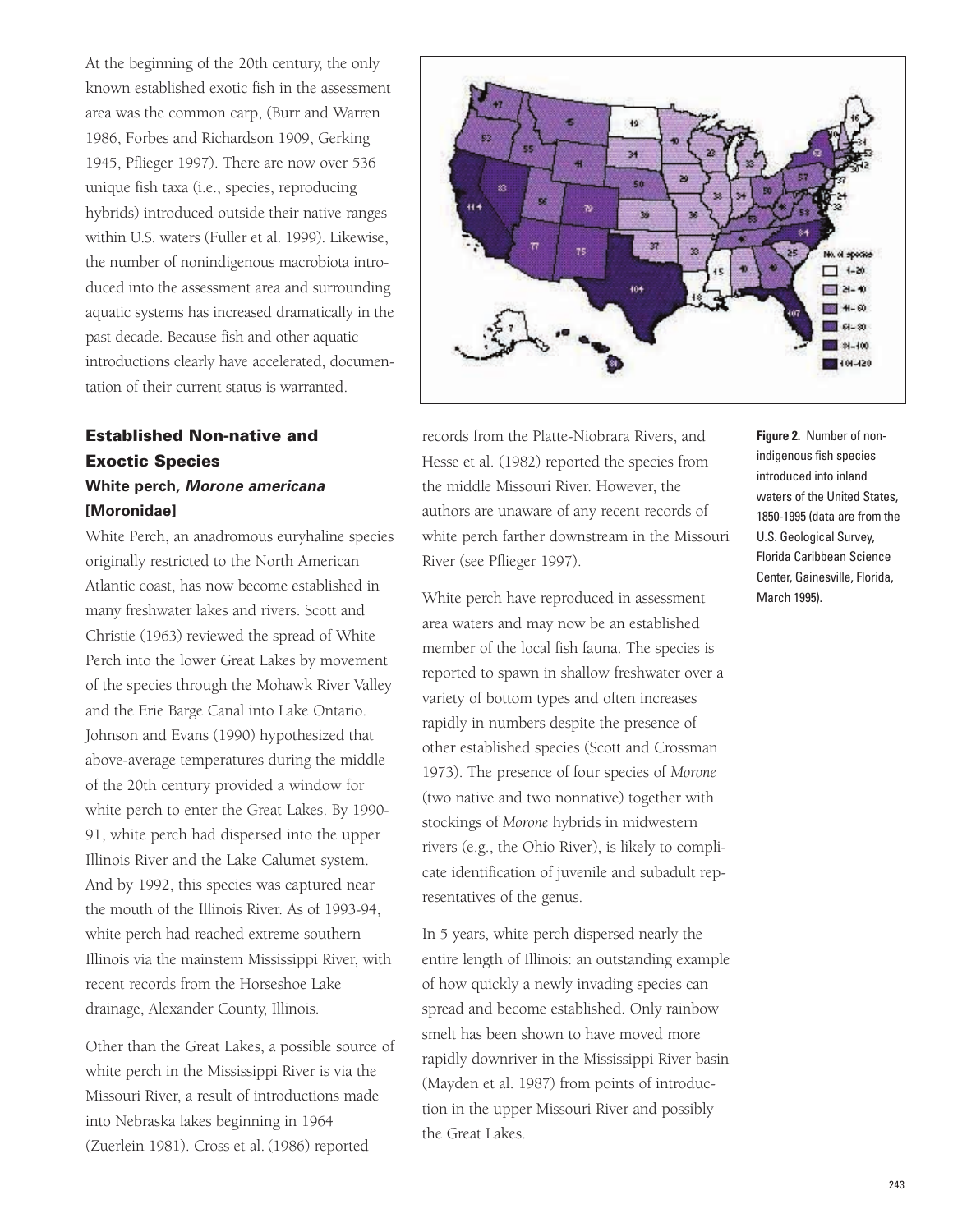At the beginning of the 20th century, the only known established exotic fish in the assessment area was the common carp, (Burr and Warren 1986, Forbes and Richardson 1909, Gerking 1945, Pflieger 1997). There are now over 536 unique fish taxa (i.e., species, reproducing hybrids) introduced outside their native ranges within U.S. waters (Fuller et al. 1999). Likewise, the number of nonindigenous macrobiota introduced into the assessment area and surrounding aquatic systems has increased dramatically in the past decade. Because fish and other aquatic introductions clearly have accelerated, documentation of their current status is warranted.

## **Established Non-native and Exoctic Species White perch, Morone americana [Moronidae]**

White Perch, an anadromous euryhaline species originally restricted to the North American Atlantic coast, has now become established in many freshwater lakes and rivers. Scott and Christie (1963) reviewed the spread of White Perch into the lower Great Lakes by movement of the species through the Mohawk River Valley and the Erie Barge Canal into Lake Ontario. Johnson and Evans (1990) hypothesized that above-average temperatures during the middle of the 20th century provided a window for white perch to enter the Great Lakes. By 1990- 91, white perch had dispersed into the upper Illinois River and the Lake Calumet system. And by 1992, this species was captured near the mouth of the Illinois River. As of 1993-94, white perch had reached extreme southern Illinois via the mainstem Mississippi River, with recent records from the Horseshoe Lake drainage, Alexander County, Illinois.

Other than the Great Lakes, a possible source of white perch in the Mississippi River is via the Missouri River, a result of introductions made into Nebraska lakes beginning in 1964 (Zuerlein 1981). Cross et al. (1986) reported

![](_page_7_Figure_4.jpeg)

records from the Platte-Niobrara Rivers, and Hesse et al. (1982) reported the species from the middle Missouri River. However, the authors are unaware of any recent records of white perch farther downstream in the Missouri River (see Pflieger 1997).

White perch have reproduced in assessment area waters and may now be an established member of the local fish fauna. The species is reported to spawn in shallow freshwater over a variety of bottom types and often increases rapidly in numbers despite the presence of other established species (Scott and Crossman 1973). The presence of four species of *Morone* (two native and two nonnative) together with stockings of *Morone* hybrids in midwestern rivers (e.g., the Ohio River), is likely to complicate identification of juvenile and subadult representatives of the genus.

In 5 years, white perch dispersed nearly the entire length of Illinois: an outstanding example of how quickly a newly invading species can spread and become established. Only rainbow smelt has been shown to have moved more rapidly downriver in the Mississippi River basin (Mayden et al. 1987) from points of introduction in the upper Missouri River and possibly the Great Lakes.

**Figure 2.** Number of nonindigenous fish species introduced into inland waters of the United States, 1850-1995 (data are from the U.S. Geological Survey, Florida Caribbean Science Center, Gainesville, Florida, March 1995).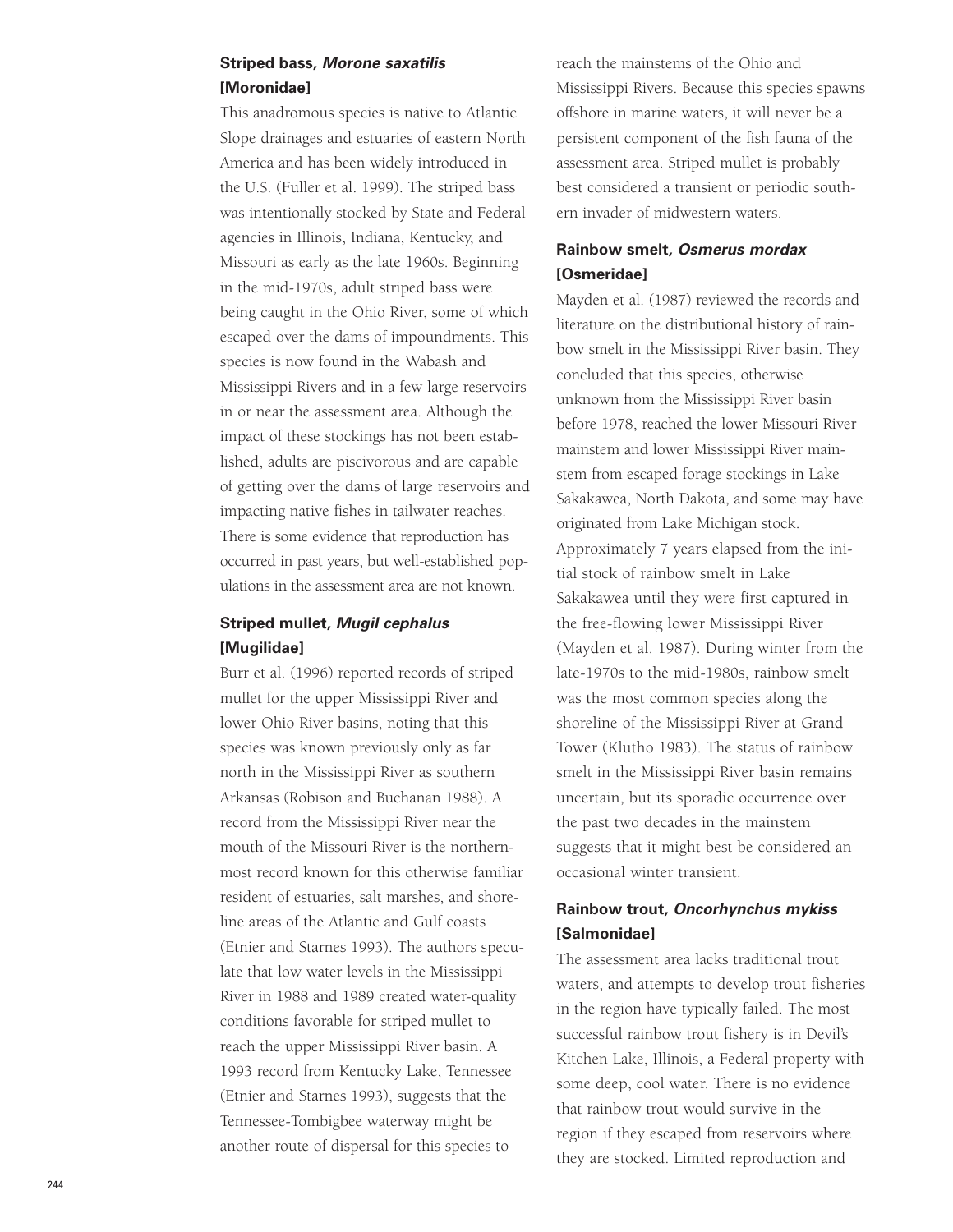### **Striped bass, Morone saxatilis [Moronidae]**

This anadromous species is native to Atlantic Slope drainages and estuaries of eastern North America and has been widely introduced in the U.S. (Fuller et al. 1999). The striped bass was intentionally stocked by State and Federal agencies in Illinois, Indiana, Kentucky, and Missouri as early as the late 1960s. Beginning in the mid-1970s, adult striped bass were being caught in the Ohio River, some of which escaped over the dams of impoundments. This species is now found in the Wabash and Mississippi Rivers and in a few large reservoirs in or near the assessment area. Although the impact of these stockings has not been established, adults are piscivorous and are capable of getting over the dams of large reservoirs and impacting native fishes in tailwater reaches. There is some evidence that reproduction has occurred in past years, but well-established populations in the assessment area are not known.

## **Striped mullet, Mugil cephalus [Mugilidae]**

Burr et al. (1996) reported records of striped mullet for the upper Mississippi River and lower Ohio River basins, noting that this species was known previously only as far north in the Mississippi River as southern Arkansas (Robison and Buchanan 1988). A record from the Mississippi River near the mouth of the Missouri River is the northernmost record known for this otherwise familiar resident of estuaries, salt marshes, and shoreline areas of the Atlantic and Gulf coasts (Etnier and Starnes 1993). The authors speculate that low water levels in the Mississippi River in 1988 and 1989 created water-quality conditions favorable for striped mullet to reach the upper Mississippi River basin. A 1993 record from Kentucky Lake, Tennessee (Etnier and Starnes 1993), suggests that the Tennessee-Tombigbee waterway might be another route of dispersal for this species to

reach the mainstems of the Ohio and Mississippi Rivers. Because this species spawns offshore in marine waters, it will never be a persistent component of the fish fauna of the assessment area. Striped mullet is probably best considered a transient or periodic southern invader of midwestern waters.

### **Rainbow smelt, Osmerus mordax [Osmeridae]**

Mayden et al. (1987) reviewed the records and literature on the distributional history of rainbow smelt in the Mississippi River basin. They concluded that this species, otherwise unknown from the Mississippi River basin before 1978, reached the lower Missouri River mainstem and lower Mississippi River mainstem from escaped forage stockings in Lake Sakakawea, North Dakota, and some may have originated from Lake Michigan stock. Approximately 7 years elapsed from the initial stock of rainbow smelt in Lake Sakakawea until they were first captured in the free-flowing lower Mississippi River (Mayden et al. 1987). During winter from the late-1970s to the mid-1980s, rainbow smelt was the most common species along the shoreline of the Mississippi River at Grand Tower (Klutho 1983). The status of rainbow smelt in the Mississippi River basin remains uncertain, but its sporadic occurrence over the past two decades in the mainstem suggests that it might best be considered an occasional winter transient.

### **Rainbow trout, Oncorhynchus mykiss [Salmonidae]**

The assessment area lacks traditional trout waters, and attempts to develop trout fisheries in the region have typically failed. The most successful rainbow trout fishery is in Devil's Kitchen Lake, Illinois, a Federal property with some deep, cool water. There is no evidence that rainbow trout would survive in the region if they escaped from reservoirs where they are stocked. Limited reproduction and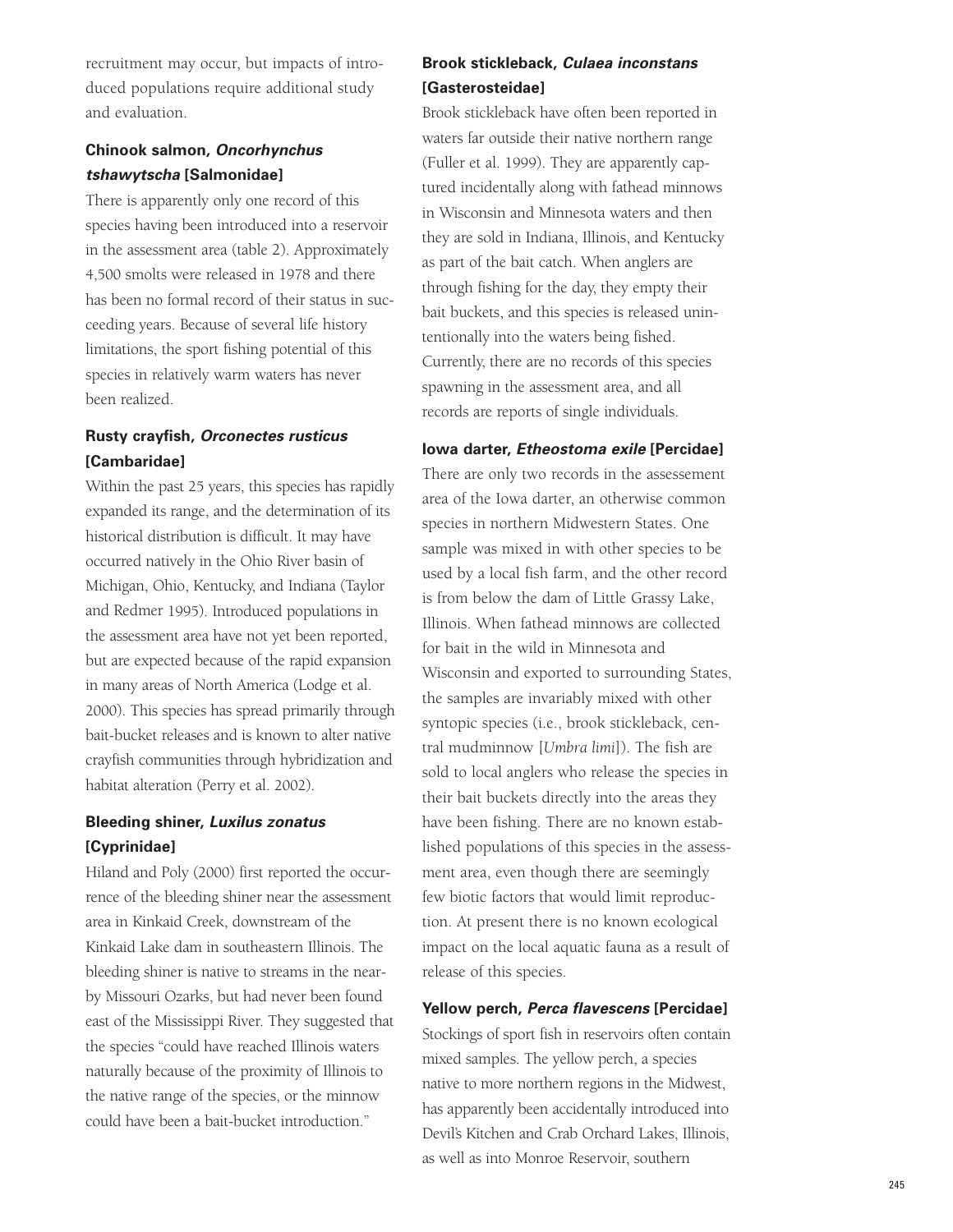recruitment may occur, but impacts of introduced populations require additional study and evaluation.

## **Chinook salmon, Oncorhynchus tshawytscha [Salmonidae]**

There is apparently only one record of this species having been introduced into a reservoir in the assessment area (table 2). Approximately 4,500 smolts were released in 1978 and there has been no formal record of their status in succeeding years. Because of several life history limitations, the sport fishing potential of this species in relatively warm waters has never been realized.

### **Rusty crayfish, Orconectes rusticus [Cambaridae]**

Within the past 25 years, this species has rapidly expanded its range, and the determination of its historical distribution is difficult. It may have occurred natively in the Ohio River basin of Michigan, Ohio, Kentucky, and Indiana (Taylor and Redmer 1995). Introduced populations in the assessment area have not yet been reported, but are expected because of the rapid expansion in many areas of North America (Lodge et al. 2000). This species has spread primarily through bait-bucket releases and is known to alter native crayfish communities through hybridization and habitat alteration (Perry et al. 2002).

## **Bleeding shiner, Luxilus zonatus [Cyprinidae]**

Hiland and Poly (2000) first reported the occurrence of the bleeding shiner near the assessment area in Kinkaid Creek, downstream of the Kinkaid Lake dam in southeastern Illinois. The bleeding shiner is native to streams in the nearby Missouri Ozarks, but had never been found east of the Mississippi River. They suggested that the species "could have reached Illinois waters naturally because of the proximity of Illinois to the native range of the species, or the minnow could have been a bait-bucket introduction."

## **Brook stickleback, Culaea inconstans [Gasterosteidae]**

Brook stickleback have often been reported in waters far outside their native northern range (Fuller et al. 1999). They are apparently captured incidentally along with fathead minnows in Wisconsin and Minnesota waters and then they are sold in Indiana, Illinois, and Kentucky as part of the bait catch. When anglers are through fishing for the day, they empty their bait buckets, and this species is released unintentionally into the waters being fished. Currently, there are no records of this species spawning in the assessment area, and all records are reports of single individuals.

### **Iowa darter, Etheostoma exile [Percidae]**

There are only two records in the assessement area of the Iowa darter, an otherwise common species in northern Midwestern States. One sample was mixed in with other species to be used by a local fish farm, and the other record is from below the dam of Little Grassy Lake, Illinois. When fathead minnows are collected for bait in the wild in Minnesota and Wisconsin and exported to surrounding States, the samples are invariably mixed with other syntopic species (i.e., brook stickleback, central mudminnow [*Umbra limi*]). The fish are sold to local anglers who release the species in their bait buckets directly into the areas they have been fishing. There are no known established populations of this species in the assessment area, even though there are seemingly few biotic factors that would limit reproduction. At present there is no known ecological impact on the local aquatic fauna as a result of release of this species.

### **Yellow perch, Perca flavescens [Percidae]**

Stockings of sport fish in reservoirs often contain mixed samples. The yellow perch, a species native to more northern regions in the Midwest, has apparently been accidentally introduced into Devil's Kitchen and Crab Orchard Lakes, Illinois, as well as into Monroe Reservoir, southern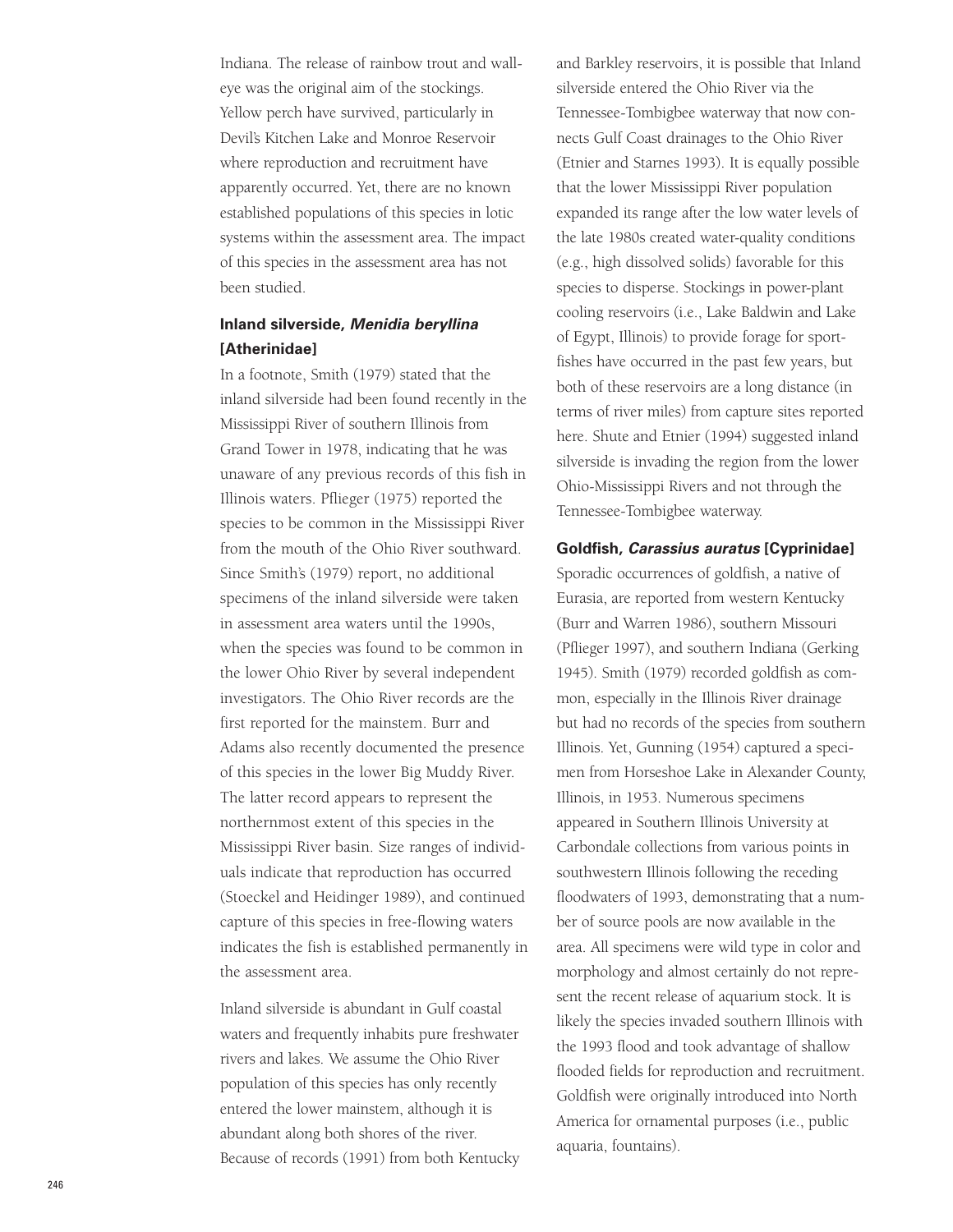Indiana. The release of rainbow trout and walleye was the original aim of the stockings. Yellow perch have survived, particularly in Devil's Kitchen Lake and Monroe Reservoir where reproduction and recruitment have apparently occurred. Yet, there are no known established populations of this species in lotic systems within the assessment area. The impact of this species in the assessment area has not been studied.

## **Inland silverside, Menidia beryllina [Atherinidae]**

In a footnote, Smith (1979) stated that the inland silverside had been found recently in the Mississippi River of southern Illinois from Grand Tower in 1978, indicating that he was unaware of any previous records of this fish in Illinois waters. Pflieger (1975) reported the species to be common in the Mississippi River from the mouth of the Ohio River southward. Since Smith's (1979) report, no additional specimens of the inland silverside were taken in assessment area waters until the 1990s, when the species was found to be common in the lower Ohio River by several independent investigators. The Ohio River records are the first reported for the mainstem. Burr and Adams also recently documented the presence of this species in the lower Big Muddy River. The latter record appears to represent the northernmost extent of this species in the Mississippi River basin. Size ranges of individuals indicate that reproduction has occurred (Stoeckel and Heidinger 1989), and continued capture of this species in free-flowing waters indicates the fish is established permanently in the assessment area.

Inland silverside is abundant in Gulf coastal waters and frequently inhabits pure freshwater rivers and lakes. We assume the Ohio River population of this species has only recently entered the lower mainstem, although it is abundant along both shores of the river. Because of records (1991) from both Kentucky

and Barkley reservoirs, it is possible that Inland silverside entered the Ohio River via the Tennessee-Tombigbee waterway that now connects Gulf Coast drainages to the Ohio River (Etnier and Starnes 1993). It is equally possible that the lower Mississippi River population expanded its range after the low water levels of the late 1980s created water-quality conditions (e.g., high dissolved solids) favorable for this species to disperse. Stockings in power-plant cooling reservoirs (i.e., Lake Baldwin and Lake of Egypt, Illinois) to provide forage for sportfishes have occurred in the past few years, but both of these reservoirs are a long distance (in terms of river miles) from capture sites reported here. Shute and Etnier (1994) suggested inland silverside is invading the region from the lower Ohio-Mississippi Rivers and not through the Tennessee-Tombigbee waterway.

#### **Goldfish, Carassius auratus [Cyprinidae]**

Sporadic occurrences of goldfish, a native of Eurasia, are reported from western Kentucky (Burr and Warren 1986), southern Missouri (Pflieger 1997), and southern Indiana (Gerking 1945). Smith (1979) recorded goldfish as common, especially in the Illinois River drainage but had no records of the species from southern Illinois. Yet, Gunning (1954) captured a specimen from Horseshoe Lake in Alexander County, Illinois, in 1953. Numerous specimens appeared in Southern Illinois University at Carbondale collections from various points in southwestern Illinois following the receding floodwaters of 1993, demonstrating that a number of source pools are now available in the area. All specimens were wild type in color and morphology and almost certainly do not represent the recent release of aquarium stock. It is likely the species invaded southern Illinois with the 1993 flood and took advantage of shallow flooded fields for reproduction and recruitment. Goldfish were originally introduced into North America for ornamental purposes (i.e., public aquaria, fountains).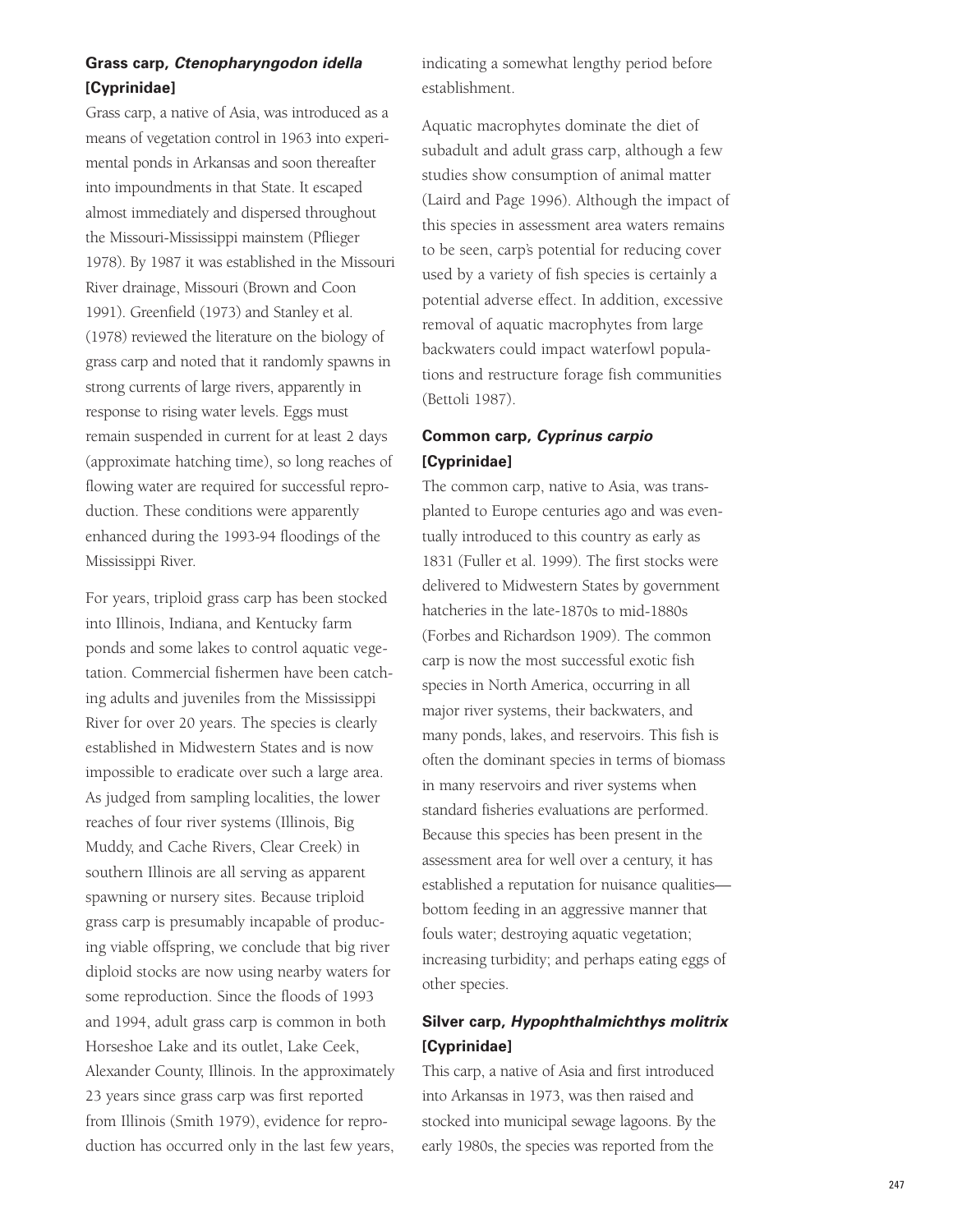## **Grass carp, Ctenopharyngodon idella [Cyprinidae]**

Grass carp, a native of Asia, was introduced as a means of vegetation control in 1963 into experimental ponds in Arkansas and soon thereafter into impoundments in that State. It escaped almost immediately and dispersed throughout the Missouri-Mississippi mainstem (Pflieger 1978). By 1987 it was established in the Missouri River drainage, Missouri (Brown and Coon 1991). Greenfield (1973) and Stanley et al. (1978) reviewed the literature on the biology of grass carp and noted that it randomly spawns in strong currents of large rivers, apparently in response to rising water levels. Eggs must remain suspended in current for at least 2 days (approximate hatching time), so long reaches of flowing water are required for successful reproduction. These conditions were apparently enhanced during the 1993-94 floodings of the Mississippi River.

For years, triploid grass carp has been stocked into Illinois, Indiana, and Kentucky farm ponds and some lakes to control aquatic vegetation. Commercial fishermen have been catching adults and juveniles from the Mississippi River for over 20 years. The species is clearly established in Midwestern States and is now impossible to eradicate over such a large area. As judged from sampling localities, the lower reaches of four river systems (Illinois, Big Muddy, and Cache Rivers, Clear Creek) in southern Illinois are all serving as apparent spawning or nursery sites. Because triploid grass carp is presumably incapable of producing viable offspring, we conclude that big river diploid stocks are now using nearby waters for some reproduction. Since the floods of 1993 and 1994, adult grass carp is common in both Horseshoe Lake and its outlet, Lake Ceek, Alexander County, Illinois. In the approximately 23 years since grass carp was first reported from Illinois (Smith 1979), evidence for reproduction has occurred only in the last few years, indicating a somewhat lengthy period before establishment.

Aquatic macrophytes dominate the diet of subadult and adult grass carp, although a few studies show consumption of animal matter (Laird and Page 1996). Although the impact of this species in assessment area waters remains to be seen, carp's potential for reducing cover used by a variety of fish species is certainly a potential adverse effect. In addition, excessive removal of aquatic macrophytes from large backwaters could impact waterfowl populations and restructure forage fish communities (Bettoli 1987).

## **Common carp, Cyprinus carpio [Cyprinidae]**

The common carp, native to Asia, was transplanted to Europe centuries ago and was eventually introduced to this country as early as 1831 (Fuller et al. 1999). The first stocks were delivered to Midwestern States by government hatcheries in the late-1870s to mid-1880 s (Forbes and Richardson 1909). The common carp is now the most successful exotic fish species in North America, occurring in all major river systems, their backwaters, and many ponds, lakes, and reservoirs. This fish is often the dominant species in terms of biomass in many reservoirs and river systems when standard fisheries evaluations are performed. Because this species has been present in the assessment area for well over a century, it has established a reputation for nuisance qualities bottom feeding in an aggressive manner that fouls water; destroying aquatic vegetation; increasing turbidity; and perhaps eating eggs of other species.

## **Silver carp, Hypophthalmichthys molitrix [Cyprinidae]**

This carp, a native of Asia and first introduced into Arkansas in 1973, was then raised and stocked into municipal sewage lagoons. By the early 1980s, the species was reported from the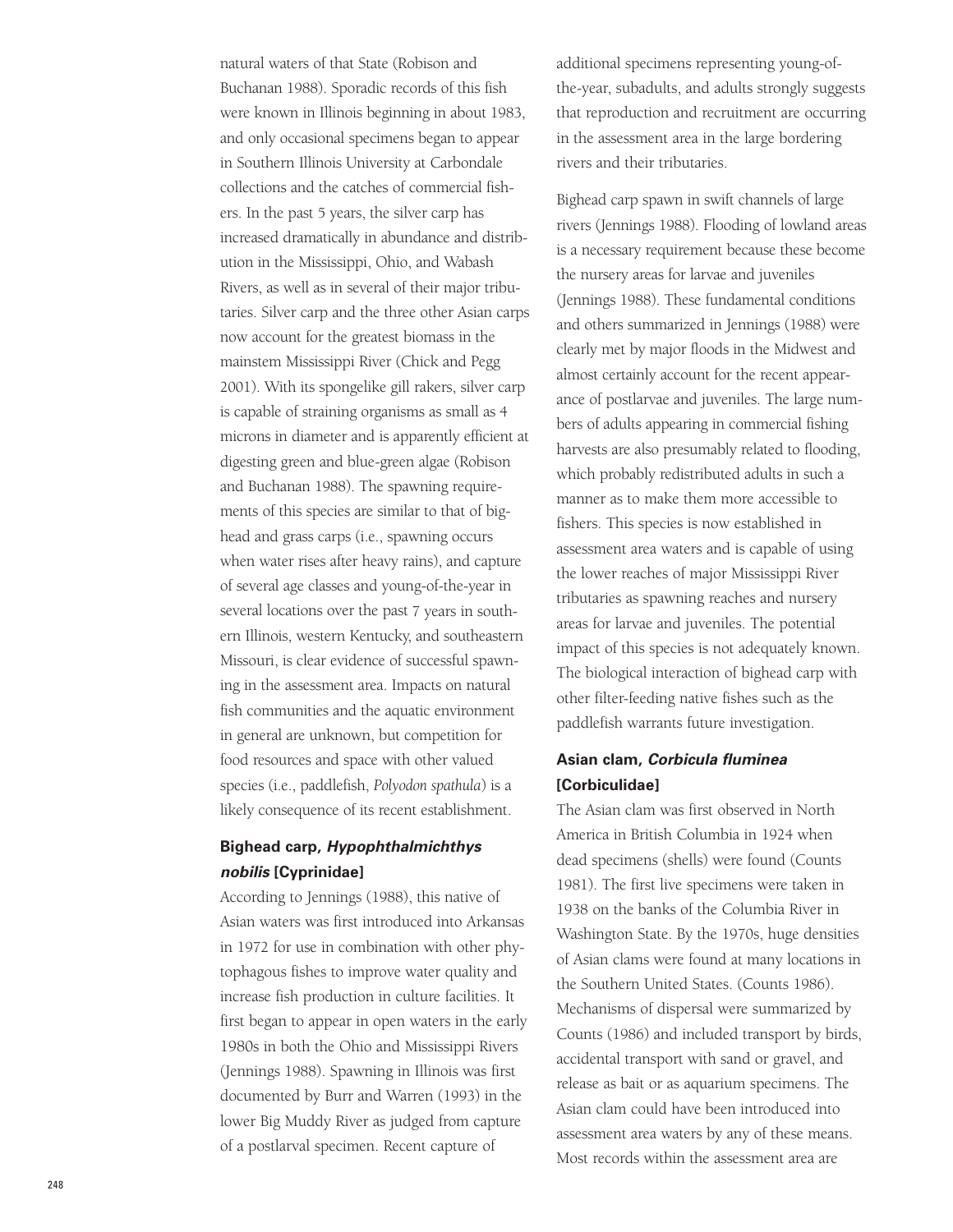natural waters of that State (Robison and Buchanan 1988). Sporadic records of this fish were known in Illinois beginning in about 1983 , and only occasional specimens began to appear in Southern Illinois University at Carbondale collections and the catches of commercial fishers. In the past 5 years, the silver carp has increased dramatically in abundance and distribution in the Mississippi, Ohio, and Wabash Rivers, as well as in several of their major tributaries. Silver carp and the three other Asian carps now account for the greatest biomass in the mainstem Mississippi River (Chick and Pegg 2001). With its spongelike gill rakers, silver carp is capable of straining organisms as small as 4 microns in diameter and is apparently efficient at digesting green and blue-green algae (Robison and Buchanan 1988). The spawning requirements of this species are similar to that of bighead and grass carps (i.e., spawning occurs when water rises after heavy rains), and capture of several age classes and young-of-the-year in several locations over the past 7 years in southern Illinois, western Kentucky, and southeastern Missouri, is clear evidence of successful spawning in the assessment area. Impacts on natural fish communities and the aquatic environment in general are unknown, but competition for food resources and space with other valued species (i.e., paddlefish, *Polyodon spathula*) is a likely consequence of its recent establishment.

## **Bighead carp, Hypophthalmichthys nobilis [Cyprinidae]**

According to Jennings (1988), this native of Asian waters was first introduced into Arkansas in 1972 for use in combination with other phytophagous fishes to improve water quality and increase fish production in culture facilities. It first began to appear in open waters in the early 1980s in both the Ohio and Mississippi Rivers (Jennings 1988). Spawning in Illinois was first documented by Burr and Warren (1993) in the lower Big Muddy River as judged from capture of a postlarval specimen. Recent capture of

additional specimens representing young-ofthe-year, subadults, and adults strongly suggests that reproduction and recruitment are occurring in the assessment area in the large bordering rivers and their tributaries.

Bighead carp spawn in swift channels of large rivers (Jennings 1988). Flooding of lowland areas is a necessary requirement because these become the nursery areas for larvae and juveniles (Jennings 1988). These fundamental conditions and others summarized in Jennings (1988) were clearly met by major floods in the Midwest and almost certainly account for the recent appearance of postlarvae and juveniles. The large numbers of adults appearing in commercial fishing harvests are also presumably related to flooding, which probably redistributed adults in such a manner as to make them more accessible to fishers. This species is now established in assessment area waters and is capable of using the lower reaches of major Mississippi River tributaries as spawning reaches and nursery areas for larvae and juveniles. The potential impact of this species is not adequately known. The biological interaction of bighead carp with other filter-feeding native fishes such as the paddlefish warrants future investigation.

## **Asian clam, Corbicula fluminea [Corbiculidae]**

The Asian clam was first observed in North America in British Columbia in 1924 when dead specimens (shells) were found (Counts 1981). The first live specimens were taken in 1938 on the banks of the Columbia River in Washington State. By the 1970s, huge densities of Asian clams were found at many locations in the Southern United States. (Counts 1986). Mechanisms of dispersal were summarized by Counts (1986) and included transport by birds, accidental transport with sand or gravel, and release as bait or as aquarium specimens. The Asian clam could have been introduced into assessment area waters by any of these means. Most records within the assessment area are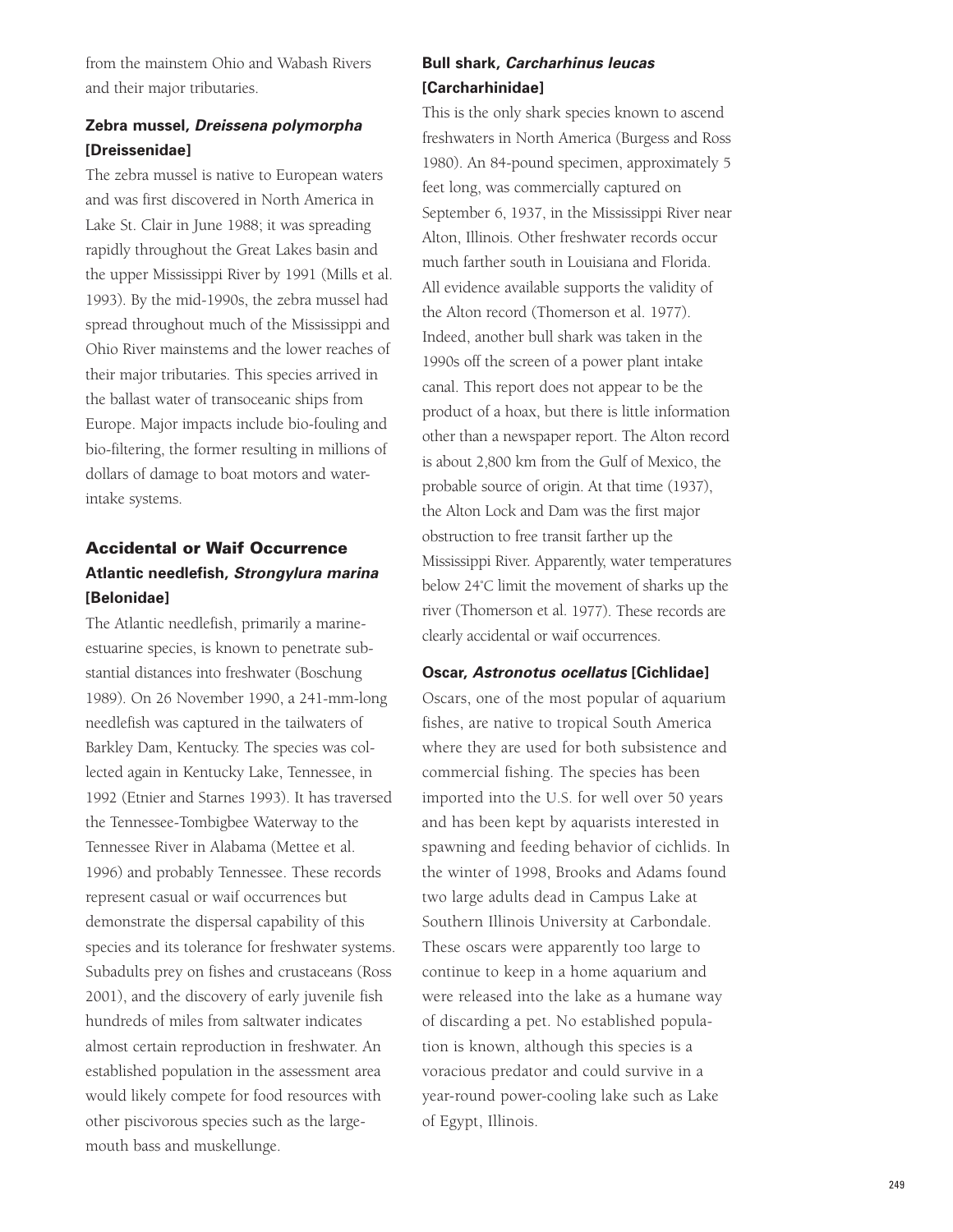from the mainstem Ohio and Wabash Rivers and their major tributaries.

## **Zebra mussel, Dreissena polymorpha [Dreissenidae]**

The zebra mussel is native to European waters and was first discovered in North America in Lake St. Clair in June 1988; it was spreading rapidly throughout the Great Lakes basin and the upper Mississippi River by 1991 (Mills et al. 1993). By the mid-1990s, the zebra mussel had spread throughout much of the Mississippi and Ohio River mainstems and the lower reaches of their major tributaries. This species arrived in the ballast water of transoceanic ships from Europe. Major impacts include bio-fouling and bio-filtering, the former resulting in millions of dollars of damage to boat motors and waterintake systems.

## **Accidental or Waif Occurrence Atlantic needlefish, Strongylura marina [Belonidae]**

The Atlantic needlefish, primarily a marineestuarine species, is known to penetrate substantial distances into freshwater (Boschung 1989). On 26 November 1990, a 241-mm-long needlefish was captured in the tailwaters of Barkley Dam, Kentucky. The species was collected again in Kentucky Lake, Tennessee, in 1992 (Etnier and Starnes 1993). It has traversed the Tennessee-Tombigbee Waterway to the Tennessee River in Alabama (Mettee et al. 1996) and probably Tennessee. These records represent casual or waif occurrences but demonstrate the dispersal capability of this species and its tolerance for freshwater systems. Subadults prey on fishes and crustaceans (Ross 2001), and the discovery of early juvenile fish hundreds of miles from saltwater indicates almost certain reproduction in freshwater. An established population in the assessment area would likely compete for food resources with other piscivorous species such as the largemouth bass and muskellunge.

## **Bull shark, Carcharhinus leucas [Carcharhinidae]**

This is the only shark species known to ascend freshwaters in North America (Burgess and Ross 1980). An 84-pound specimen, approximately 5 feet long, was commercially captured on September 6, 1937, in the Mississippi River near Alton, Illinois. Other freshwater records occur much farther south in Louisiana and Florida. All evidence available supports the validity of the Alton record (Thomerson et al. 1977). Indeed, another bull shark was taken in the 1990s off the screen of a power plant intake canal. This report does not appear to be the product of a hoax, but there is little information other than a newspaper report. The Alton record is about 2,800 km from the Gulf of Mexico, the probable source of origin. At that time (1937), the Alton Lock and Dam was the first major obstruction to free transit farther up the Mississippi River. Apparently, water temperatures below 24˚C limit the movement of sharks up the river (Thomerson et al. 1977). These records are clearly accidental or waif occurrences.

### **Oscar, Astronotus ocellatus [Cichlidae]**

Oscars, one of the most popular of aquarium fishes, are native to tropical South America where they are used for both subsistence and commercial fishing. The species has been imported into the U.S. for well over 50 years and has been kept by aquarists interested in spawning and feeding behavior of cichlids. In the winter of 1998, Brooks and Adams found two large adults dead in Campus Lake at Southern Illinois University at Carbondale. These oscars were apparently too large to continue to keep in a home aquarium and were released into the lake as a humane way of discarding a pet. No established population is known, although this species is a voracious predator and could survive in a year-round power-cooling lake such as Lake of Egypt, Illinois.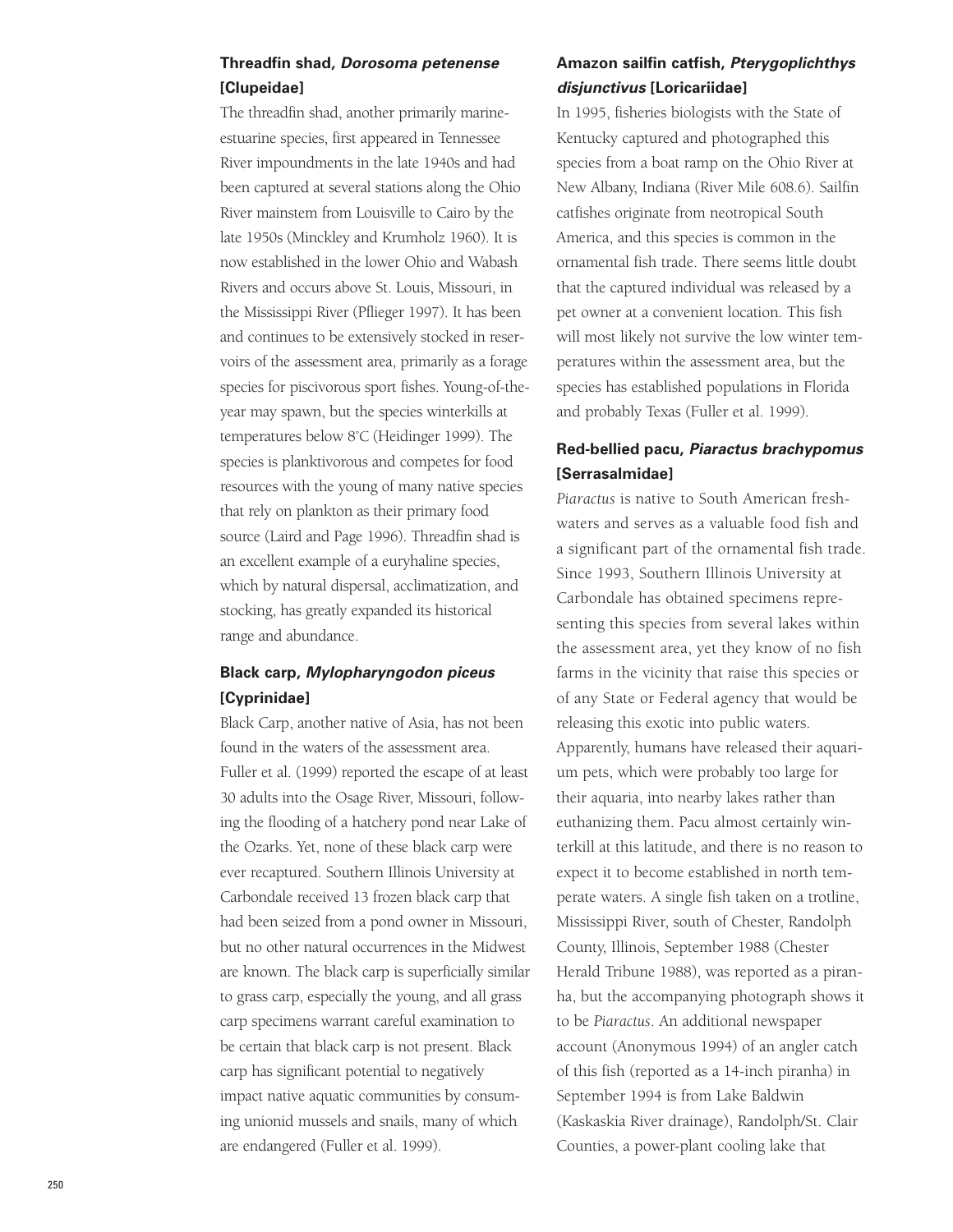### **Threadfin shad, Dorosoma petenense [Clupeidae]**

The threadfin shad, another primarily marineestuarine species, first appeared in Tennessee River impoundments in the late 1940s and had been captured at several stations along the Ohio River mainstem from Louisville to Cairo by the late 1950s (Minckley and Krumholz 1960). It is now established in the lower Ohio and Wabash Rivers and occurs above St. Louis, Missouri, in the Mississippi River (Pflieger 1997). It has been and continues to be extensively stocked in reservoirs of the assessment area, primarily as a forage species for piscivorous sport fishes. Young-of-theyear may spawn, but the species winterkills at temperatures below 8˚C (Heidinger 1999). The species is planktivorous and competes for food resources with the young of many native species that rely on plankton as their primary food source (Laird and Page 1996). Threadfin shad is an excellent example of a euryhaline species, which by natural dispersal, acclimatization, and stocking, has greatly expanded its historical range and abundance.

## **Black carp, Mylopharyngodon piceus [Cyprinidae]**

Black Carp, another native of Asia, has not been found in the waters of the assessment area. Fuller et al. (1999) reported the escape of at least 30 adults into the Osage River, Missouri, following the flooding of a hatchery pond near Lake of the Ozarks. Yet, none of these black carp were ever recaptured. Southern Illinois University at Carbondale received 13 frozen black carp that had been seized from a pond owner in Missouri, but no other natural occurrences in the Midwest are known. The black carp is superficially similar to grass carp, especially the young, and all grass carp specimens warrant careful examination to be certain that black carp is not present. Black carp has significant potential to negatively impact native aquatic communities by consuming unionid mussels and snails, many of which are endangered (Fuller et al. 1999).

## **Amazon sailfin catfish, Pterygoplichthys disjunctivus [Loricariidae]**

In 1995, fisheries biologists with the State of Kentucky captured and photographed this species from a boat ramp on the Ohio River at New Albany, Indiana (River Mile 608.6). Sailfin catfishes originate from neotropical South America, and this species is common in the ornamental fish trade. There seems little doubt that the captured individual was released by a pet owner at a convenient location. This fish will most likely not survive the low winter temperatures within the assessment area, but the species has established populations in Florida and probably Texas (Fuller et al. 1999).

## **Red-bellied pacu, Piaractus brachypomus [Serrasalmidae]**

*Piaractus* is native to South American freshwaters and serves as a valuable food fish and a significant part of the ornamental fish trade. Since 1993, Southern Illinois University at Carbondale has obtained specimens representing this species from several lakes within the assessment area, yet they know of no fish farms in the vicinity that raise this species or of any State or Federal agency that would be releasing this exotic into public waters. Apparently, humans have released their aquarium pets, which were probably too large for their aquaria, into nearby lakes rather than euthanizing them. Pacu almost certainly winterkill at this latitude, and there is no reason to expect it to become established in north temperate waters. A single fish taken on a trotline, Mississippi River, south of Chester, Randolph County, Illinois, September 1988 (Chester Herald Tribune 1988), was reported as a piranha, but the accompanying photograph shows it to be *Piaractus*. An additional newspaper account (Anonymous 1994) of an angler catch of this fish (reported as a 14-inch piranha) in September 1994 is from Lake Baldwin (Kaskaskia River drainage), Randolph/St. Clair Counties, a power-plant cooling lake that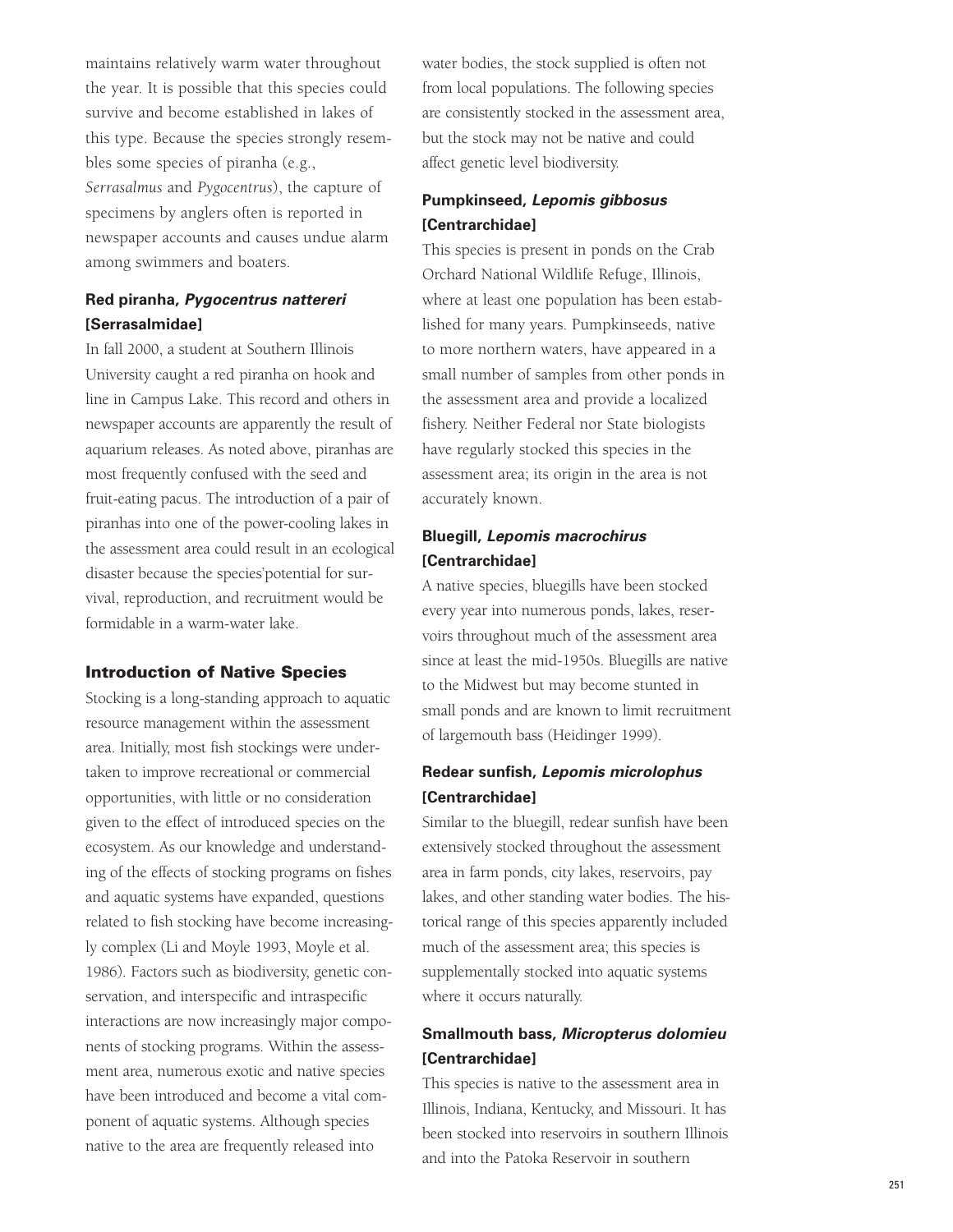maintains relatively warm water throughout the year. It is possible that this species could survive and become established in lakes of this type. Because the species strongly resembles some species of piranha (e.g., *Serrasalmus* and *Pygocentrus*), the capture of specimens by anglers often is reported in newspaper accounts and causes undue alarm among swimmers and boaters.

## **Red piranha, Pygocentrus nattereri [Serrasalmidae]**

In fall 2000, a student at Southern Illinois University caught a red piranha on hook and line in Campus Lake. This record and others in newspaper accounts are apparently the result of aquarium releases. As noted above, piranhas are most frequently confused with the seed and fruit-eating pacus. The introduction of a pair of piranhas into one of the power-cooling lakes in the assessment area could result in an ecological disaster because the species'potential for survival, reproduction, and recruitment would be formidable in a warm-water lake.

#### **Introduction of Native Species**

Stocking is a long-standing approach to aquatic resource management within the assessment area. Initially, most fish stockings were undertaken to improve recreational or commercial opportunities, with little or no consideration given to the effect of introduced species on the ecosystem. As our knowledge and understanding of the effects of stocking programs on fishes and aquatic systems have expanded, questions related to fish stocking have become increasingly complex (Li and Moyle 1993, Moyle et al. 1986). Factors such as biodiversity, genetic conservation, and interspecific and intraspecific interactions are now increasingly major components of stocking programs. Within the assessment area, numerous exotic and native species have been introduced and become a vital component of aquatic systems. Although species native to the area are frequently released into

water bodies, the stock supplied is often not from local populations. The following species are consistently stocked in the assessment area, but the stock may not be native and could affect genetic level biodiversity.

## **Pumpkinseed, Lepomis gibbosus [Centrarchidae]**

This species is present in ponds on the Crab Orchard National Wildlife Refuge, Illinois, where at least one population has been established for many years. Pumpkinseeds, native to more northern waters, have appeared in a small number of samples from other ponds in the assessment area and provide a localized fishery. Neither Federal nor State biologists have regularly stocked this species in the assessment area; its origin in the area is not accurately known.

## **Bluegill, Lepomis macrochirus [Centrarchidae]**

A native species, bluegills have been stocked every year into numerous ponds, lakes, reservoirs throughout much of the assessment area since at least the mid-1950s. Bluegills are native to the Midwest but may become stunted in small ponds and are known to limit recruitment of largemouth bass (Heidinger 1999).

### **Redear sunfish, Lepomis microlophus [Centrarchidae]**

Similar to the bluegill, redear sunfish have been extensively stocked throughout the assessment area in farm ponds, city lakes, reservoirs, pay lakes, and other standing water bodies. The historical range of this species apparently included much of the assessment area; this species is supplementally stocked into aquatic systems where it occurs naturally.

## **Smallmouth bass, Micropterus dolomieu [Centrarchidae]**

This species is native to the assessment area in Illinois, Indiana, Kentucky, and Missouri. It has been stocked into reservoirs in southern Illinois and into the Patoka Reservoir in southern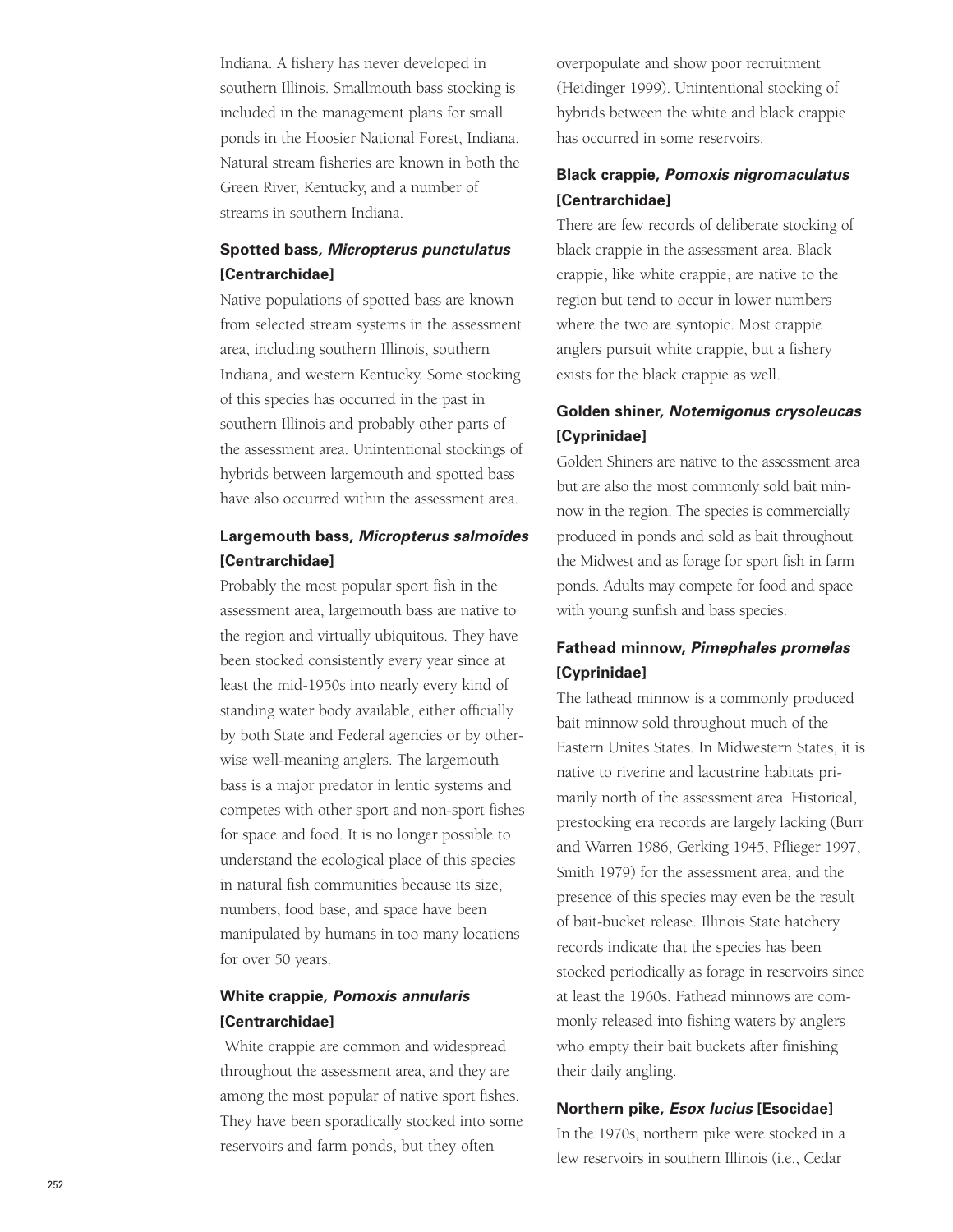Indiana. A fishery has never developed in southern Illinois. Smallmouth bass stocking is included in the management plans for small ponds in the Hoosier National Forest, Indiana. Natural stream fisheries are known in both the Green River, Kentucky, and a number of streams in southern Indiana.

## **Spotted bass, Micropterus punctulatus [Centrarchidae]**

Native populations of spotted bass are known from selected stream systems in the assessment area, including southern Illinois, southern Indiana, and western Kentucky. Some stocking of this species has occurred in the past in southern Illinois and probably other parts of the assessment area. Unintentional stockings of hybrids between largemouth and spotted bass have also occurred within the assessment area.

## **Largemouth bass, Micropterus salmoides [Centrarchidae]**

Probably the most popular sport fish in the assessment area, largemouth bass are native to the region and virtually ubiquitous. They have been stocked consistently every year since at least the mid-1950s into nearly every kind of standing water body available, either officially by both State and Federal agencies or by otherwise well-meaning anglers. The largemouth bass is a major predator in lentic systems and competes with other sport and non-sport fishes for space and food. It is no longer possible to understand the ecological place of this species in natural fish communities because its size, numbers, food base, and space have been manipulated by humans in too many locations for over 50 years.

## **White crappie, Pomoxis annularis [Centrarchidae]**

White crappie are common and widespread throughout the assessment area, and they are among the most popular of native sport fishes. They have been sporadically stocked into some reservoirs and farm ponds, but they often

overpopulate and show poor recruitment (Heidinger 1999). Unintentional stocking of hybrids between the white and black crappie has occurred in some reservoirs.

## **Black crappie, Pomoxis nigromaculatus [Centrarchidae]**

There are few records of deliberate stocking of black crappie in the assessment area. Black crappie, like white crappie, are native to the region but tend to occur in lower numbers where the two are syntopic. Most crappie anglers pursuit white crappie, but a fishery exists for the black crappie as well.

## **Golden shiner, Notemigonus crysoleucas [Cyprinidae]**

Golden Shiners are native to the assessment area but are also the most commonly sold bait minnow in the region. The species is commercially produced in ponds and sold as bait throughout the Midwest and as forage for sport fish in farm ponds. Adults may compete for food and space with young sunfish and bass species.

## **Fathead minnow, Pimephales promelas [Cyprinidae]**

The fathead minnow is a commonly produced bait minnow sold throughout much of the Eastern Unites States. In Midwestern States, it is native to riverine and lacustrine habitats primarily north of the assessment area. Historical, prestocking era records are largely lacking (Burr and Warren 1986, Gerking 1945, Pflieger 1997 , Smith 1979) for the assessment area, and the presence of this species may even be the result of bait-bucket release. Illinois State hatchery records indicate that the species has been stocked periodically as forage in reservoirs since at least the 1960s. Fathead minnows are commonly released into fishing waters by anglers who empty their bait buckets after finishing their daily angling.

### **Northern pike, Esox lucius [Esocidae]**

In the 1970s, northern pike were stocked in a few reservoirs in southern Illinois (i.e., Cedar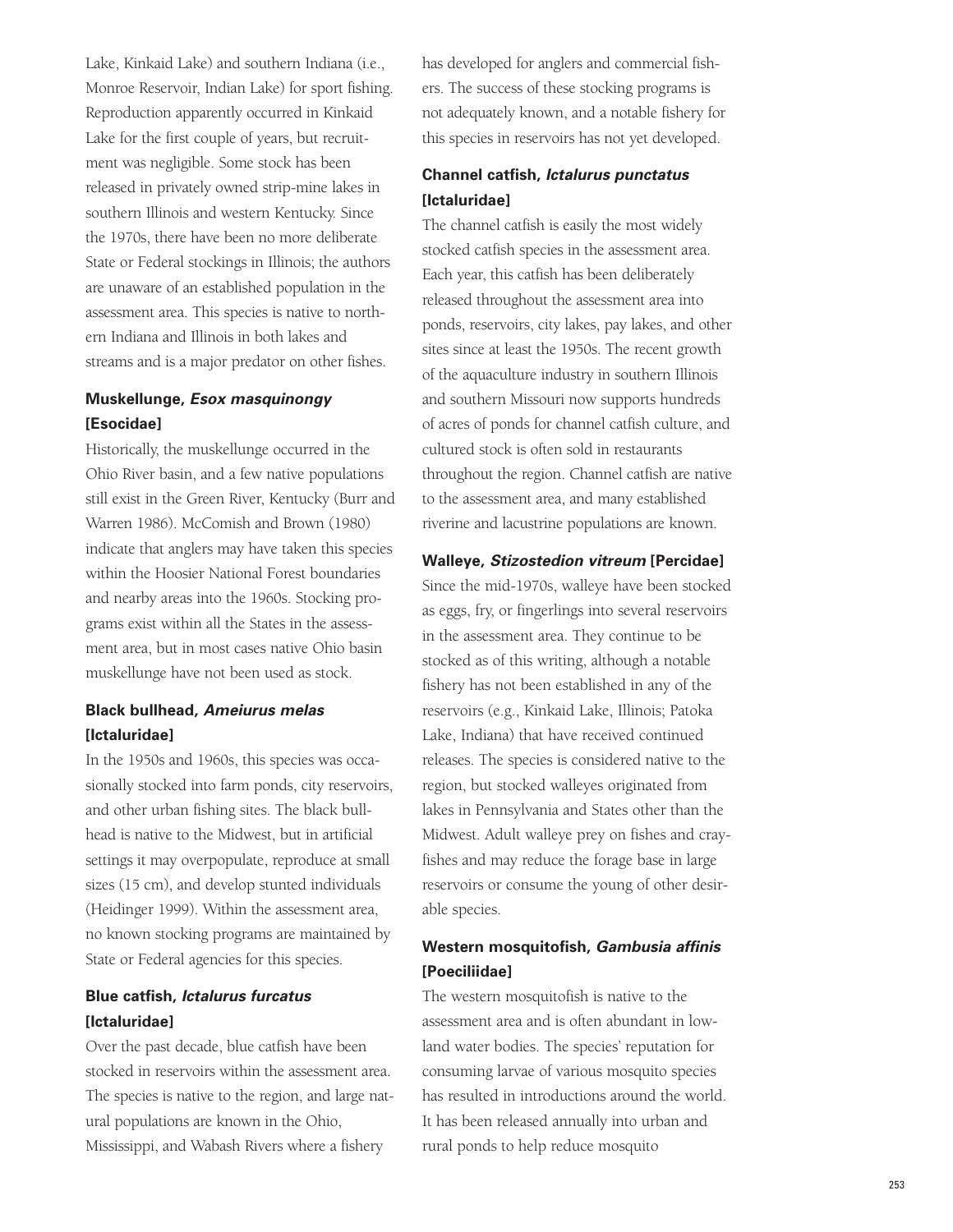Lake, Kinkaid Lake) and southern Indiana (i.e., Monroe Reservoir, Indian Lake) for sport fishing. Reproduction apparently occurred in Kinkaid Lake for the first couple of years, but recruitment was negligible. Some stock has been released in privately owned strip-mine lakes in southern Illinois and western Kentucky. Since the 1970s, there have been no more deliberate State or Federal stockings in Illinois; the authors are unaware of an established population in the assessment area. This species is native to northern Indiana and Illinois in both lakes and streams and is a major predator on other fishes.

### **Muskellunge, Esox masquinongy [Esocidae]**

Historically, the muskellunge occurred in the Ohio River basin, and a few native populations still exist in the Green River, Kentucky (Burr and Warren 1986). McComish and Brown (1980) indicate that anglers may have taken this species within the Hoosier National Forest boundaries and nearby areas into the 1960s. Stocking programs exist within all the States in the assessment area, but in most cases native Ohio basin muskellunge have not been used as stock.

## **Black bullhead, Ameiurus melas [Ictaluridae]**

In the 1950s and 1960s, this species was occasionally stocked into farm ponds, city reservoirs, and other urban fishing sites. The black bullhead is native to the Midwest, but in artificial settings it may overpopulate, reproduce at small sizes (15 cm), and develop stunted individuals (Heidinger 1999). Within the assessment area, no known stocking programs are maintained by State or Federal agencies for this species.

### **Blue catfish, Ictalurus furcatus [Ictaluridae]**

Over the past decade, blue catfish have been stocked in reservoirs within the assessment area. The species is native to the region, and large natural populations are known in the Ohio, Mississippi, and Wabash Rivers where a fishery

has developed for anglers and commercial fishers. The success of these stocking programs is not adequately known, and a notable fishery for this species in reservoirs has not yet developed.

## **Channel catfish, Ictalurus punctatus [Ictaluridae]**

The channel catfish is easily the most widely stocked catfish species in the assessment area. Each year, this catfish has been deliberately released throughout the assessment area into ponds, reservoirs, city lakes, pay lakes, and other sites since at least the 1950s. The recent growth of the aquaculture industry in southern Illinois and southern Missouri now supports hundreds of acres of ponds for channel catfish culture, and cultured stock is often sold in restaurants throughout the region. Channel catfish are native to the assessment area, and many established riverine and lacustrine populations are known.

### **Walleye, Stizostedion vitreum [Percidae]**

Since the mid-1970s, walleye have been stocked as eggs, fry, or fingerlings into several reservoirs in the assessment area. They continue to be stocked as of this writing, although a notable fishery has not been established in any of the reservoirs (e.g., Kinkaid Lake, Illinois; Patoka Lake, Indiana) that have received continued releases. The species is considered native to the region, but stocked walleyes originated from lakes in Pennsylvania and States other than the Midwest. Adult walleye prey on fishes and crayfishes and may reduce the forage base in large reservoirs or consume the young of other desirable species.

### **Western mosquitofish, Gambusia affinis [Poeciliidae]**

The western mosquitofish is native to the assessment area and is often abundant in lowland water bodies. The species' reputation for consuming larvae of various mosquito species has resulted in introductions around the world. It has been released annually into urban and rural ponds to help reduce mosquito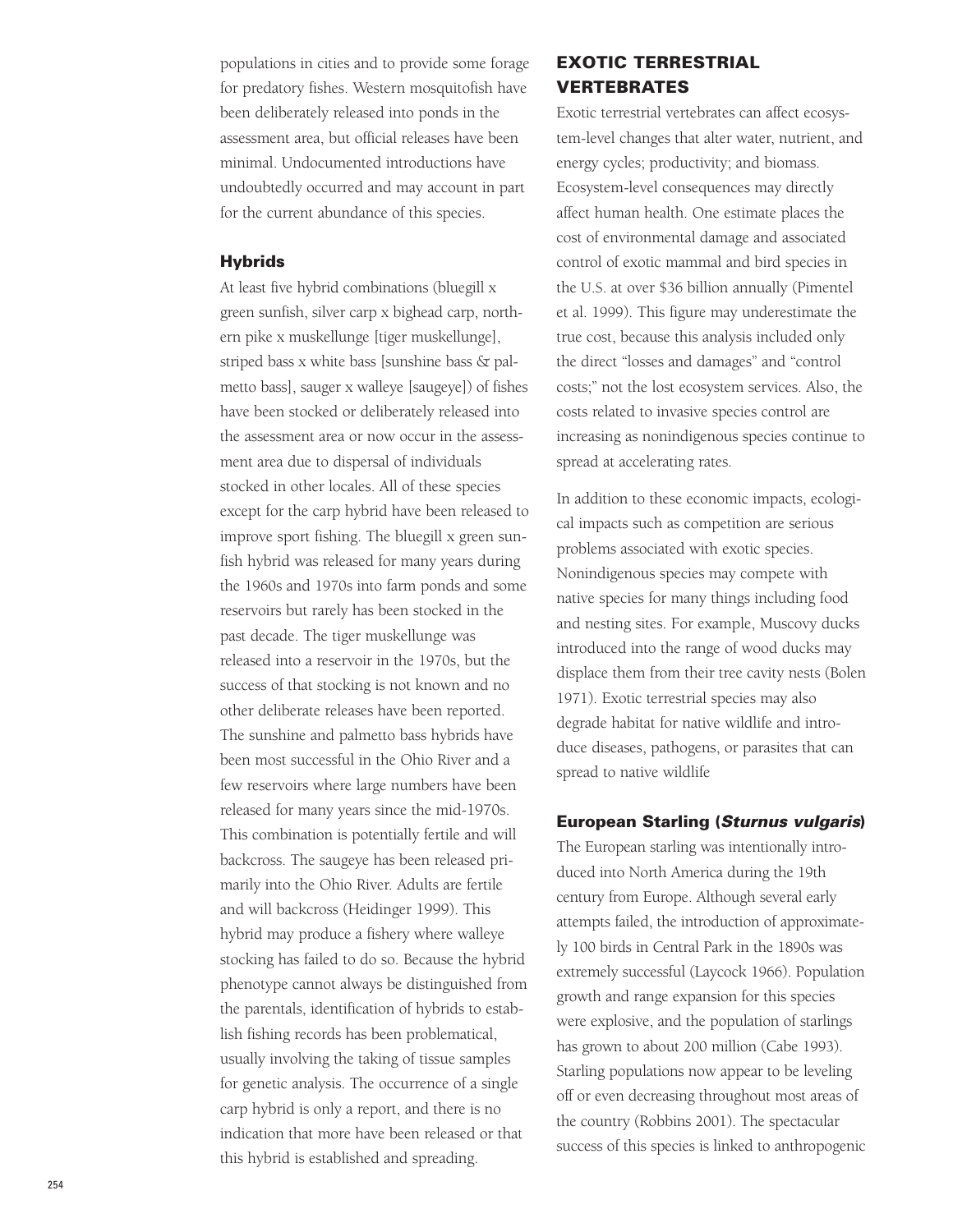populations in cities and to provide some forage for predatory fishes. Western mosquitofish have been deliberately released into ponds in the assessment area, but official releases have been minimal. Undocumented introductions have undoubtedly occurred and may account in part for the current abundance of this species.

#### **Hybrids**

At least five hybrid combinations (bluegill x green sunfish, silver carp x bighead carp, northern pike x muskellunge [tiger muskellunge], striped bass x white bass [sunshine bass & palmetto bass], sauger x walleye [saugeye]) of fishes have been stocked or deliberately released into the assessment area or now occur in the assessment area due to dispersal of individuals stocked in other locales. All of these species except for the carp hybrid have been released to improve sport fishing. The bluegill x green sunfish hybrid was released for many years during the 1960s and 1970s into farm ponds and some reservoirs but rarely has been stocked in the past decade. The tiger muskellunge was released into a reservoir in the 1970s, but the success of that stocking is not known and no other deliberate releases have been reported. The sunshine and palmetto bass hybrids have been most successful in the Ohio River and a few reservoirs where large numbers have been released for many years since the mid-1970s. This combination is potentially fertile and will backcross. The saugeye has been released primarily into the Ohio River. Adults are fertile and will backcross (Heidinger 1999). This hybrid may produce a fishery where walleye stocking has failed to do so. Because the hybrid phenotype cannot always be distinguished from the parentals, identification of hybrids to establish fishing records has been problematical, usually involving the taking of tissue samples for genetic analysis. The occurrence of a single carp hybrid is only a report, and there is no indication that more have been released or that this hybrid is established and spreading.

## **EXOTIC TERRESTRIAL VERTEBRATES**

Exotic terrestrial vertebrates can affect ecosystem-level changes that alter water, nutrient, and energy cycles; productivity; and biomass. Ecosystem-level consequences may directly affect human health. One estimate places the cost of environmental damage and associated control of exotic mammal and bird species in the U.S. at over \$36 billion annually (Pimentel et al. 1999). This figure may underestimate the true cost, because this analysis included only the direct "losses and damages" and "control costs;" not the lost ecosystem services. Also, the costs related to invasive species control are increasing as nonindigenous species continue to spread at accelerating rates.

In addition to these economic impacts, ecological impacts such as competition are serious problems associated with exotic species. Nonindigenous species may compete with native species for many things including food and nesting sites. For example, Muscovy ducks introduced into the range of wood ducks may displace them from their tree cavity nests (Bolen 1971). Exotic terrestrial species may also degrade habitat for native wildlife and introduce diseases, pathogens, or parasites that can spread to native wildlife

#### **European Starling (Sturnus vulgaris)**

The European starling was intentionally introduced into North America during the 19th century from Europe. Although several early attempts failed, the introduction of approximately 100 birds in Central Park in the 1890s was extremely successful (Laycock 1966). Population growth and range expansion for this species were explosive, and the population of starlings has grown to about 200 million (Cabe 1993). Starling populations now appear to be leveling off or even decreasing throughout most areas of the country (Robbins 2001). The spectacular success of this species is linked to anthropogenic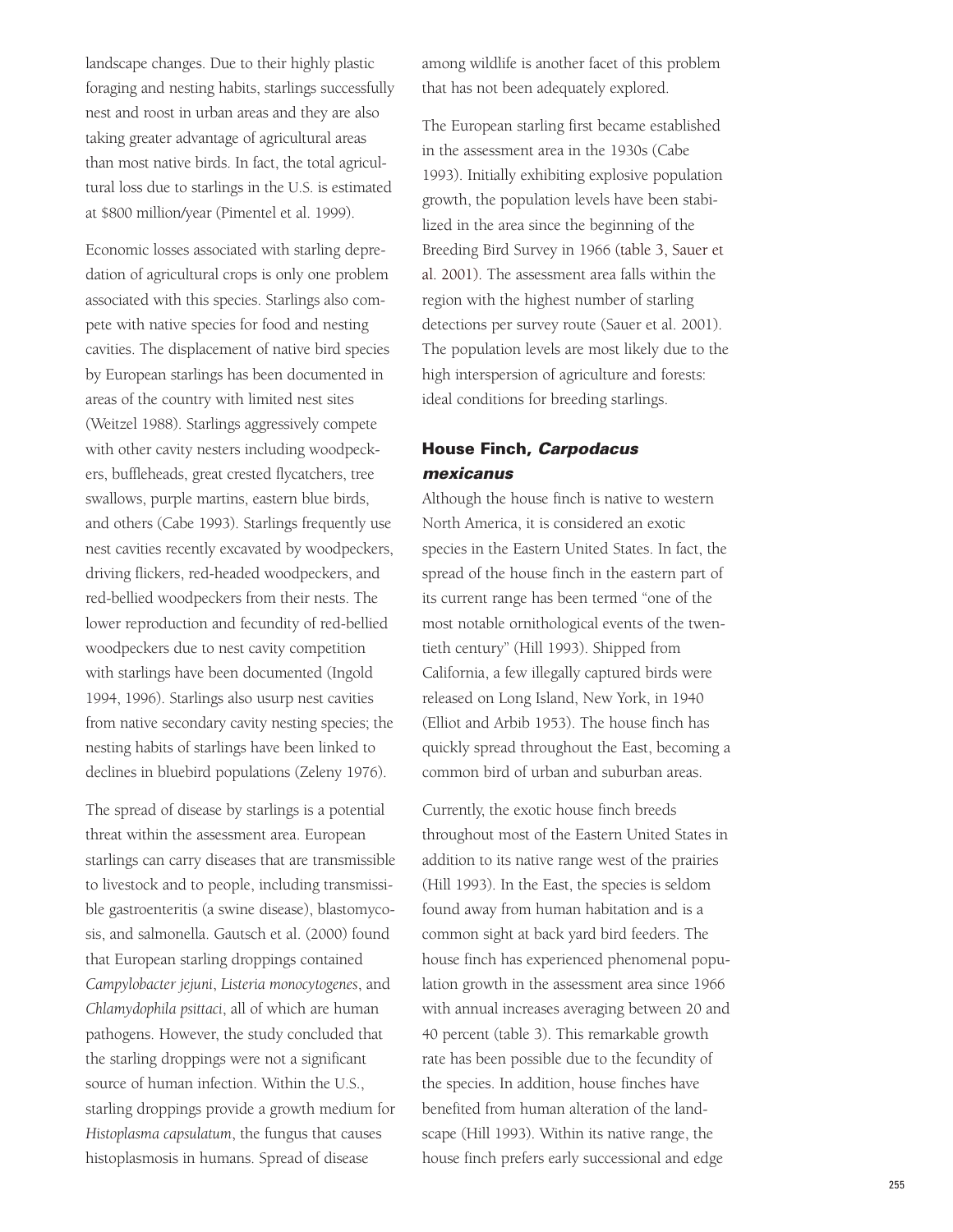landscape changes. Due to their highly plastic foraging and nesting habits, starlings successfully nest and roost in urban areas and they are also taking greater advantage of agricultural areas than most native birds. In fact, the total agricultural loss due to starlings in the U.S. is estimated at \$800 million/year (Pimentel et al. 1999).

Economic losses associated with starling depredation of agricultural crops is only one problem associated with this species. Starlings also compete with native species for food and nesting cavities. The displacement of native bird species by European starlings has been documented in areas of the country with limited nest sites (Weitzel 1988). Starlings aggressively compete with other cavity nesters including woodpeckers, buffleheads, great crested flycatchers, tree swallows, purple martins, eastern blue birds, and others (Cabe 1993). Starlings frequently use nest cavities recently excavated by woodpeckers, driving flickers, red-headed woodpeckers, and red-bellied woodpeckers from their nests. The lower reproduction and fecundity of red-bellied woodpeckers due to nest cavity competition with starlings have been documented (Ingold 1994, 1996). Starlings also usurp nest cavities from native secondary cavity nesting species; the nesting habits of starlings have been linked to declines in bluebird populations (Zeleny 1976).

The spread of disease by starlings is a potential threat within the assessment area. European starlings can carry diseases that are transmissible to livestock and to people, including transmissible gastroenteritis (a swine disease), blastomycosis, and salmonella. Gautsch et al. (2000) found that European starling droppings contained *Campylobacter jejuni*, *Listeria monocytogenes*, and *Chlamydophila psittaci*, all of which are human pathogens. However, the study concluded that the starling droppings were not a significant source of human infection. Within the U.S., starling droppings provide a growth medium for *Histoplasma capsulatum*, the fungus that causes histoplasmosis in humans. Spread of disease

among wildlife is another facet of this problem that has not been adequately explored.

The European starling first became established in the assessment area in the 1930s (Cabe 1993). Initially exhibiting explosive population growth, the population levels have been stabilized in the area since the beginning of the Breeding Bird Survey in 1966 (table 3, Sauer et al. 2001). The assessment area falls within the region with the highest number of starling detections per survey route (Sauer et al. 2001). The population levels are most likely due to the high interspersion of agriculture and forests: ideal conditions for breeding starlings.

## **House Finch, Carpodacus mexicanus**

Although the house finch is native to western North America, it is considered an exotic species in the Eastern United States. In fact, the spread of the house finch in the eastern part of its current range has been termed "one of the most notable ornithological events of the twentieth century" (Hill 1993). Shipped from California, a few illegally captured birds were released on Long Island, New York, in 1940 (Elliot and Arbib 1953). The house finch has quickly spread throughout the East, becoming a common bird of urban and suburban areas.

Currently, the exotic house finch breeds throughout most of the Eastern United States in addition to its native range west of the prairies (Hill 1993). In the East, the species is seldom found away from human habitation and is a common sight at back yard bird feeders. The house finch has experienced phenomenal population growth in the assessment area since 1966 with annual increases averaging between 20 and 40 percent (table 3). This remarkable growth rate has been possible due to the fecundity of the species. In addition, house finches have benefited from human alteration of the landscape (Hill 1993). Within its native range, the house finch prefers early successional and edge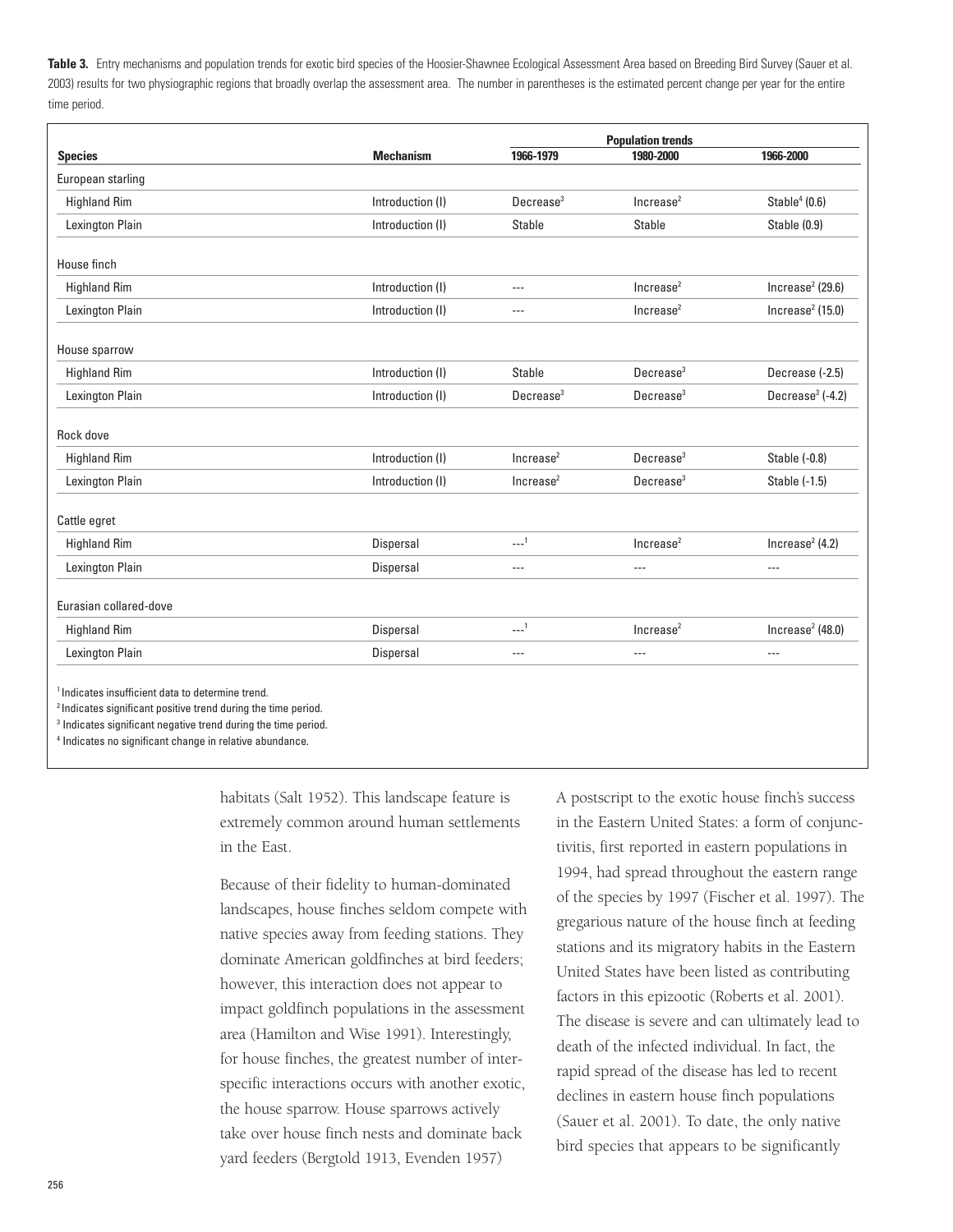**Table 3.** Entry mechanisms and population trends for exotic bird species of the Hoosier-Shawnee Ecological Assessment Area based on Breeding Bird Survey (Sauer et al. 2003) results for two physiographic regions that broadly overlap the assessment area. The number in parentheses is the estimated percent change per year for the entire time period.

|                        |                  |                       | <b>Population trends</b> |                             |  |
|------------------------|------------------|-----------------------|--------------------------|-----------------------------|--|
| <b>Species</b>         | <b>Mechanism</b> | 1966-1979             | 1980-2000                | 1966-2000                   |  |
| European starling      |                  |                       |                          |                             |  |
| <b>Highland Rim</b>    | Introduction (I) | Decrease <sup>3</sup> | Increase <sup>2</sup>    | Stable $4(0.6)$             |  |
| Lexington Plain        | Introduction (I) | Stable                | Stable                   | Stable (0.9)                |  |
| House finch            |                  |                       |                          |                             |  |
| <b>Highland Rim</b>    | Introduction (I) | $- - -$               | Increase <sup>2</sup>    | Increase $2$ (29.6)         |  |
| Lexington Plain        | Introduction (I) | $-$                   | Increase <sup>2</sup>    | $ ncrease^2(15.0) $         |  |
| House sparrow          |                  |                       |                          |                             |  |
| <b>Highland Rim</b>    | Introduction (I) | <b>Stable</b>         | Decrease <sup>3</sup>    | Decrease (-2.5)             |  |
| Lexington Plain        | Introduction (I) | Decrease <sup>3</sup> | Decrease <sup>3</sup>    | Decrease $3$ (-4.2)         |  |
| Rock dove              |                  |                       |                          |                             |  |
| <b>Highland Rim</b>    | Introduction (I) | Increase <sup>2</sup> | Decrease <sup>3</sup>    | Stable (-0.8)               |  |
| Lexington Plain        | Introduction (I) | Increase <sup>2</sup> | Decrease <sup>3</sup>    | Stable (-1.5)               |  |
| Cattle egret           |                  |                       |                          |                             |  |
| <b>Highland Rim</b>    | Dispersal        | $1 - 1$               | Increase <sup>2</sup>    | Increase <sup>2</sup> (4.2) |  |
| Lexington Plain        | Dispersal        | $- - -$               | $\cdots$                 | $\overline{a}$              |  |
| Eurasian collared-dove |                  |                       |                          |                             |  |
| <b>Highland Rim</b>    | Dispersal        | 1                     | Increase <sup>2</sup>    | Increase $2$ (48.0)         |  |
| Lexington Plain        | <b>Dispersal</b> | $- - -$               | $- - -$                  | $- - -$                     |  |

<sup>1</sup> Indicates insufficient data to determine trend.

<sup>2</sup> Indicates significant positive trend during the time period.

<sup>3</sup> Indicates significant negative trend during the time period.

<sup>4</sup> Indicates no significant change in relative abundance.

habitats (Salt 1952). This landscape feature is extremely common around human settlements in the East.

Because of their fidelity to human-dominated landscapes, house finches seldom compete with native species away from feeding stations. They dominate American goldfinches at bird feeders; however, this interaction does not appear to impact goldfinch populations in the assessment area (Hamilton and Wise 1991). Interestingly, for house finches, the greatest number of interspecific interactions occurs with another exotic, the house sparrow. House sparrows actively take over house finch nests and dominate back yard feeders (Bergtold 1913, Evenden 1957)

A postscript to the exotic house finch's success in the Eastern United States: a form of conjunctivitis, first reported in eastern populations in 1994, had spread throughout the eastern range of the species by 1997 (Fischer et al. 1997). The gregarious nature of the house finch at feeding stations and its migratory habits in the Eastern United States have been listed as contributing factors in this epizootic (Roberts et al. 2001). The disease is severe and can ultimately lead to death of the infected individual. In fact, the rapid spread of the disease has led to recent declines in eastern house finch populations (Sauer et al. 2001). To date, the only native bird species that appears to be significantly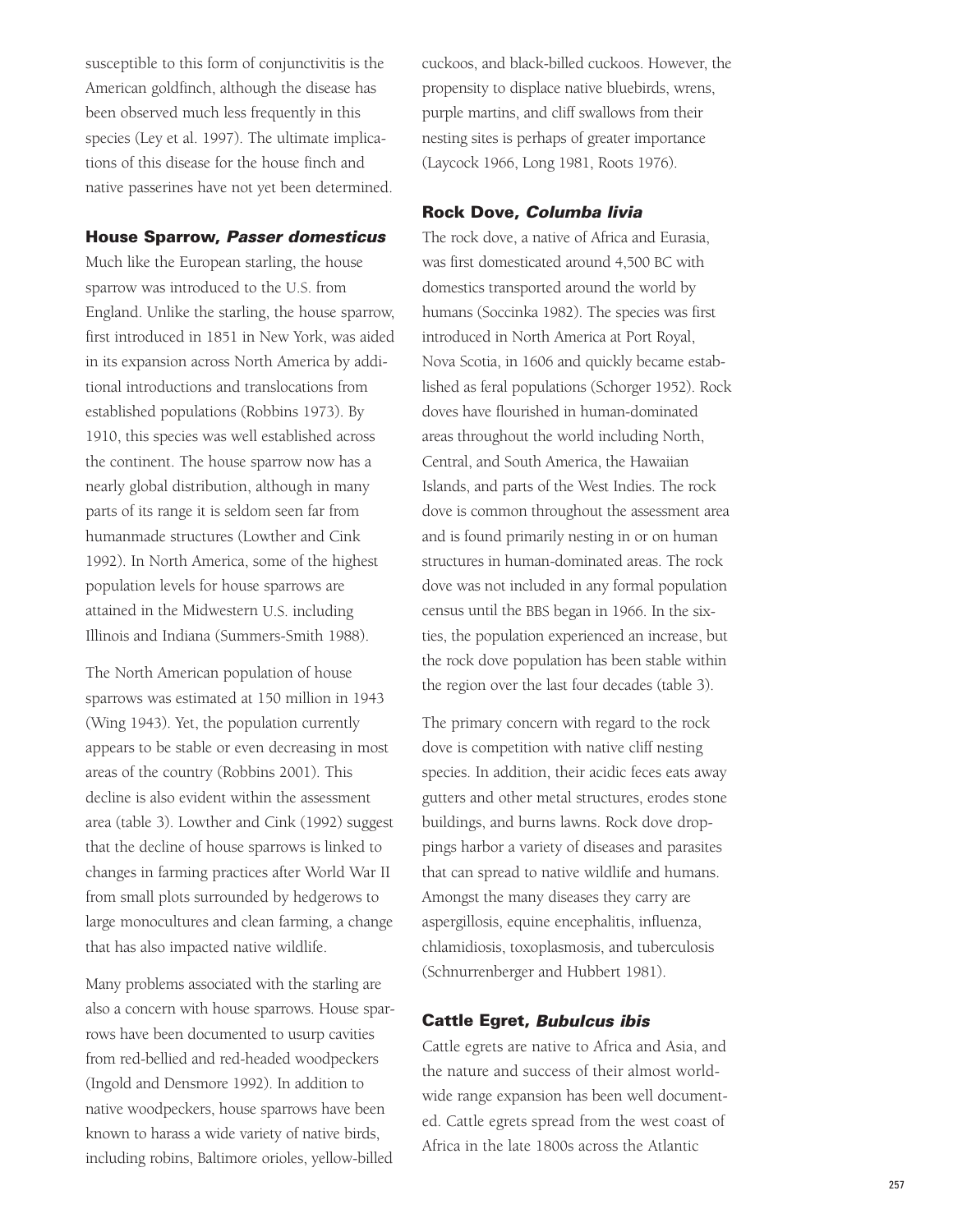susceptible to this form of conjunctivitis is the American goldfinch, although the disease has been observed much less frequently in this species (Ley et al. 1997). The ultimate implications of this disease for the house finch and native passerines have not yet been determined.

#### **House Sparrow, Passer domesticus**

Much like the European starling, the house sparrow was introduced to the U.S. from England. Unlike the starling, the house sparrow, first introduced in 1851 in New York, was aided in its expansion across North America by additional introductions and translocations from established populations (Robbins 1973). By 1910, this species was well established across the continent. The house sparrow now has a nearly global distribution, although in many parts of its range it is seldom seen far from humanmade structures (Lowther and Cink 1992). In North America, some of the highest population levels for house sparrows are attained in the Midwestern U.S. including Illinois and Indiana (Summers-Smith 1988).

The North American population of house sparrows was estimated at 150 million in 1943 (Wing 1943). Yet, the population currently appears to be stable or even decreasing in most areas of the country (Robbins 2001). This decline is also evident within the assessment area (table 3). Lowther and Cink (1992) suggest that the decline of house sparrows is linked to changes in farming practices after World War II from small plots surrounded by hedgerows to large monocultures and clean farming, a change that has also impacted native wildlife.

Many problems associated with the starling are also a concern with house sparrows. House sparrows have been documented to usurp cavities from red-bellied and red-headed woodpeckers (Ingold and Densmore 1992). In addition to native woodpeckers, house sparrows have been known to harass a wide variety of native birds, including robins, Baltimore orioles, yellow-billed

cuckoos, and black-billed cuckoos. However, the propensity to displace native bluebirds, wrens, purple martins, and cliff swallows from their nesting sites is perhaps of greater importance (Laycock 1966, Long 1981, Roots 1976).

#### **Rock Dove, Columba livia**

The rock dove, a native of Africa and Eurasia, was first domesticated around 4,500 BC with domestics transported around the world by humans (Soccinka 1982). The species was first introduced in North America at Port Royal, Nova Scotia, in 1606 and quickly became established as feral populations (Schorger 1952). Rock doves have flourished in human-dominated areas throughout the world including North, Central, and South America, the Hawaiian Islands, and parts of the West Indies. The rock dove is common throughout the assessment area and is found primarily nesting in or on human structures in human-dominated areas. The rock dove was not included in any formal population census until the BBS began in 1966. In the sixties, the population experienced an increase, but the rock dove population has been stable within the region over the last four decades (table 3).

The primary concern with regard to the rock dove is competition with native cliff nesting species. In addition, their acidic feces eats away gutters and other metal structures, erodes stone buildings, and burns lawns. Rock dove droppings harbor a variety of diseases and parasites that can spread to native wildlife and humans. Amongst the many diseases they carry are aspergillosis, equine encephalitis, influenza, chlamidiosis, toxoplasmosis, and tuberculosis (Schnurrenberger and Hubbert 1981).

#### **Cattle Egret, Bubulcus ibis**

Cattle egrets are native to Africa and Asia, and the nature and success of their almost worldwide range expansion has been well documented. Cattle egrets spread from the west coast of Africa in the late 1800s across the Atlantic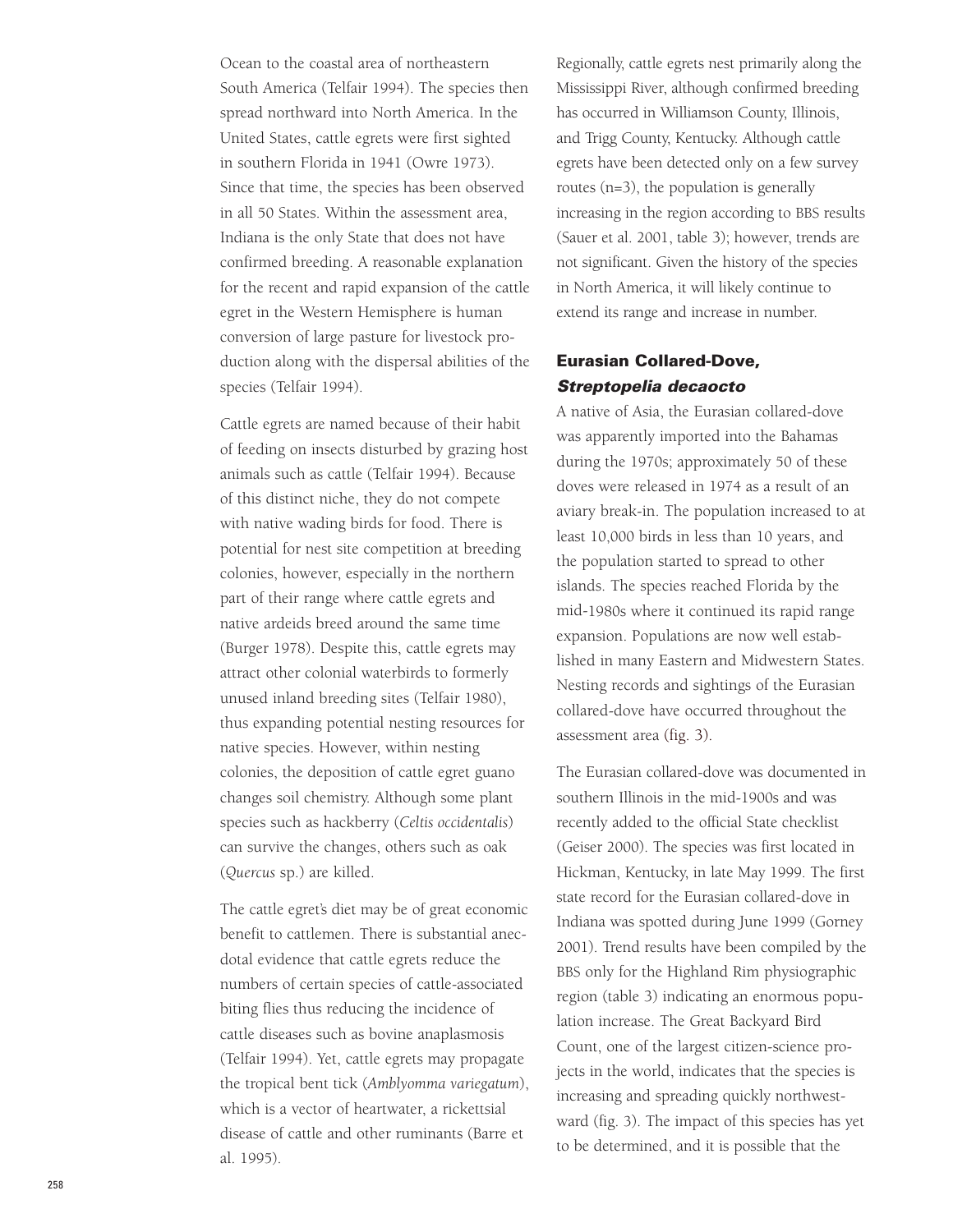Ocean to the coastal area of northeastern South America (Telfair 1994). The species then spread northward into North America. In the United States, cattle egrets were first sighted in southern Florida in 1941 (Owre 1973). Since that time, the species has been observed in all 50 States. Within the assessment area, Indiana is the only State that does not have confirmed breeding. A reasonable explanation for the recent and rapid expansion of the cattle egret in the Western Hemisphere is human conversion of large pasture for livestock production along with the dispersal abilities of the species (Telfair 1994).

Cattle egrets are named because of their habit of feeding on insects disturbed by grazing host animals such as cattle (Telfair 1994). Because of this distinct niche, they do not compete with native wading birds for food. There is potential for nest site competition at breeding colonies, however, especially in the northern part of their range where cattle egrets and native ardeids breed around the same time (Burger 1978). Despite this, cattle egrets may attract other colonial waterbirds to formerly unused inland breeding sites (Telfair 1980), thus expanding potential nesting resources for native species. However, within nesting colonies, the deposition of cattle egret guano changes soil chemistry. Although some plant species such as hackberry (*Celtis occidentalis* ) can survive the changes, others such as oak (*Quercus* sp.) are killed.

The cattle egret's diet may be of great economic benefit to cattlemen. There is substantial anecdotal evidence that cattle egrets reduce the numbers of certain species of cattle-associated biting flies thus reducing the incidence of cattle diseases such as bovine anaplasmosis (Telfair 1994). Yet, cattle egrets may propagate the tropical bent tick (*Amblyomma variegatum*), which is a vector of heartwater, a rickettsial disease of cattle and other ruminants (Barre et al. 1995).

Regionally, cattle egrets nest primarily along the Mississippi River, although confirmed breeding has occurred in Williamson County, Illinois, and Trigg County, Kentucky. Although cattle egrets have been detected only on a few survey routes (n=3), the population is generally increasing in the region according to BBS results (Sauer et al. 2001, table 3); however, trends are not significant. Given the history of the species in North America, it will likely continue to extend its range and increase in number.

### **Eurasian Collared-Dove, Streptopelia decaocto**

A native of Asia, the Eurasian collared-dove was apparently imported into the Bahamas during the 1970s; approximately 50 of these doves were released in 1974 as a result of an aviary break-in. The population increased to at least 10,000 birds in less than 10 years, and the population started to spread to other islands. The species reached Florida by the mid-1980s where it continued its rapid range expansion. Populations are now well established in many Eastern and Midwestern States. Nesting records and sightings of the Eurasian collared-dove have occurred throughout the assessment area (fig. 3).

The Eurasian collared-dove was documented in southern Illinois in the mid-1900s and was recently added to the official State checklist (Geiser 2000). The species was first located in Hickman, Kentucky, in late May 1999. The first state record for the Eurasian collared-dove in Indiana was spotted during June 1999 (Gorney 2001). Trend results have been compiled by the BBS only for the Highland Rim physiographic region (table 3) indicating an enormous population increase. The Great Backyard Bird Count, one of the largest citizen-science projects in the world, indicates that the species is increasing and spreading quickly northwestward (fig. 3). The impact of this species has yet to be determined, and it is possible that the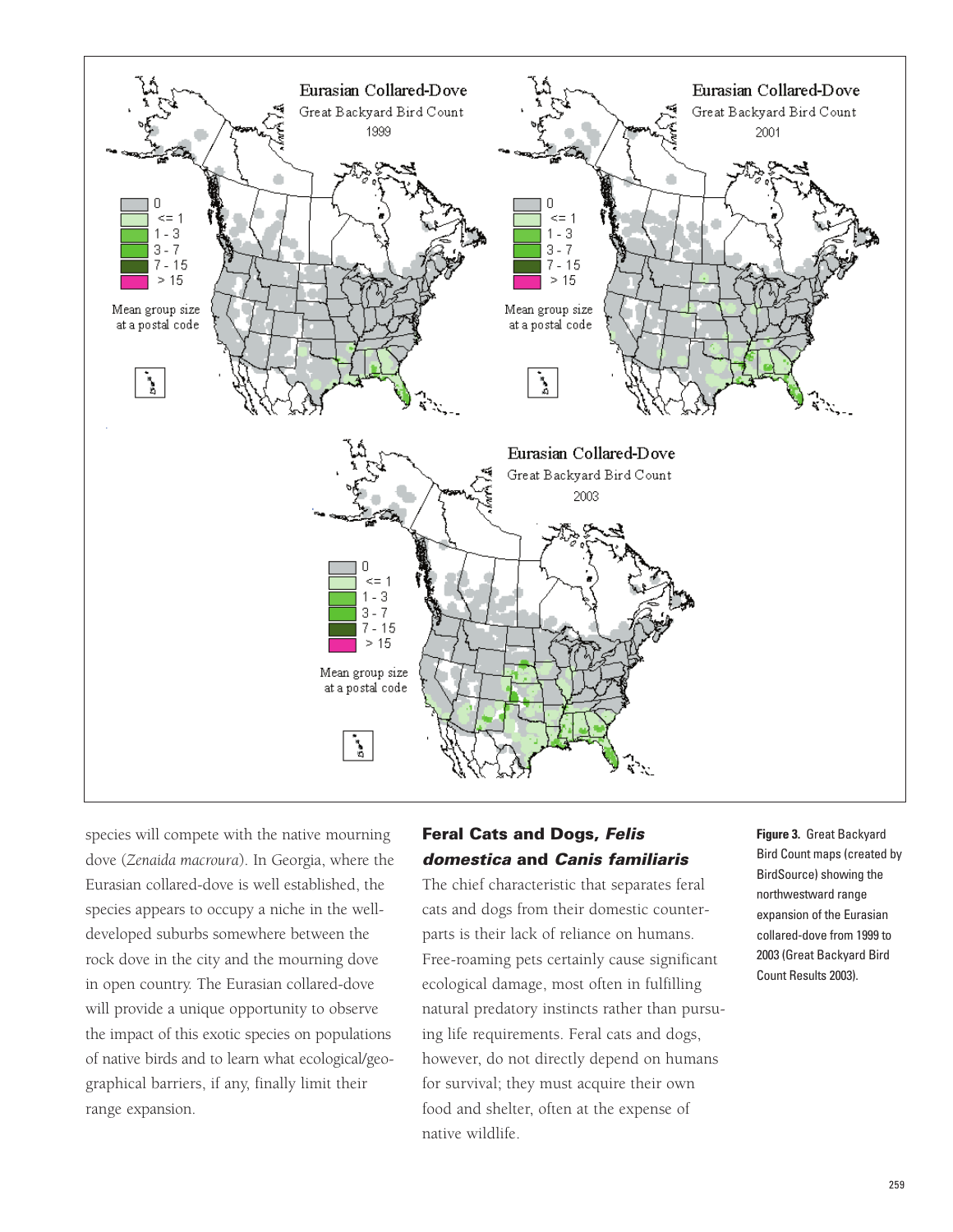![](_page_23_Figure_0.jpeg)

species will compete with the native mourning dove (*Zenaida macroura*). In Georgia, where the Eurasian collared-dove is well established, the species appears to occupy a niche in the welldeveloped suburbs somewhere between the rock dove in the city and the mourning dove in open country. The Eurasian collared-dove will provide a unique opportunity to observe the impact of this exotic species on populations of native birds and to learn what ecological/geographical barriers, if any, finally limit their range expansion.

## **Feral Cats and Dogs, Felis domestica and Canis familiaris**

The chief characteristic that separates feral cats and dogs from their domestic counterparts is their lack of reliance on humans. Free-roaming pets certainly cause significant ecological damage, most often in fulfilling natural predatory instincts rather than pursuing life requirements. Feral cats and dogs, however, do not directly depend on humans for survival; they must acquire their own food and shelter, often at the expense of native wildlife.

### **Figure 3.** Great Backyard Bird Count maps (created by BirdSource) showing the northwestward range expansion of the Eurasian collared-dove from 1999 to 2003 (Great Backyard Bird Count Results 2003).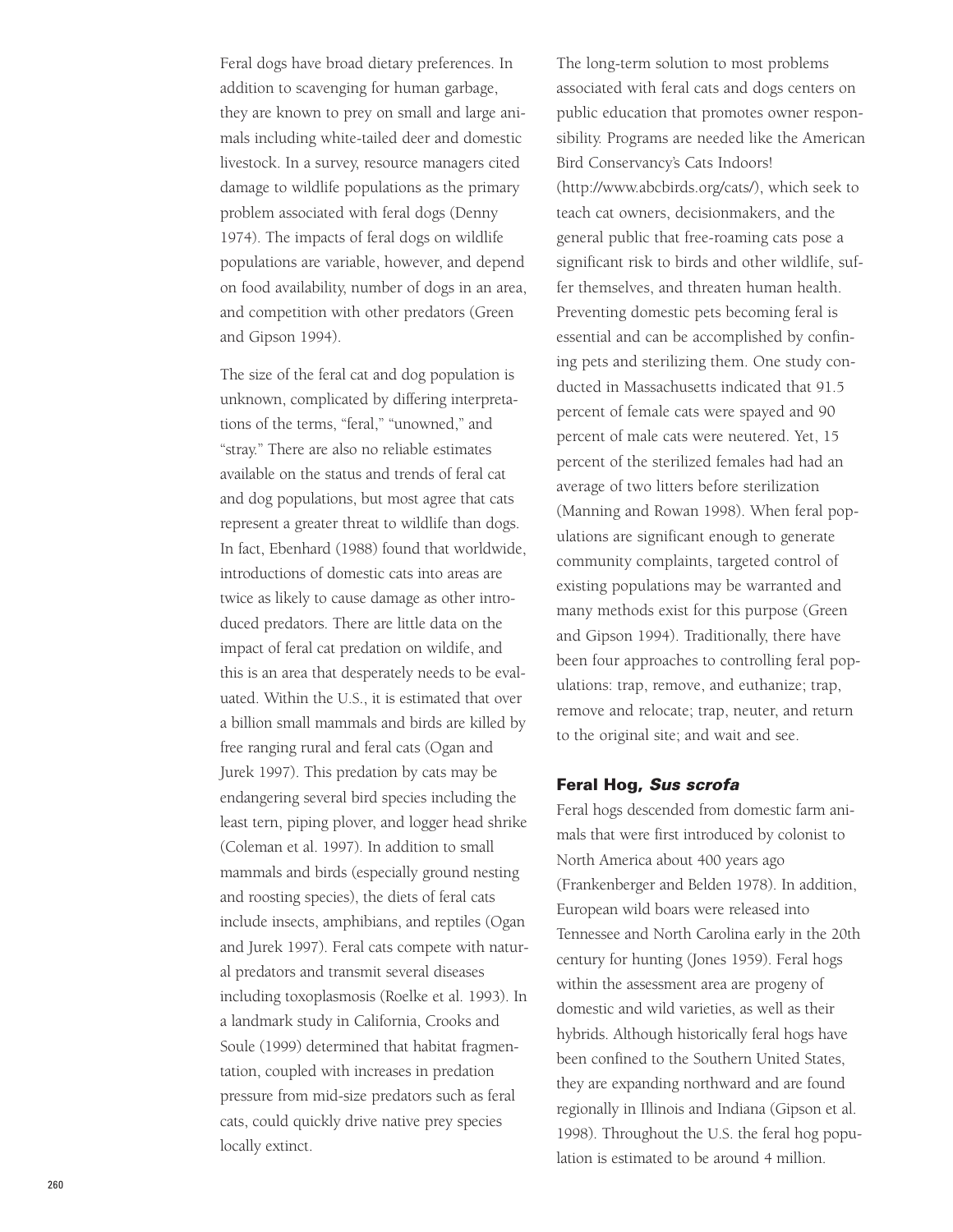Feral dogs have broad dietary preferences. In addition to scavenging for human garbage, they are known to prey on small and large animals including white-tailed deer and domestic livestock. In a survey, resource managers cited damage to wildlife populations as the primary problem associated with feral dogs (Denny 1974). The impacts of feral dogs on wildlife populations are variable, however, and depend on food availability, number of dogs in an area, and competition with other predators (Green and Gipson 1994).

The size of the feral cat and dog population is unknown, complicated by differing interpretations of the terms, "feral," "unowned," and "stray." There are also no reliable estimates available on the status and trends of feral cat and dog populations, but most agree that cats represent a greater threat to wildlife than dogs. In fact, Ebenhard (1988) found that worldwide, introductions of domestic cats into areas are twice as likely to cause damage as other introduced predators. There are little data on the impact of feral cat predation on wildife, and this is an area that desperately needs to be evaluated. Within the U.S., it is estimated that over a billion small mammals and birds are killed by free ranging rural and feral cats (Ogan and Jurek 1997). This predation by cats may be endangering several bird species including the least tern, piping plover, and logger head shrike (Coleman et al. 1997). In addition to small mammals and birds (especially ground nesting and roosting species), the diets of feral cats include insects, amphibians, and reptiles (Ogan and Jurek 1997). Feral cats compete with natural predators and transmit several diseases including toxoplasmosis (Roelke et al. 1993). In a landmark study in California, Crooks and Soule (1999) determined that habitat fragmentation, coupled with increases in predation pressure from mid-size predators such as feral cats, could quickly drive native prey species locally extinct.

The long-term solution to most problems associated with feral cats and dogs centers on public education that promotes owner responsibility. Programs are needed like the American Bird Conservancy's Cats Indoors! (http://www.abcbirds.org/cats/), which seek to teach cat owners, decisionmakers, and the general public that free-roaming cats pose a significant risk to birds and other wildlife, suffer themselves, and threaten human health. Preventing domestic pets becoming feral is essential and can be accomplished by confining pets and sterilizing them. One study conducted in Massachusetts indicated that 91.5 percent of female cats were spayed and 90 percent of male cats were neutered. Yet, 15 percent of the sterilized females had had an average of two litters before sterilization (Manning and Rowan 1998). When feral populations are significant enough to generate community complaints, targeted control of existing populations may be warranted and many methods exist for this purpose (Green and Gipson 1994). Traditionally, there have been four approaches to controlling feral populations: trap, remove, and euthanize; trap, remove and relocate; trap, neuter, and return to the original site; and wait and see.

#### **Feral Hog, Sus scrofa**

Feral hogs descended from domestic farm animals that were first introduced by colonist to North America about 400 years ago (Frankenberger and Belden 1978). In addition, European wild boars were released into Tennessee and North Carolina early in the 20th century for hunting (Jones 1959). Feral hogs within the assessment area are progeny of domestic and wild varieties, as well as their hybrids. Although historically feral hogs have been confined to the Southern United States, they are expanding northward and are found regionally in Illinois and Indiana (Gipson et al. 1998). Throughout the U.S. the feral hog population is estimated to be around 4 million.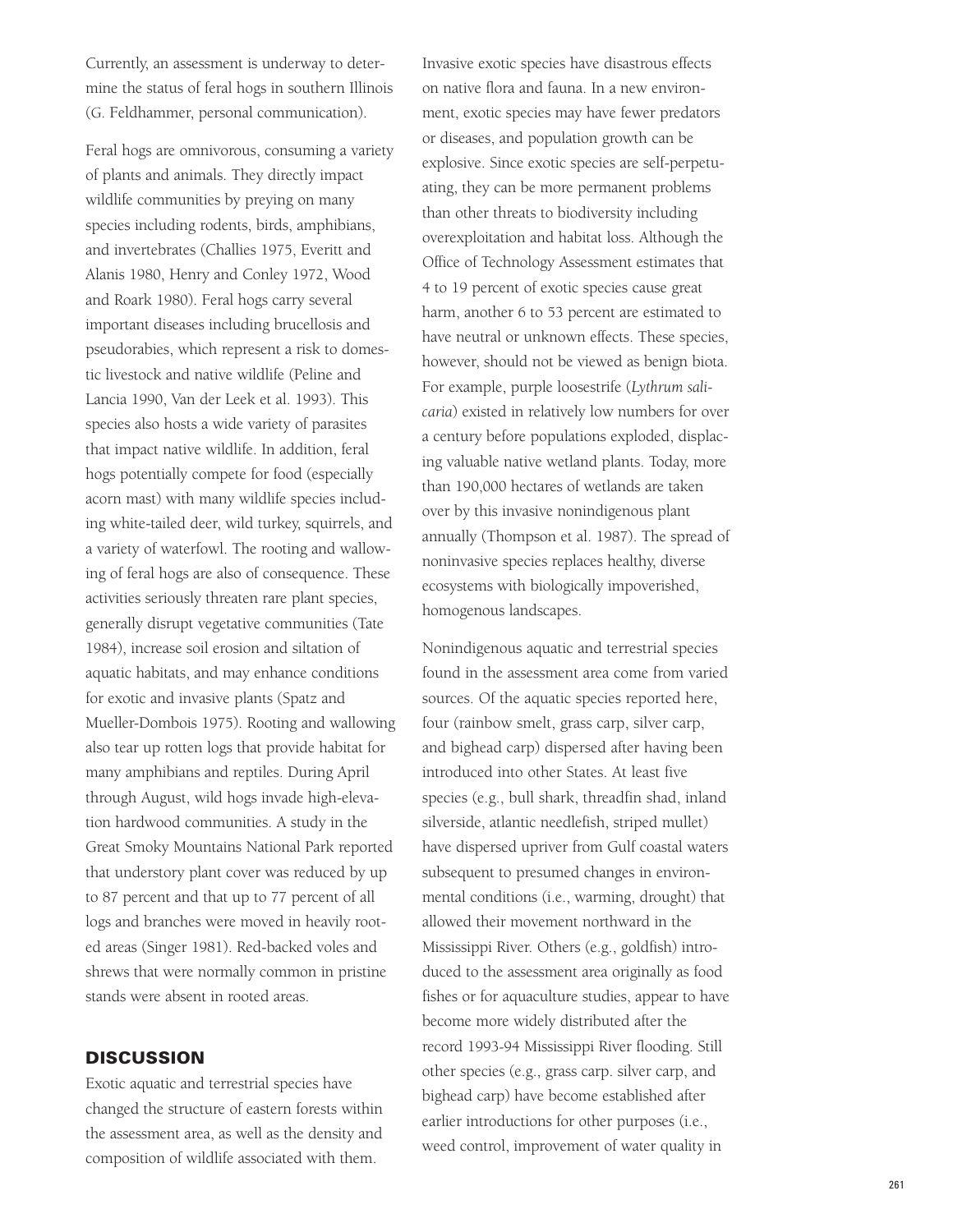Currently, an assessment is underway to determine the status of feral hogs in southern Illinois (G. Feldhammer, personal communication).

Feral hogs are omnivorous, consuming a variety of plants and animals. They directly impact wildlife communities by preying on many species including rodents, birds, amphibians, and invertebrates (Challies 1975, Everitt and Alanis 1980, Henry and Conley 1972, Wood and Roark 1980). Feral hogs carry several important diseases including brucellosis and pseudorabies, which represent a risk to domestic livestock and native wildlife (Peline and Lancia 1990, Van der Leek et al. 1993). This species also hosts a wide variety of parasites that impact native wildlife. In addition, feral hogs potentially compete for food (especially acorn mast) with many wildlife species including white-tailed deer, wild turkey, squirrels, and a variety of waterfowl. The rooting and wallowing of feral hogs are also of consequence. These activities seriously threaten rare plant species, generally disrupt vegetative communities (Tate 1984), increase soil erosion and siltation of aquatic habitats, and may enhance conditions for exotic and invasive plants (Spatz and Mueller-Dombois 1975). Rooting and wallowing also tear up rotten logs that provide habitat for many amphibians and reptiles. During April through August, wild hogs invade high-elevation hardwood communities. A study in the Great Smoky Mountains National Park reported that understory plant cover was reduced by up to 87 percent and that up to 77 percent of all logs and branches were moved in heavily rooted areas (Singer 1981). Red-backed voles and shrews that were normally common in pristine stands were absent in rooted areas.

#### **DISCUSSION**

Exotic aquatic and terrestrial species have changed the structure of eastern forests within the assessment area, as well as the density and composition of wildlife associated with them.

Invasive exotic species have disastrous effects on native flora and fauna. In a new environment, exotic species may have fewer predators or diseases, and population growth can be explosive. Since exotic species are self-perpetuating, they can be more permanent problems than other threats to biodiversity including overexploitation and habitat loss. Although the Office of Technology Assessment estimates that 4 to 19 percent of exotic species cause great harm, another 6 to 53 percent are estimated to have neutral or unknown effects. These species, however, should not be viewed as benign biota. For example, purple loosestrife (*Lythrum salicaria*) existed in relatively low numbers for over a century before populations exploded, displacing valuable native wetland plants. Today, more than 190,000 hectares of wetlands are taken over by this invasive nonindigenous plant annually (Thompson et al. 1987). The spread of noninvasive species replaces healthy, diverse ecosystems with biologically impoverished, homogenous landscapes.

Nonindigenous aquatic and terrestrial species found in the assessment area come from varied sources. Of the aquatic species reported here, four (rainbow smelt, grass carp, silver carp, and bighead carp) dispersed after having been introduced into other States. At least five species (e.g., bull shark, threadfin shad, inland silverside, atlantic needlefish, striped mullet) have dispersed upriver from Gulf coastal waters subsequent to presumed changes in environmental conditions (i.e., warming, drought) that allowed their movement northward in the Mississippi River. Others (e.g., goldfish) introduced to the assessment area originally as food fishes or for aquaculture studies, appear to have become more widely distributed after the record 1993-94 Mississippi River flooding. Still other species (e.g., grass carp. silver carp, and bighead carp) have become established after earlier introductions for other purposes (i.e., weed control, improvement of water quality in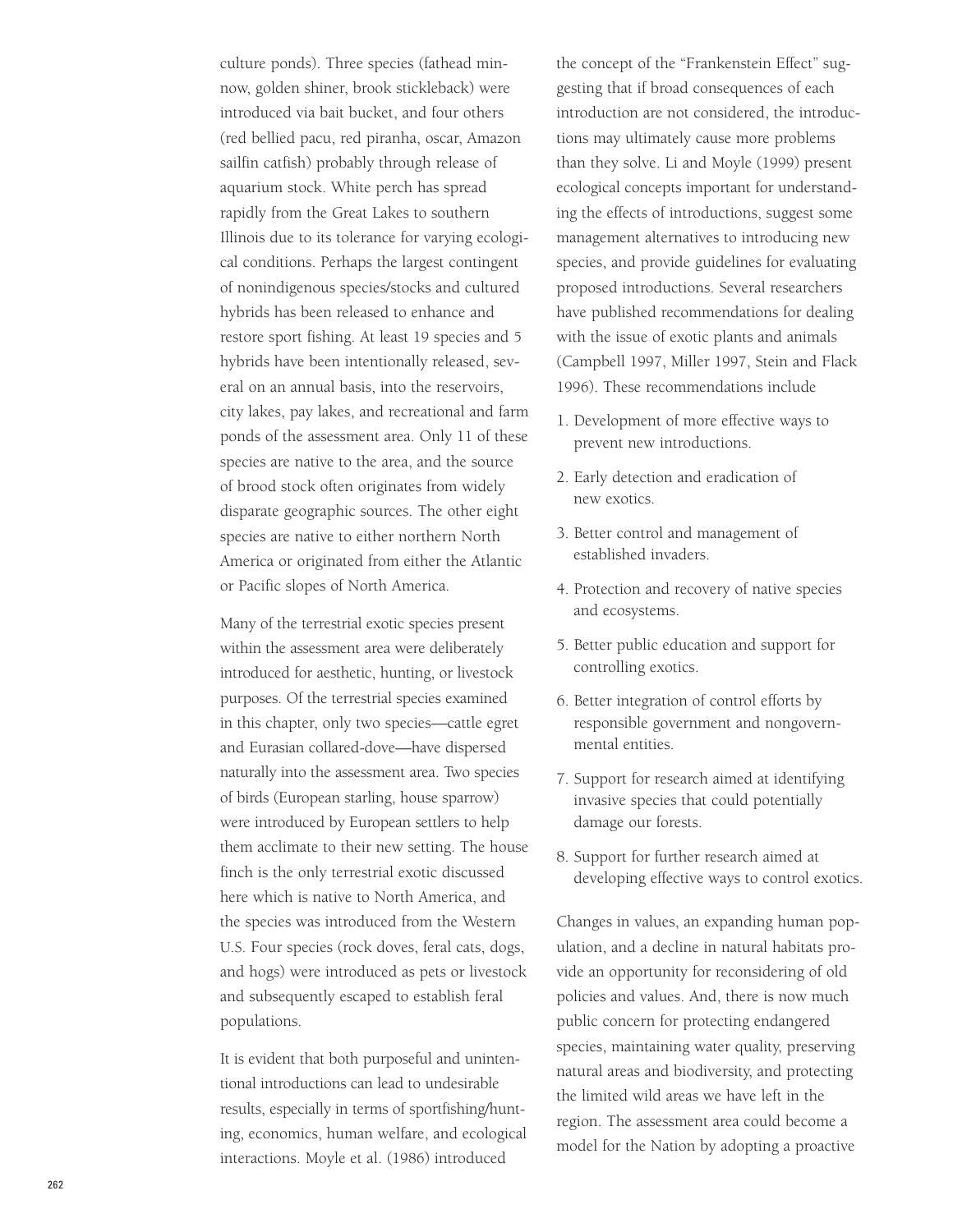culture ponds). Three species (fathead minnow, golden shiner, brook stickleback) were introduced via bait bucket, and four others (red bellied pacu, red piranha, oscar, Amazon sailfin catfish) probably through release of aquarium stock. White perch has spread rapidly from the Great Lakes to southern Illinois due to its tolerance for varying ecological conditions. Perhaps the largest contingent of nonindigenous species/stocks and cultured hybrids has been released to enhance and restore sport fishing. At least 19 species and 5 hybrids have been intentionally released, several on an annual basis, into the reservoirs, city lakes, pay lakes, and recreational and farm ponds of the assessment area. Only 11 of these species are native to the area, and the source of brood stock often originates from widely disparate geographic sources. The other eight species are native to either northern North America or originated from either the Atlantic or Pacific slopes of North America.

Many of the terrestrial exotic species present within the assessment area were deliberately introduced for aesthetic, hunting, or livestock purposes. Of the terrestrial species examined in this chapter, only two species—cattle egret and Eurasian collared-dove—have dispersed naturally into the assessment area. Two species of birds (European starling, house sparrow) were introduced by European settlers to help them acclimate to their new setting. The house finch is the only terrestrial exotic discussed here which is native to North America, and the species was introduced from the Western U.S. Four species (rock doves, feral cats, dogs, and hogs) were introduced as pets or livestock and subsequently escaped to establish feral populations.

It is evident that both purposeful and unintentional introductions can lead to undesirable results, especially in terms of sportfishing/hunting, economics, human welfare, and ecological interactions. Moyle et al. (1986) introduced

the concept of the "Frankenstein Effect" suggesting that if broad consequences of each introduction are not considered, the introductions may ultimately cause more problems than they solve. Li and Moyle (1999) present ecological concepts important for understanding the effects of introductions, suggest some management alternatives to introducing new species, and provide guidelines for evaluating proposed introductions. Several researchers have published recommendations for dealing with the issue of exotic plants and animals (Campbell 1997, Miller 1997, Stein and Flack 1996). These recommendations include

- 1. Development of more effective ways to prevent new introductions.
- 2. Early detection and eradication of new exotics.
- 3. Better control and management of established invaders.
- 4. Protection and recovery of native species and ecosystems.
- 5. Better public education and support for controlling exotics.
- 6. Better integration of control efforts by responsible government and nongovernmental entities.
- 7. Support for research aimed at identifying invasive species that could potentially damage our forests.
- 8. Support for further research aimed at developing effective ways to control exotics.

Changes in values, an expanding human population, and a decline in natural habitats provide an opportunity for reconsidering of old policies and values. And, there is now much public concern for protecting endangered species, maintaining water quality, preserving natural areas and biodiversity, and protecting the limited wild areas we have left in the region. The assessment area could become a model for the Nation by adopting a proactive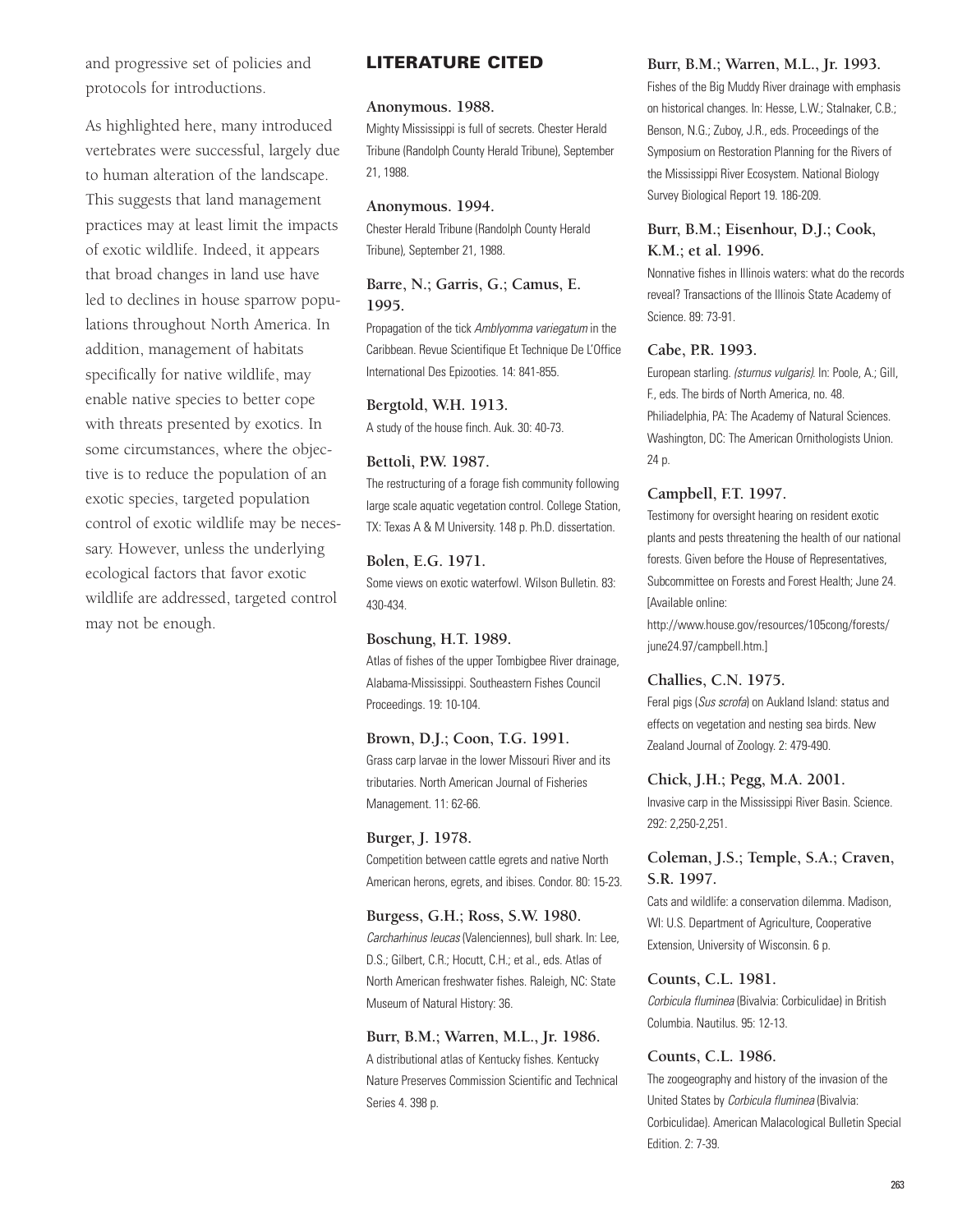and progressive set of policies and protocols for introductions.

As highlighted here, many introduced vertebrates were successful, largely due to human alteration of the landscape. This suggests that land management practices may at least limit the impacts of exotic wildlife. Indeed, it appears that broad changes in land use have led to declines in house sparrow populations throughout North America. In addition, management of habitats specifically for native wildlife, may enable native species to better cope with threats presented by exotics. In some circumstances, where the objective is to reduce the population of an exotic species, targeted population control of exotic wildlife may be necessary. However, unless the underlying ecological factors that favor exotic wildlife are addressed, targeted control may not be enough.

### **LITERATURE CITED**

#### **Anonymous. 1988.**

Mighty Mississippi is full of secrets. Chester Herald Tribune (Randolph County Herald Tribune), September 21, 1988.

#### **Anonymous. 1994.**

Chester Herald Tribune (Randolph County Herald Tribune), September 21, 1988.

### **Barre, N.; Garris, G.; Camus, E. 1995.**

Propagation of the tick Amblyomma variegatum in the Caribbean. Revue Scientifique Et Technique De L'Office International Des Epizooties. 14: 841-855.

#### **Bergtold, W.H. 1913.**

A study of the house finch. Auk. 30: 40-73.

#### **Bettoli, P.W. 1987.**

The restructuring of a forage fish community following large scale aquatic vegetation control. College Station, TX: Texas A & M University. 148 p. Ph.D. dissertation.

#### **Bolen, E.G. 1971.**

Some views on exotic waterfowl. Wilson Bulletin. 83: 430-434.

#### **Boschung, H.T. 1989.**

Atlas of fishes of the upper Tombigbee River drainage, Alabama-Mississippi. Southeastern Fishes Council Proceedings. 19: 10-104.

#### **Brown, D.J.; Coon, T.G. 1991.**

Grass carp larvae in the lower Missouri River and its tributaries. North American Journal of Fisheries Management. 11: 62-66.

#### **Burger, J. 1978.**

Competition between cattle egrets and native North American herons, egrets, and ibises. Condor. 80: 15-23.

#### **Burgess, G.H.; Ross, S.W. 1980.**

Carcharhinus leucas (Valenciennes), bull shark. In: Lee, D.S.; Gilbert, C.R.; Hocutt, C.H.; et al., eds. Atlas of North American freshwater fishes. Raleigh, NC: State Museum of Natural History: 36.

#### **Burr, B.M.; Warren, M.L., Jr. 1986.**

A distributional atlas of Kentucky fishes. Kentucky Nature Preserves Commission Scientific and Technical Series 4. 398 p.

#### **Burr, B.M.; Warren, M.L., Jr. 1993.**

Fishes of the Big Muddy River drainage with emphasis on historical changes. In: Hesse, L.W.; Stalnaker, C.B.; Benson, N.G.; Zuboy, J.R., eds. Proceedings of the Symposium on Restoration Planning for the Rivers of the Mississippi River Ecosystem. National Biology Survey Biological Report 19. 186-209.

### **Burr, B.M.; Eisenhour, D.J.; Cook, K.M.; et al. 1996.**

Nonnative fishes in Illinois waters: what do the records reveal? Transactions of the Illinois State Academy of Science. 89: 73-91.

#### **Cabe, P.R. 1993.**

European starling. (sturnus vulgaris). In: Poole, A.; Gill, F., eds. The birds of North America, no. 48. Philiadelphia, PA: The Academy of Natural Sciences. Washington, DC: The American Ornithologists Union. 24 p.

#### **Campbell, F.T. 1997.**

Testimony for oversight hearing on resident exotic plants and pests threatening the health of our national forests. Given before the House of Representatives, Subcommittee on Forests and Forest Health; June 24. [Available online:

http://www.house.gov/resources/105cong/forests/ june24.97/campbell.htm.]

#### **Challies, C.N. 1975.**

Feral pigs (Sus scrofa) on Aukland Island: status and effects on vegetation and nesting sea birds. New Zealand Journal of Zoology. 2: 479-490.

#### **Chick, J.H.; Pegg, M.A. 2001.**

Invasive carp in the Mississippi River Basin. Science. 292: 2,250-2,251.

### **Coleman, J.S.; Temple, S.A.; Craven, S.R. 1997.**

Cats and wildlife: a conservation dilemma. Madison, WI: U.S. Department of Agriculture, Cooperative Extension, University of Wisconsin. 6 p.

#### **Counts, C.L. 1981.**

Corbicula fluminea (Bivalvia: Corbiculidae) in British Columbia. Nautilus. 95: 12-13.

#### **Counts, C.L. 1986.**

The zoogeography and history of the invasion of the United States by Corbicula fluminea (Bivalvia: Corbiculidae). American Malacological Bulletin Special Edition. 2: 7-39.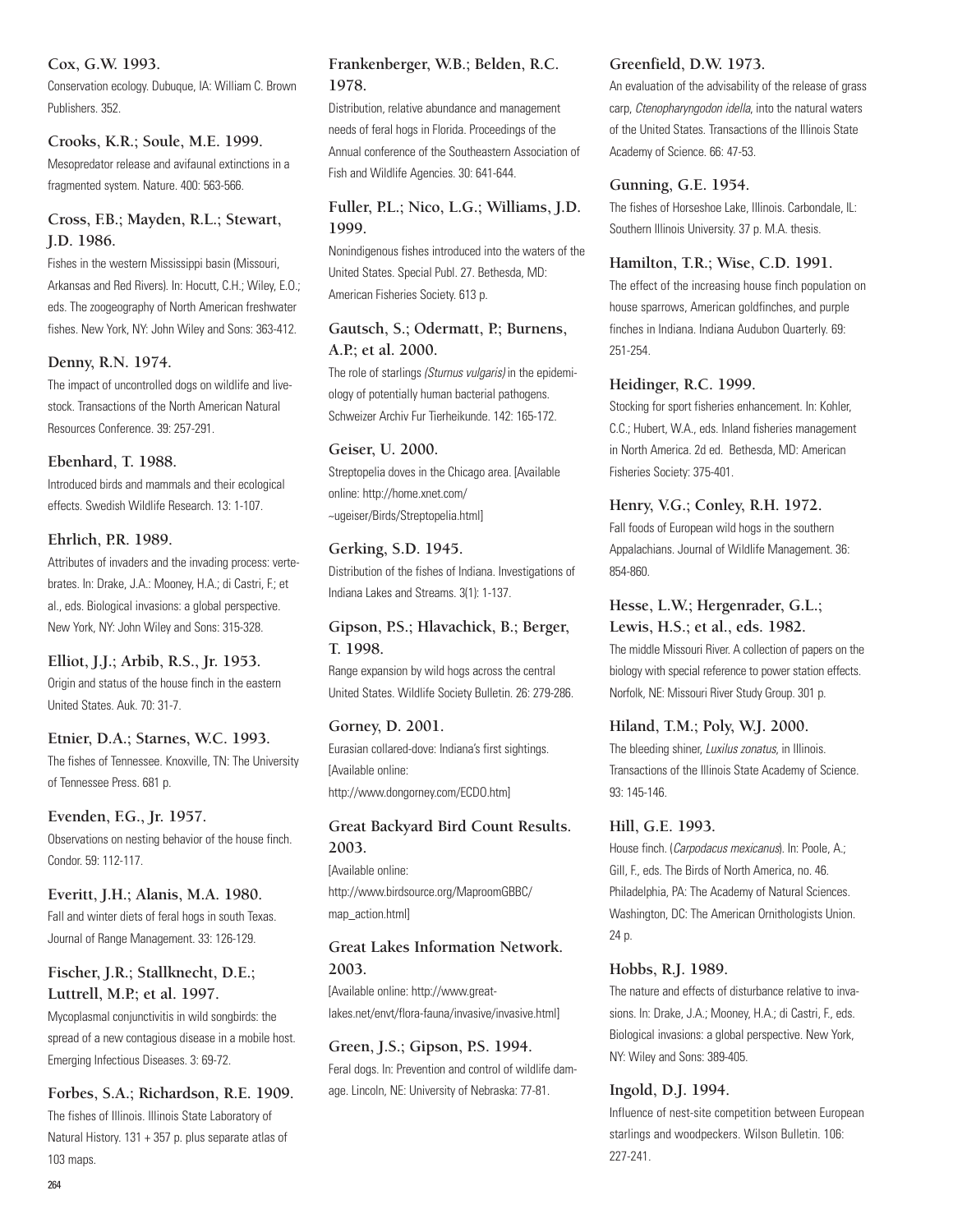#### **Cox, G.W. 1993.**

Conservation ecology. Dubuque, IA: William C. Brown Publishers. 352.

### **Crooks, K.R.; Soule, M.E. 1999.**

Mesopredator release and avifaunal extinctions in a fragmented system. Nature. 400: 563-566.

### **Cross, F.B.; Mayden, R.L.; Stewart, J.D. 1986.**

Fishes in the western Mississippi basin (Missouri, Arkansas and Red Rivers). In: Hocutt, C.H.; Wiley, E.O.; eds. The zoogeography of North American freshwater fishes. New York, NY: John Wiley and Sons: 363-412.

## **Denny, R.N. 1974.**

The impact of uncontrolled dogs on wildlife and livestock. Transactions of the North American Natural Resources Conference. 39: 257-291.

## **Ebenhard, T. 1988.**

Introduced birds and mammals and their ecological effects. Swedish Wildlife Research. 13: 1-107.

## **Ehrlich, P.R. 1989.**

Attributes of invaders and the invading process: vertebrates. In: Drake, J.A.: Mooney, H.A.; di Castri, F.; et al., eds. Biological invasions: a global perspective. New York, NY: John Wiley and Sons: 315-328.

**Elliot, J.J.; Arbib, R.S., Jr. 1953.**  Origin and status of the house finch in the eastern United States. Auk. 70: 31-7.

**Etnier, D.A.; Starnes, W.C. 1993.**  The fishes of Tennessee. Knoxville, TN: The University of Tennessee Press. 681 p.

**Evenden, F.G., Jr. 1957.**  Observations on nesting behavior of the house finch. Condor. 59: 112-117.

### **Everitt, J.H.; Alanis, M.A. 1980.**  Fall and winter diets of feral hogs in south Texas. Journal of Range Management. 33: 126-129.

## **Fischer, J.R.; Stallknecht, D.E.; Luttrell, M.P.; et al. 1997.**

Mycoplasmal conjunctivitis in wild songbirds: the spread of a new contagious disease in a mobile host. Emerging Infectious Diseases. 3: 69-72.

**Forbes, S.A.; Richardson, R.E. 1909.**  The fishes of Illinois. Illinois State Laboratory of Natural History. 131 + 357 p. plus separate atlas of 103 maps.

## **Frankenberger, W.B.; Belden, R.C. 1978.**

Distribution, relative abundance and management needs of feral hogs in Florida. Proceedings of the Annual conference of the Southeastern Association of Fish and Wildlife Agencies. 30: 641-644.

### **Fuller, P.L.; Nico, L.G.; Williams, J.D. 1999.**

Nonindigenous fishes introduced into the waters of the United States. Special Publ. 27. Bethesda, MD: American Fisheries Society. 613 p.

## **Gautsch, S.; Odermatt, P.; Burnens, A.P.; et al. 2000.**

The role of starlings (Sturnus vulgaris) in the epidemiology of potentially human bacterial pathogens. Schweizer Archiv Fur Tierheikunde. 142: 165-172.

## **Geiser, U. 2000.**

Streptopelia doves in the Chicago area. [Available online: http://home.xnet.com/ ~ugeiser/Birds/Streptopelia.html]

## **Gerking, S.D. 1945.**

Distribution of the fishes of Indiana. Investigations of Indiana Lakes and Streams. 3(1): 1-137.

## **Gipson, P.S.; Hlavachick, B.; Berger, T. 1998.**

Range expansion by wild hogs across the central United States. Wildlife Society Bulletin. 26: 279-286.

## **Gorney, D. 2001.**  Eurasian collared-dove: Indiana's first sightings. [Available online:

http://www.dongorney.com/ECDO.htm]

## **Great Backyard Bird Count Results. 2003.**

[Available online: http://www.birdsource.org/MaproomGBBC/ map\_action.html]

## **Great Lakes Information Network. 2003.**

[Available online: http://www.greatlakes.net/envt/flora-fauna/invasive/invasive.html]

## **Green, J.S.; Gipson, P.S. 1994.**  Feral dogs. In: Prevention and control of wildlife damage. Lincoln, NE: University of Nebraska: 77-81.

## **Greenfield, D.W. 1973.**

An evaluation of the advisability of the release of grass carp, Ctenopharyngodon idella, into the natural waters of the United States. Transactions of the Illinois State Academy of Science. 66: 47-53.

## **Gunning, G.E. 1954.**

The fishes of Horseshoe Lake, Illinois. Carbondale, IL: Southern Illinois University. 37 p. M.A. thesis.

### **Hamilton, T.R.; Wise, C.D. 1991.**

The effect of the increasing house finch population on house sparrows, American goldfinches, and purple finches in Indiana. Indiana Audubon Quarterly. 69: 251-254.

## **Heidinger, R.C. 1999.**

Stocking for sport fisheries enhancement. In: Kohler, C.C.; Hubert, W.A., eds. Inland fisheries management in North America. 2d ed. Bethesda, MD: American Fisheries Society: 375-401.

## **Henry, V.G.; Conley, R.H. 1972.**

Fall foods of European wild hogs in the southern Appalachians. Journal of Wildlife Management. 36: 854-860.

## **Hesse, L.W.; Hergenrader, G.L.;**

**Lewis, H.S.; et al., eds. 1982.**  The middle Missouri River. A collection of papers on the biology with special reference to power station effects. Norfolk, NE: Missouri River Study Group. 301 p.

## **Hiland, T.M.; Poly, W.J. 2000.**

The bleeding shiner, Luxilus zonatus, in Illinois. Transactions of the Illinois State Academy of Science. 93: 145-146.

## **Hill, G.E. 1993.**

House finch. (Carpodacus mexicanus). In: Poole, A.; Gill, F., eds. The Birds of North America, no. 46. Philadelphia, PA: The Academy of Natural Sciences. Washington, DC: The American Ornithologists Union. 24 p.

## **Hobbs, R.J. 1989.**

The nature and effects of disturbance relative to invasions. In: Drake, J.A.; Mooney, H.A.; di Castri, F., eds. Biological invasions: a global perspective. New York, NY: Wiley and Sons: 389-405.

## **Ingold, D.J. 1994.**

Influence of nest-site competition between European starlings and woodpeckers. Wilson Bulletin. 106: 227-241.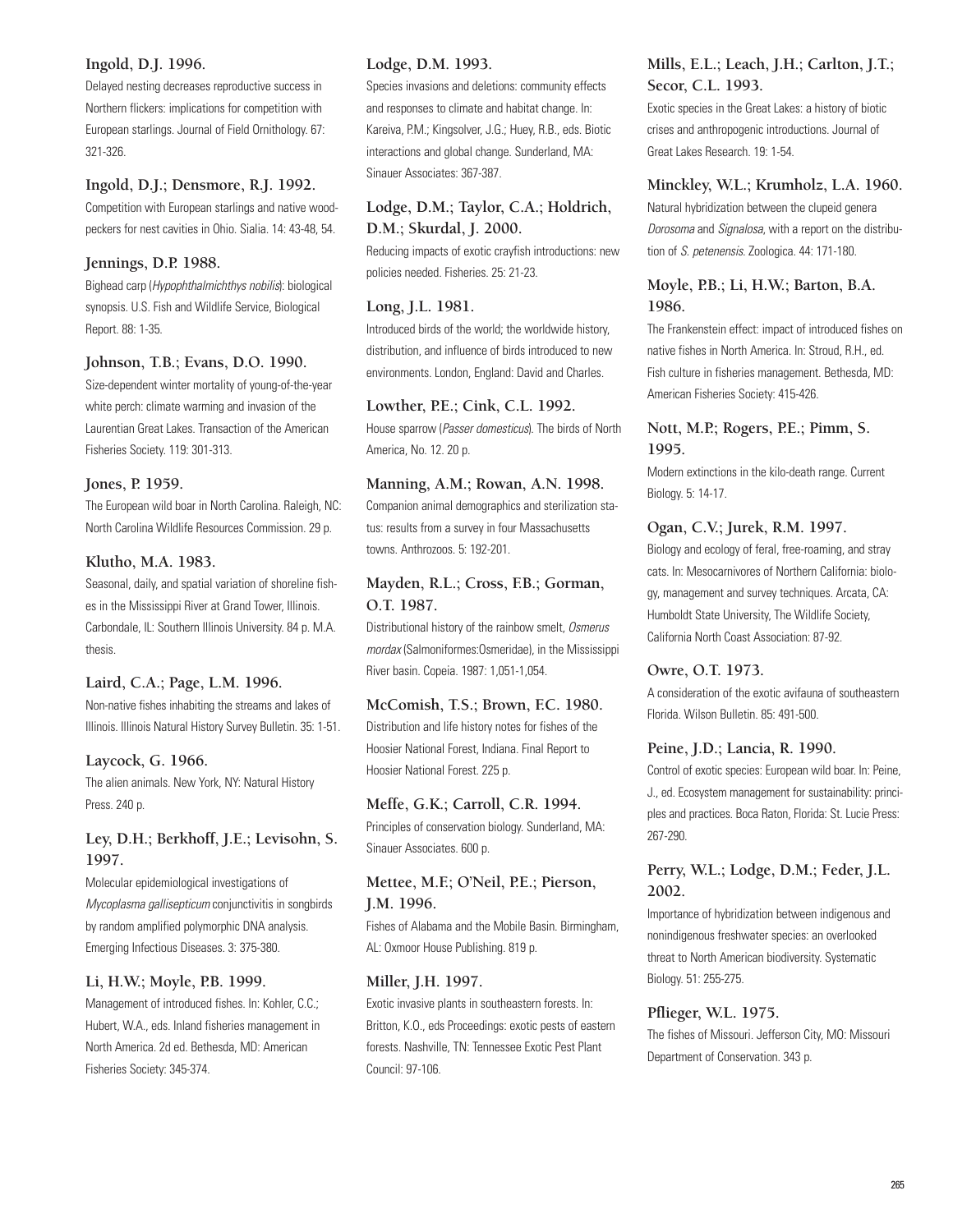#### **Ingold, D.J. 1996.**

Delayed nesting decreases reproductive success in Northern flickers: implications for competition with European starlings. Journal of Field Ornithology. 67: 321-326.

#### **Ingold, D.J.; Densmore, R.J. 1992.**

Competition with European starlings and native woodpeckers for nest cavities in Ohio. Sialia. 14: 43-48, 54.

#### **Jennings, D.P. 1988.**

Bighead carp (Hypophthalmichthys nobilis): biological synopsis. U.S. Fish and Wildlife Service, Biological Report. 88: 1-35.

#### **Johnson, T.B.; Evans, D.O. 1990.**

Size-dependent winter mortality of young-of-the-year white perch: climate warming and invasion of the Laurentian Great Lakes. Transaction of the American Fisheries Society. 119: 301-313.

#### **Jones, P. 1959.**

The European wild boar in North Carolina. Raleigh, NC: North Carolina Wildlife Resources Commission. 29 p.

#### **Klutho, M.A. 1983.**

Seasonal, daily, and spatial variation of shoreline fishes in the Mississippi River at Grand Tower, Illinois. Carbondale, IL: Southern Illinois University. 84 p. M.A. thesis.

#### **Laird, C.A.; Page, L.M. 1996.**

Non-native fishes inhabiting the streams and lakes of Illinois. Illinois Natural History Survey Bulletin. 35: 1-51.

#### **Laycock, G. 1966.**

The alien animals. New York, NY: Natural History Press. 240 p.

### **Ley, D.H.; Berkhoff, J.E.; Levisohn, S. 1997.**

Molecular epidemiological investigations of Mycoplasma gallisepticum conjunctivitis in songbirds by random amplified polymorphic DNA analysis. Emerging Infectious Diseases. 3: 375-380.

#### **Li, H.W.; Moyle, P.B. 1999.**

Management of introduced fishes. In: Kohler, C.C.; Hubert, W.A., eds. Inland fisheries management in North America. 2d ed. Bethesda, MD: American Fisheries Society: 345-374.

#### **Lodge, D.M. 1993.**

Species invasions and deletions: community effects and responses to climate and habitat change. In: Kareiva, P.M.; Kingsolver, J.G.; Huey, R.B., eds. Biotic interactions and global change. Sunderland, MA: Sinauer Associates: 367-387.

### **Lodge, D.M.; Taylor, C.A.; Holdrich, D.M.; Skurdal, J. 2000.**

Reducing impacts of exotic crayfish introductions: new policies needed. Fisheries. 25: 21-23.

#### **Long, J.L. 1981.**

Introduced birds of the world; the worldwide history, distribution, and influence of birds introduced to new environments. London, England: David and Charles.

## **Lowther, P.E.; Cink, C.L. 1992.**

House sparrow (Passer domesticus). The birds of North America, No. 12. 20 p.

#### **Manning, A.M.; Rowan, A.N. 1998.**

Companion animal demographics and sterilization status: results from a survey in four Massachusetts towns. Anthrozoos. 5: 192-201.

### **Mayden, R.L.; Cross, F.B.; Gorman, O.T. 1987.**

Distributional history of the rainbow smelt, Osmerus mordax (Salmoniformes:Osmeridae), in the Mississippi River basin. Copeia. 1987: 1,051-1,054.

### **McComish, T.S.; Brown, F.C. 1980.**  Distribution and life history notes for fishes of the Hoosier National Forest, Indiana. Final Report to Hoosier National Forest. 225 p.

### **Meffe, G.K.; Carroll, C.R. 1994.**

Principles of conservation biology. Sunderland, MA: Sinauer Associates. 600 p.

### **Mettee, M.F.; O'Neil, P.E.; Pierson, J.M. 1996.**

Fishes of Alabama and the Mobile Basin. Birmingham, AL: Oxmoor House Publishing. 819 p.

#### **Miller, J.H. 1997.**

Exotic invasive plants in southeastern forests. In: Britton, K.O., eds Proceedings: exotic pests of eastern forests. Nashville, TN: Tennessee Exotic Pest Plant Council: 97-106.

### **Mills, E.L.; Leach, J.H.; Carlton, J.T.; Secor, C.L. 1993.**

Exotic species in the Great Lakes: a history of biotic crises and anthropogenic introductions. Journal of Great Lakes Research. 19: 1-54.

#### **Minckley, W.L.; Krumholz, L.A. 1960.**

Natural hybridization between the clupeid genera Dorosoma and Signalosa, with a report on the distribution of S. petenensis. Zoologica. 44: 171-180.

### **Moyle, P.B.; Li, H.W.; Barton, B.A. 1986.**

The Frankenstein effect: impact of introduced fishes on native fishes in North America. In: Stroud, R.H., ed. Fish culture in fisheries management. Bethesda, MD: American Fisheries Society: 415-426.

#### **Nott, M.P.; Rogers, P.E.; Pimm, S. 1995.**

Modern extinctions in the kilo-death range. Current Biology. 5: 14-17.

### **Ogan, C.V.; Jurek, R.M. 1997.**

Biology and ecology of feral, free-roaming, and stray cats. In: Mesocarnivores of Northern California: biology, management and survey techniques. Arcata, CA: Humboldt State University, The Wildlife Society, California North Coast Association: 87-92.

#### **Owre, O.T. 1973.**

A consideration of the exotic avifauna of southeastern Florida. Wilson Bulletin. 85: 491-500.

#### **Peine, J.D.; Lancia, R. 1990.**

Control of exotic species: European wild boar. In: Peine, J., ed. Ecosystem management for sustainability: principles and practices. Boca Raton, Florida: St. Lucie Press: 267-290.

#### **Perry, W.L.; Lodge, D.M.; Feder, J.L. 2002.**

Importance of hybridization between indigenous and nonindigenous freshwater species: an overlooked threat to North American biodiversity. Systematic Biology. 51: 255-275.

#### **Pflieger, W.L. 1975.**

The fishes of Missouri. Jefferson City, MO: Missouri Department of Conservation. 343 p.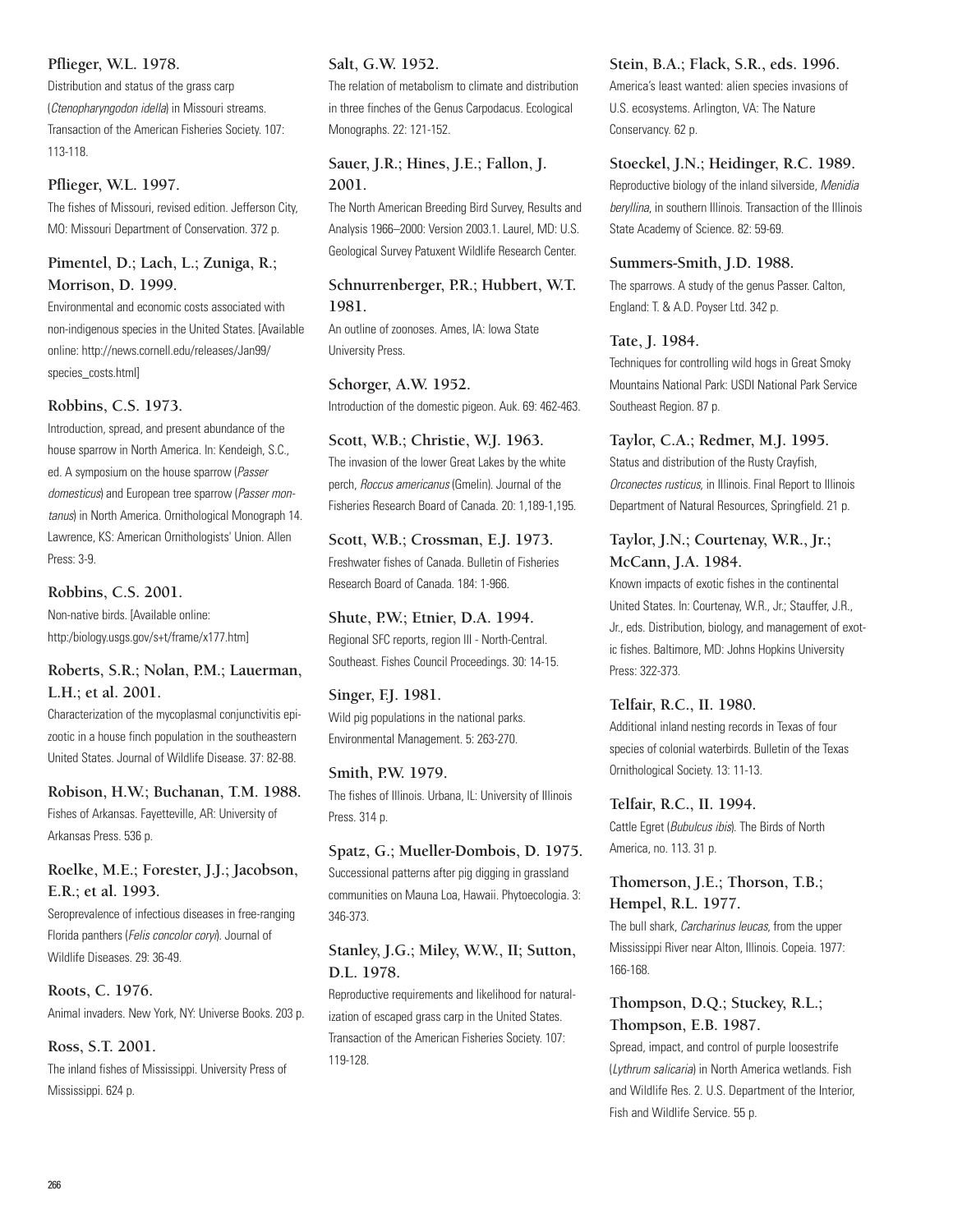### **Pflieger, W.L. 1978.**

Distribution and status of the grass carp (Ctenopharyngodon idella) in Missouri streams. Transaction of the American Fisheries Society. 107: 113-118.

#### **Pflieger, W.L. 1997.**

The fishes of Missouri, revised edition. Jefferson City, MO: Missouri Department of Conservation. 372 p.

### **Pimentel, D.; Lach, L.; Zuniga, R.; Morrison, D. 1999.**

Environmental and economic costs associated with non-indigenous species in the United States. [Available online: http://news.cornell.edu/releases/Jan99/ species\_costs.html]

#### **Robbins, C.S. 1973.**

Introduction, spread, and present abundance of the house sparrow in North America. In: Kendeigh, S.C., ed. A symposium on the house sparrow (Passer domesticus) and European tree sparrow (Passer montanus) in North America. Ornithological Monograph 14. Lawrence, KS: American Ornithologists' Union. Allen Press: 3-9.

#### **Robbins, C.S. 2001.**

Non-native birds. [Available online: http:/biology.usgs.gov/s+t/frame/x177.htm]

#### **Roberts, S.R.; Nolan, P.M.; Lauerman, L.H.; et al. 2001.**

Characterization of the mycoplasmal conjunctivitis epizootic in a house finch population in the southeastern United States. Journal of Wildlife Disease. 37: 82-88.

#### **Robison, H.W.; Buchanan, T.M. 1988.**

Fishes of Arkansas. Fayetteville, AR: University of Arkansas Press. 536 p.

### **Roelke, M.E.; Forester, J.J.; Jacobson, E.R.; et al. 1993.**

Seroprevalence of infectious diseases in free-ranging Florida panthers (Felis concolor coryi). Journal of Wildlife Diseases. 29: 36-49.

#### **Roots, C. 1976.**  Animal invaders. New York, NY: Universe Books. 203 p.

#### **Ross, S.T. 2001.**

The inland fishes of Mississippi. University Press of Mississippi. 624 p.

#### **Salt, G.W. 1952.**

The relation of metabolism to climate and distribution in three finches of the Genus Carpodacus. Ecological Monographs. 22: 121-152.

### **Sauer, J.R.; Hines, J.E.; Fallon, J. 2001.**

The North American Breeding Bird Survey, Results and Analysis 1966–2000: Version 2003.1. Laurel, MD: U.S. Geological Survey Patuxent Wildlife Research Center.

### **Schnurrenberger, P.R.; Hubbert, W.T. 1981.**

An outline of zoonoses. Ames, IA: Iowa State University Press.

### **Schorger, A.W. 1952.**

Introduction of the domestic pigeon. Auk. 69: 462-463.

### **Scott, W.B.; Christie, W.J. 1963.**  The invasion of the lower Great Lakes by the white perch, Roccus americanus (Gmelin). Journal of the Fisheries Research Board of Canada. 20: 1,189-1,195.

**Scott, W.B.; Crossman, E.J. 1973.**  Freshwater fishes of Canada. Bulletin of Fisheries Research Board of Canada. 184: 1-966.

#### **Shute, P.W.; Etnier, D.A. 1994.**  Regional SFC reports, region III - North-Central.

Southeast. Fishes Council Proceedings. 30: 14-15.

### **Singer, F.J. 1981.**  Wild pig populations in the national parks. Environmental Management. 5: 263-270.

**Smith, P.W. 1979.**  The fishes of Illinois. Urbana, IL: University of Illinois Press. 314 p.

**Spatz, G.; Mueller-Dombois, D. 1975.**  Successional patterns after pig digging in grassland communities on Mauna Loa, Hawaii. Phytoecologia. 3: 346-373.

### **Stanley, J.G.; Miley, W.W., II; Sutton, D.L. 1978.**

Reproductive requirements and likelihood for naturalization of escaped grass carp in the United States. Transaction of the American Fisheries Society. 107: 119-128.

#### **Stein, B.A.; Flack, S.R., eds. 1996.**

America's least wanted: alien species invasions of U.S. ecosystems. Arlington, VA: The Nature Conservancy. 62 p.

#### **Stoeckel, J.N.; Heidinger, R.C. 1989.**

Reproductive biology of the inland silverside, Menidia beryllina, in southern Illinois. Transaction of the Illinois State Academy of Science. 82: 59-69.

#### **Summers-Smith, J.D. 1988.**

The sparrows. A study of the genus Passer. Calton, England: T. & A.D. Poyser Ltd. 342 p.

#### **Tate, J. 1984.**

Techniques for controlling wild hogs in Great Smoky Mountains National Park: USDI National Park Service Southeast Region. 87 p.

#### **Taylor, C.A.; Redmer, M.J. 1995.**

Status and distribution of the Rusty Crayfish, Orconectes rusticus, in Illinois. Final Report to Illinois Department of Natural Resources, Springfield. 21 p.

### **Taylor, J.N.; Courtenay, W.R., Jr.; McCann, J.A. 1984.**

Known impacts of exotic fishes in the continental United States. In: Courtenay, W.R., Jr.; Stauffer, J.R., Jr., eds. Distribution, biology, and management of exotic fishes. Baltimore, MD: Johns Hopkins University Press: 322-373.

**Telfair, R.C., II. 1980.** 

Additional inland nesting records in Texas of four species of colonial waterbirds. Bulletin of the Texas Ornithological Society. 13: 11-13.

## **Telfair, R.C., II. 1994.**

Cattle Egret (Bubulcus ibis). The Birds of North America, no. 113. 31 p.

### **Thomerson, J.E.; Thorson, T.B.; Hempel, R.L. 1977.**

The bull shark, Carcharinus leucas, from the upper Mississippi River near Alton, Illinois. Copeia. 1977: 166-168.

### **Thompson, D.Q.; Stuckey, R.L.; Thompson, E.B. 1987.**

Spread, impact, and control of purple loosestrife (Lythrum salicaria) in North America wetlands. Fish and Wildlife Res. 2. U.S. Department of the Interior, Fish and Wildlife Service. 55 p.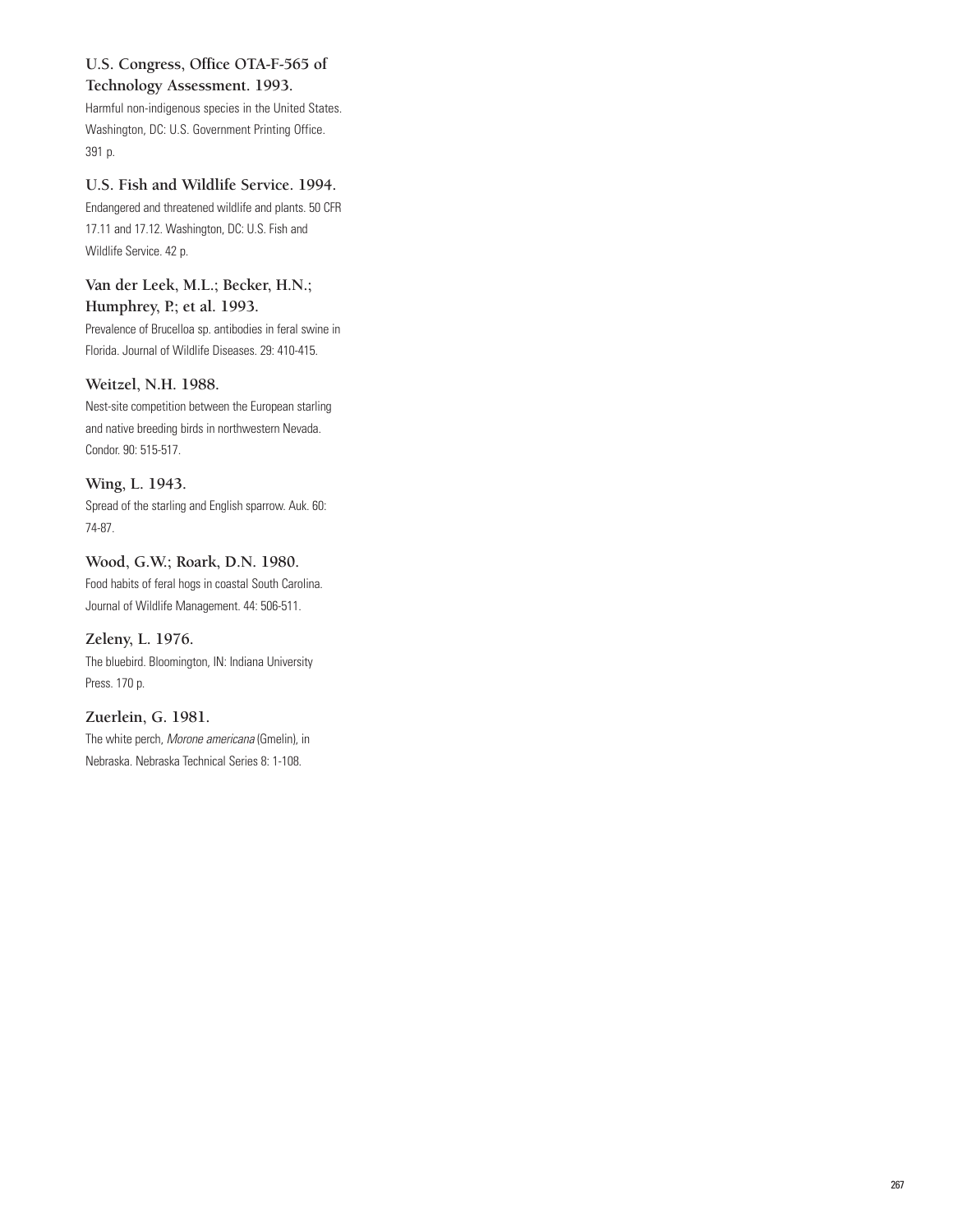## **U.S. Congress, Office OTA-F-565 of**

### **Technology Assessment. 1993.**

Harmful non-indigenous species in the United States. Washington, DC: U.S. Government Printing Office. 391 p.

### **U.S. Fish and Wildlife Service. 1994.**

Endangered and threatened wildlife and plants. 50 CFR 17.11 and 17.12. Washington, DC: U.S. Fish and Wildlife Service. 42 p.

### **Van der Leek, M.L.; Becker, H.N.; Humphrey, P.; et al. 1993.**

Prevalence of Brucelloa sp. antibodies in feral swine in Florida. Journal of Wildlife Diseases. 29: 410-415.

### **Weitzel, N.H. 1988.**

Nest-site competition between the European starling and native breeding birds in northwestern Nevada. Condor. 90: 515-517.

### **Wing, L. 1943.**

Spread of the starling and English sparrow. Auk. 60: 74-87.

### **Wood, G.W.; Roark, D.N. 1980.**

Food habits of feral hogs in coastal South Carolina. Journal of Wildlife Management. 44: 506-511.

### **Zeleny, L. 1976.**

The bluebird. Bloomington, IN: Indiana University Press. 170 p.

### **Zuerlein, G. 1981.**

The white perch, Morone americana (Gmelin), in Nebraska. Nebraska Technical Series 8: 1-108.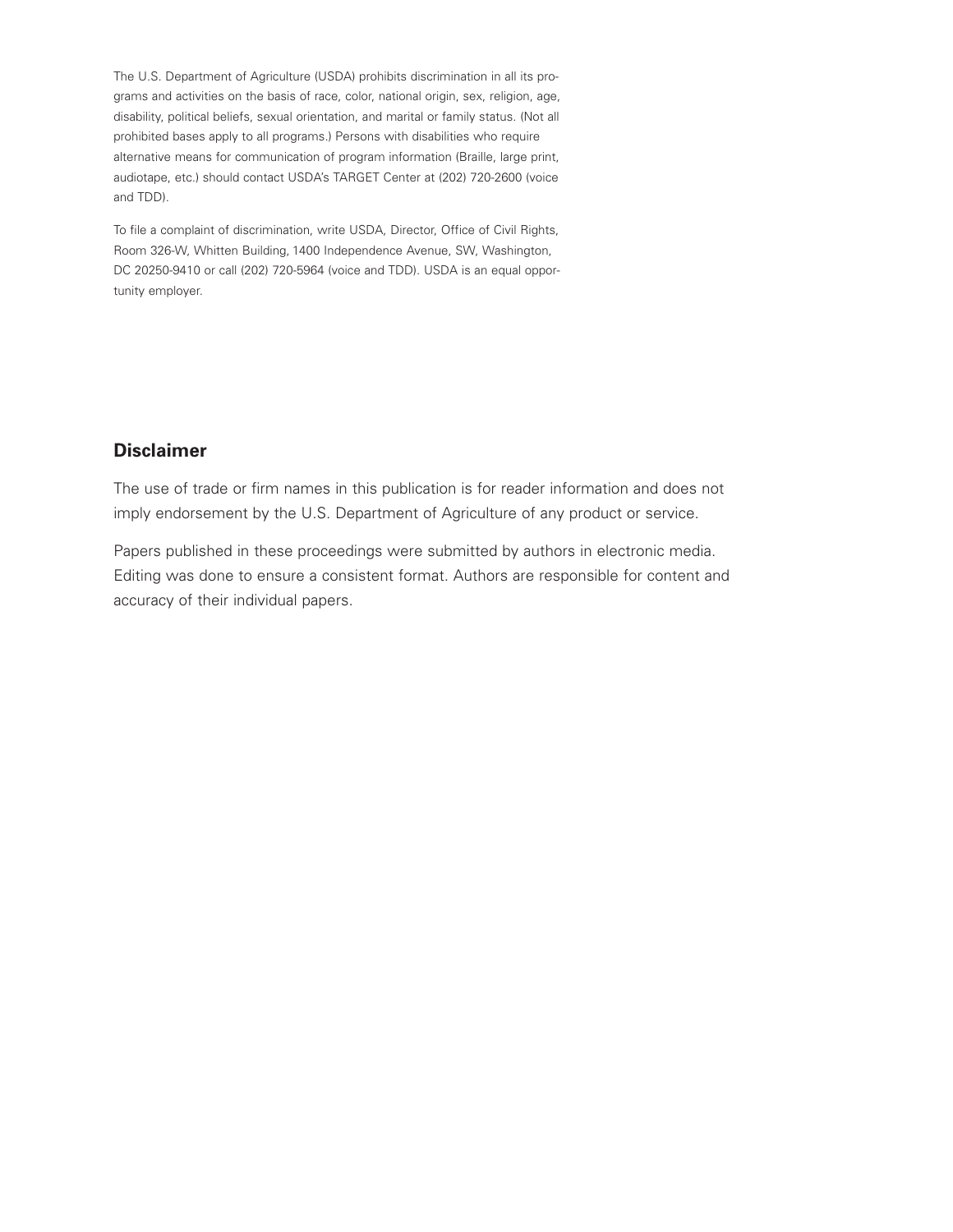The U.S. Department of Agriculture (USDA) prohibits discrimination in all its programs and activities on the basis of race, color, national origin, sex, religion, age, disability, political beliefs, sexual orientation, and marital or family status. (Not all prohibited bases apply to all programs.) Persons with disabilities who require alternative means for communication of program information (Braille, large print, audiotape, etc.) should contact USDA's TARGET Center at (202) 720-2600 (voice and TDD).

To file a complaint of discrimination, write USDA, Director, Office of Civil Rights, Room 326-W, Whitten Building, 1400 Independence Avenue, SW, Washington, DC 20250-9410 or call (202) 720-5964 (voice and TDD). USDA is an equal opportunity employer.

### **Disclaimer**

The use of trade or firm names in this publication is for reader information and does not imply endorsement by the U.S. Department of Agriculture of any product or service.

Papers published in these proceedings were submitted by authors in electronic media. Editing was done to ensure a consistent format. Authors are responsible for content and accuracy of their individual papers.